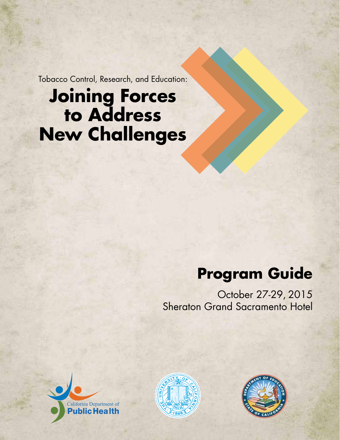Tobacco Control, Research, and Education:

# **Joining Forces to Address New Challenges**

# **Program Guide**

October 27-29, 2015 Sheraton Grand Sacramento Hotel





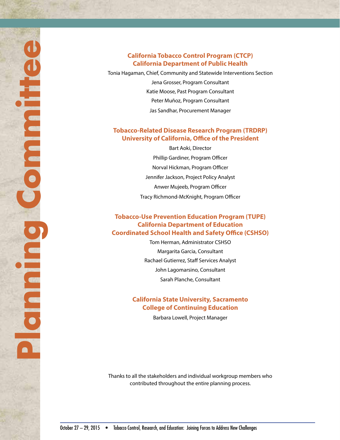#### **California Tobacco Control Program (CTCP) California Department of Public Health**

Tonia Hagaman, Chief, Community and Statewide Interventions Section Jena Grosser, Program Consultant Katie Moose, Past Program Consultant Peter Muñoz, Program Consultant Jas Sandhar, Procurement Manager

#### **Tobacco-Related Disease Research Program (TRDRP) University of California, Office of the President**

Bart Aoki, Director Phillip Gardiner, Program Officer Norval Hickman, Program Officer Jennifer Jackson, Project Policy Analyst Anwer Mujeeb, Program Officer Tracy Richmond-McKnight, Program Officer

#### **Tobacco-Use Prevention Education Program (TUPE) California Department of Education Coordinated School Health and Safety Office (CSHSO)**

Tom Herman, Administrator CSHSO Margarita Garcia, Consultant Rachael Gutierrez, Staff Services Analyst John Lagomarsino, Consultant Sarah Planche, Consultant

#### **California State University, Sacramento College of Continuing Education**

Barbara Lowell, Project Manager

Thanks to all the stakeholders and individual workgroup members who contributed throughout the entire planning process.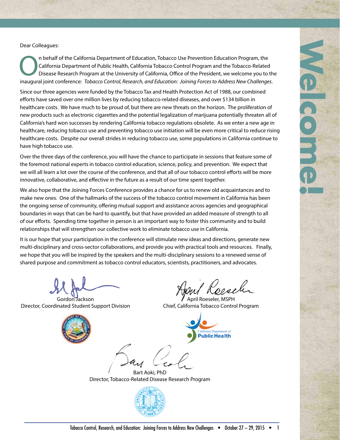Dear Colleagues:

n behalf of the California Department of Education, Tobacco Use Prevention Education Program, the<br>California Department of Public Health, California Tobacco Control Program and the Tobacco-Related<br>Disease Research Program California Department of Public Health, California Tobacco Control Program and the Tobacco-Related Disease Research Program at the University of California, Office of the President, we welcome you to the inaugural joint conference: *Tobacco Control, Research, and Education: Joining Forces to Address New Challenges*.

Since our three agencies were funded by the Tobacco Tax and Health Protection Act of 1988, our combined efforts have saved over one million lives by reducing tobacco-related diseases, and over \$134 billion in healthcare costs. We have much to be proud of, but there are new threats on the horizon. The proliferation of new products such as electronic cigarettes and the potential legalization of marijuana potentially threaten all of California's hard won successes by rendering California tobacco regulations obsolete. As we enter a new age in healthcare, reducing tobacco use and preventing tobacco use initiation will be even more critical to reduce rising healthcare costs. Despite our overall strides in reducing tobacco use, some populations in California continue to have high tobacco use.

Over the three days of the conference, you will have the chance to participate in sessions that feature some of the foremost national experts in tobacco control education, science, policy, and prevention. We expect that we will all learn a lot over the course of the conference, and that all of our tobacco control efforts will be more innovative, collaborative, and effective in the future as a result of our time spent together.

We also hope that the Joining Forces Conference provides a chance for us to renew old acquaintances and to make new ones. One of the hallmarks of the success of the tobacco control movement in California has been the ongoing sense of community, offering mutual support and assistance across agencies and geographical boundaries in ways that can be hard to quantify, but that have provided an added measure of strength to all of our efforts. Spending time together in person is an important way to foster this community and to build relationships that will strengthen our collective work to eliminate tobacco use in California.

It is our hope that your participation in the conference will stimulate new ideas and directions, generate new multi-disciplinary and cross-sector collaborations, and provide you with practical tools and resources. Finally, we hope that you will be inspired by the speakers and the multi-disciplinary sessions to a renewed sense of shared purpose and commitment as tobacco control educators, scientists, practitioners, and advocates.

Director, Coordinated Student Support Division Chief, California Tobacco Control Program



Rossel

Gordon Jackson April Roeseler, MSPH



Í

Bart Aoki, PhD Director, Tobacco-Related Disease Research Program

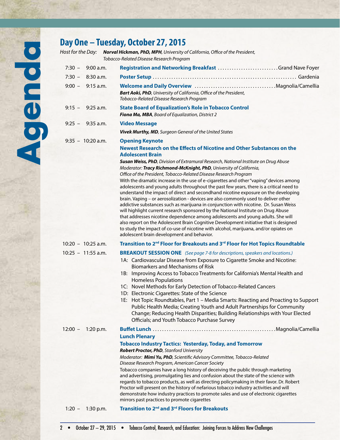|       |                                                   | Day One - Tuesday, October 27, 2015                                                                                                                                                                                                                                                                                                                                                                                                                                                                                                                                                                                                                                                                                                                                                                                                                                                                                                                                                                                                                                                                                                                                                                                            |
|-------|---------------------------------------------------|--------------------------------------------------------------------------------------------------------------------------------------------------------------------------------------------------------------------------------------------------------------------------------------------------------------------------------------------------------------------------------------------------------------------------------------------------------------------------------------------------------------------------------------------------------------------------------------------------------------------------------------------------------------------------------------------------------------------------------------------------------------------------------------------------------------------------------------------------------------------------------------------------------------------------------------------------------------------------------------------------------------------------------------------------------------------------------------------------------------------------------------------------------------------------------------------------------------------------------|
|       | Host for the Day:                                 | Norval Hickman, PhD, MPH, University of California, Office of the President,<br>Tobacco-Related Disease Research Program                                                                                                                                                                                                                                                                                                                                                                                                                                                                                                                                                                                                                                                                                                                                                                                                                                                                                                                                                                                                                                                                                                       |
|       | 9:00 a.m.<br>$7:30 -$                             | Registration and Networking Breakfast Grand Nave Foyer                                                                                                                                                                                                                                                                                                                                                                                                                                                                                                                                                                                                                                                                                                                                                                                                                                                                                                                                                                                                                                                                                                                                                                         |
|       | $7:30 - 8:30$ a.m.                                |                                                                                                                                                                                                                                                                                                                                                                                                                                                                                                                                                                                                                                                                                                                                                                                                                                                                                                                                                                                                                                                                                                                                                                                                                                |
| opued | $9:00 - 9:15$ a.m.                                | Bart Aoki, PhD, University of California, Office of the President,<br>Tobacco-Related Disease Research Program                                                                                                                                                                                                                                                                                                                                                                                                                                                                                                                                                                                                                                                                                                                                                                                                                                                                                                                                                                                                                                                                                                                 |
|       | $9:15 - 9:25$ a.m.                                | <b>State Board of Equalization's Role in Tobacco Control</b><br>Fiona Ma, MBA, Board of Equalization, District 2                                                                                                                                                                                                                                                                                                                                                                                                                                                                                                                                                                                                                                                                                                                                                                                                                                                                                                                                                                                                                                                                                                               |
|       | $9:25 - 9:35$ a.m.                                | <b>Video Message</b>                                                                                                                                                                                                                                                                                                                                                                                                                                                                                                                                                                                                                                                                                                                                                                                                                                                                                                                                                                                                                                                                                                                                                                                                           |
|       |                                                   | Vivek Murthy, MD, Surgeon General of the United States                                                                                                                                                                                                                                                                                                                                                                                                                                                                                                                                                                                                                                                                                                                                                                                                                                                                                                                                                                                                                                                                                                                                                                         |
|       | $9:35 - 10:20$ a.m.                               | <b>Opening Keynote</b><br>Newest Research on the Effects of Nicotine and Other Substances on the<br><b>Adolescent Brain</b><br>Susan Weiss, PhD, Division of Extramural Research, National Institute on Drug Abuse<br>Moderator: Tracy Richmond-McKnight, PhD, University of California,<br>Office of the President, Tobacco-Related Disease Research Program<br>With the dramatic increase in the use of e-cigarettes and other "vaping" devices among<br>adolescents and young adults throughout the past few years, there is a critical need to<br>understand the impact of direct and secondhand nicotine exposure on the developing<br>brain. Vaping - or aerosolization - devices are also commonly used to deliver other<br>addictive substances such as marijuana in conjunction with nicotine. Dr. Susan Weiss<br>will highlight current research sponsored by the National Institute on Drug Abuse<br>that addresses nicotine dependence among adolescents and young adults. She will<br>also report on the Adolescent Brain Cognitive Development initiative that is designed<br>to study the impact of co-use of nicotine with alcohol, marijuana, and/or opiates on<br>adolescent brain development and behavior. |
|       | $10:20 - 10:25$ a.m.                              | Transition to 2 <sup>nd</sup> Floor for Breakouts and 3 <sup>rd</sup> Floor for Hot Topics Roundtable                                                                                                                                                                                                                                                                                                                                                                                                                                                                                                                                                                                                                                                                                                                                                                                                                                                                                                                                                                                                                                                                                                                          |
|       | $10:25 - 11:55$ a.m.                              | <b>BREAKOUT SESSION ONE</b> (See page 7-8 for descriptions, speakers and locations.)<br>1A: Cardiovascular Disease from Exposure to Cigarette Smoke and Nicotine:<br><b>Biomarkers and Mechanisms of Risk</b><br>1B: Improving Access to Tobacco Treatments for California's Mental Health and<br><b>Homeless Populations</b><br>1C: Novel Methods for Early Detection of Tobacco-Related Cancers<br>1D: Electronic Cigarettes: State of the Science<br>1E: Hot Topic Roundtables, Part 1 - Media Smarts: Reacting and Proacting to Support<br>Public Health Media; Creating Youth and Adult Partnerships for Community<br>Change; Reducing Health Disparities; Building Relationships with Your Elected<br>Officials; and Youth Tobacco Purchase Survey                                                                                                                                                                                                                                                                                                                                                                                                                                                                       |
|       | $12:00 -$<br>1:20 p.m.<br>$1:20 -$<br>$1:30$ p.m. | <b>Lunch Plenary</b><br><b>Tobacco Industry Tactics: Yesterday, Today, and Tomorrow</b><br><b>Robert Proctor, PhD, Stanford University</b><br>Moderator: Mimi Yu, PhD, Scientific Advisory Committee, Tobacco-Related<br>Disease Research Program, American Cancer Society<br>Tobacco companies have a long history of deceiving the public through marketing<br>and advertising, promulgating lies and confusion about the state of the science with<br>regards to tobacco products, as well as directing policymaking in their favor. Dr. Robert<br>Proctor will present on the history of nefarious tobacco industry activities and will<br>demonstrate how industry practices to promote sales and use of electronic cigarettes<br>mirrors past practices to promote cigarettes<br>Transition to 2 <sup>nd</sup> and 3 <sup>rd</sup> Floors for Breakouts                                                                                                                                                                                                                                                                                                                                                                  |
|       |                                                   |                                                                                                                                                                                                                                                                                                                                                                                                                                                                                                                                                                                                                                                                                                                                                                                                                                                                                                                                                                                                                                                                                                                                                                                                                                |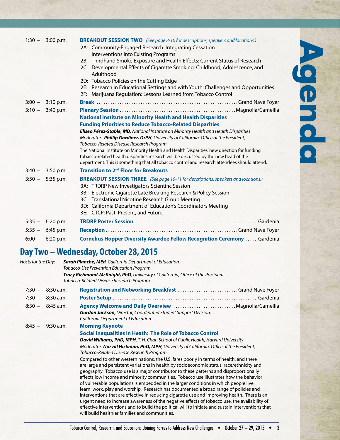| $1:30 - 3:00$ p.m.         | <b>BREAKOUT SESSION TWO</b> (See page 8-10 for descriptions, speakers and locations.)<br>2A: Community-Engaged Research: Integrating Cessation<br>Nebanc<br><b>Interventions into Existing Programs</b><br>2B: Thirdhand Smoke Exposure and Health Effects: Current Status of Research<br>2C: Developmental Effects of Cigarette Smoking: Childhood, Adolescence, and<br>Adulthood<br>2D: Tobacco Policies on the Cutting Edge<br>2E: Research in Educational Settings and with Youth: Challenges and Opportunities |
|----------------------------|---------------------------------------------------------------------------------------------------------------------------------------------------------------------------------------------------------------------------------------------------------------------------------------------------------------------------------------------------------------------------------------------------------------------------------------------------------------------------------------------------------------------|
|                            | 2F: Marijuana Regulation: Lessons Learned from Tobacco Control                                                                                                                                                                                                                                                                                                                                                                                                                                                      |
| $3:00 - 3:10 \text{ p.m.}$ |                                                                                                                                                                                                                                                                                                                                                                                                                                                                                                                     |
| $3:10 - 3:40$ p.m.         |                                                                                                                                                                                                                                                                                                                                                                                                                                                                                                                     |
|                            | <b>National Institute on Minority Health and Health Disparities</b>                                                                                                                                                                                                                                                                                                                                                                                                                                                 |
|                            | <b>Funding Priorities to Reduce Tobacco-Related Disparities</b>                                                                                                                                                                                                                                                                                                                                                                                                                                                     |
|                            | Eliseo Pérez-Stable, MD, National Institute on Minority Health and Health Disparities                                                                                                                                                                                                                                                                                                                                                                                                                               |
|                            | Moderator: Phillip Gardiner, DrPH, University of California, Office of the President,                                                                                                                                                                                                                                                                                                                                                                                                                               |
|                            | Tobacco-Related Disease Research Program<br>The National Institute on Minority Health and Health Disparities' new direction for funding                                                                                                                                                                                                                                                                                                                                                                             |
|                            | tobacco-related health disparities research will be discussed by the new head of the                                                                                                                                                                                                                                                                                                                                                                                                                                |
|                            | department. This is something that all tobacco control and research attendees should attend.                                                                                                                                                                                                                                                                                                                                                                                                                        |
| $3:40 - 3:50$ p.m.         | <b>Transition to 2<sup>nd</sup> Floor for Breakouts</b>                                                                                                                                                                                                                                                                                                                                                                                                                                                             |
| $3:50 - 5:35$ p.m.         | <b>BREAKOUT SESSION THREE</b> (See page 10-11 for descriptions, speakers and locations.)                                                                                                                                                                                                                                                                                                                                                                                                                            |
|                            | 3A: TRDRP New Investigators Scientific Session                                                                                                                                                                                                                                                                                                                                                                                                                                                                      |
|                            | 3B: Electronic Cigarette Late Breaking Research & Policy Session                                                                                                                                                                                                                                                                                                                                                                                                                                                    |
|                            | 3C: Translational Nicotine Research Group Meeting                                                                                                                                                                                                                                                                                                                                                                                                                                                                   |
|                            | 3D: California Department of Education's Coordinators Meeting                                                                                                                                                                                                                                                                                                                                                                                                                                                       |
|                            | 3E: CTCP: Past, Present, and Future                                                                                                                                                                                                                                                                                                                                                                                                                                                                                 |
| $5:35 - 6:20$ p.m.         |                                                                                                                                                                                                                                                                                                                                                                                                                                                                                                                     |
| $5:35 - 6:45$ p.m.         |                                                                                                                                                                                                                                                                                                                                                                                                                                                                                                                     |
| $6:00 - 6:20 \text{ p.m.}$ | <b>Cornelius Hopper Diversity Awardee Fellow Recognition Ceremony </b> Gardenia                                                                                                                                                                                                                                                                                                                                                                                                                                     |

## **Day Two – Wednesday, October 28, 2015**

| Hosts for the Day: |             | <b>Sarah Planche, MEd</b> , California Department of Education,<br>Tobacco-Use Prevention Education Program                                                                    |
|--------------------|-------------|--------------------------------------------------------------------------------------------------------------------------------------------------------------------------------|
|                    |             | Tracy Richmond-McKnight, PhD, University of California, Office of the President,<br>Tobacco-Related Disease Research Program                                                   |
| $7:30 -$           | 8:30 a.m.   | Registration and Networking Breakfast Grand Nave Foyer                                                                                                                         |
| $7:30 -$           | 8:30 a.m.   |                                                                                                                                                                                |
| $8:30 -$           | 8:45 a.m.   |                                                                                                                                                                                |
|                    |             | Gordon Jackson, Director, Coordinated Student Support Division,<br>California Department of Education                                                                          |
| $8:45 -$           | $9:30$ a.m. | <b>Morning Keynote</b>                                                                                                                                                         |
|                    |             | <b>Social Inequalities in Heath: The Role of Tobacco Control</b>                                                                                                               |
|                    |             | <b>David Williams, PhD, MPH</b> , T. H. Chan School of Public Health, Harvard University                                                                                       |
|                    |             | Moderator: Norval Hickman, PhD, MPH, University of California, Office of the President,<br>Tobacco-Related Disease Research Program                                            |
|                    |             | Compared to other western nations, the U.S. fares poorly in terms of health, and there                                                                                         |
|                    |             | are large and persistent variations in health by socioeconomic status, race/ethnicity and                                                                                      |
|                    |             | geography. Tobacco use is a major contributor to these patterns and disproportionally<br>affects low income and minority communities. Tobacco use illustrates how the behavior |
|                    |             | of vulnerable populations is embedded in the larger conditions in which people live,<br>learn, work, play and worship. Research has documented a broad range of policies and   |
|                    |             | interventions that are effective in reducing cigarette use and improving health. There is an                                                                                   |
|                    |             | urgent need to increase awareness of the negative effects of tobacco use, the availability of                                                                                  |
|                    |             | effective interventions and to build the political will to initiate and sustain interventions that                                                                             |
|                    |             | will build healthier families and communities.                                                                                                                                 |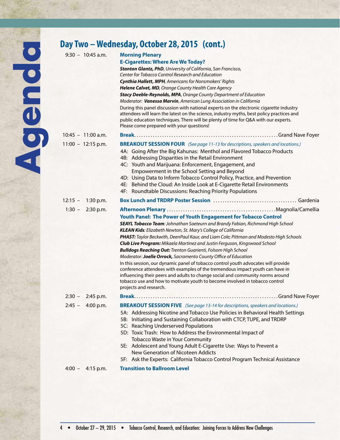| $9:30 - 10:45$ a.m.        | <b>Morning Plenary</b>                                                                                                                                                                                                                                                                                                   |
|----------------------------|--------------------------------------------------------------------------------------------------------------------------------------------------------------------------------------------------------------------------------------------------------------------------------------------------------------------------|
|                            | <b>E-Cigarettes: Where Are We Today?</b>                                                                                                                                                                                                                                                                                 |
|                            | Stanton Glantz, PhD, University of California, San Francisco,                                                                                                                                                                                                                                                            |
|                            | Center for Tobacco Control Research and Education                                                                                                                                                                                                                                                                        |
|                            | Cynthia Hallett, MPH, Americans for Nonsmokers' Rights<br>Helene Calvet, MD, Orange County Health Care Agency                                                                                                                                                                                                            |
|                            | Stacy Deeble-Reynolds, MPA, Orange County Department of Education                                                                                                                                                                                                                                                        |
|                            | Moderator: Vanessa Marvin, American Lung Association in California                                                                                                                                                                                                                                                       |
|                            | During this panel discussion with national experts on the electronic cigarette industry<br>attendees will learn the latest on the science, industry myths, best policy practices and<br>public education techniques. There will be plenty of time for Q&A with our experts.<br>Please come prepared with your questions! |
| $10:45 - 11:00$ a.m.       |                                                                                                                                                                                                                                                                                                                          |
| $11:00 - 12:15$ p.m.       | <b>BREAKOUT SESSION FOUR</b> (See page 11-13 for descriptions, speakers and locations.)                                                                                                                                                                                                                                  |
|                            | 4A: Going After the Big Kahunas: Menthol and Flavored Tobacco Products                                                                                                                                                                                                                                                   |
|                            | 4B: Addressing Disparities in the Retail Environment                                                                                                                                                                                                                                                                     |
|                            | 4C: Youth and Marijuana: Enforcement, Engagement, and                                                                                                                                                                                                                                                                    |
|                            | Empowerment in the School Setting and Beyond                                                                                                                                                                                                                                                                             |
|                            | 4D: Using Data to Inform Tobacco Control Policy, Practice, and Prevention                                                                                                                                                                                                                                                |
|                            | 4E: Behind the Cloud: An Inside Look at E-Cigarette Retail Environments                                                                                                                                                                                                                                                  |
|                            | 4F: Roundtable Discussions: Reaching Priority Populations                                                                                                                                                                                                                                                                |
| $12:15 - 1:30$ p.m.        |                                                                                                                                                                                                                                                                                                                          |
| $1:30 - 2:30$ p.m.         |                                                                                                                                                                                                                                                                                                                          |
|                            | <b>Youth Panel: The Power of Youth Engagement for Tobacco Control</b>                                                                                                                                                                                                                                                    |
|                            | <b>SEAYL Tobacco Team:</b> Johnathan Saeteurn and Brandy Fabian, Richmond High School                                                                                                                                                                                                                                    |
|                            | KLEAN Kids: Elizabeth Newton, St. Mary's College of California                                                                                                                                                                                                                                                           |
|                            | PHAST: Taylor Beckwith, DeenPaul Kaur, and Liam Cole; Pittman and Modesto High Schools<br>Club Live Program: Mikaela Martinez and Justin Ferguson, Kingswood School                                                                                                                                                      |
|                            | <b>Bulldogs Reaching Out: Trenton Guarienti, Folsom High School</b>                                                                                                                                                                                                                                                      |
|                            | Moderator: Joelle Orrock, Sacramento County Office of Education                                                                                                                                                                                                                                                          |
|                            | In this session, our dynamic panel of tobacco control youth advocates will provide                                                                                                                                                                                                                                       |
|                            | conference attendees with examples of the tremendous impact youth can have in                                                                                                                                                                                                                                            |
|                            | influencing their peers and adults to change social and community norms around                                                                                                                                                                                                                                           |
|                            | tobacco use and how to motivate youth to become involved in tobacco control<br>projects and research.                                                                                                                                                                                                                    |
| $2:30 - 2:45$ p.m.         |                                                                                                                                                                                                                                                                                                                          |
|                            |                                                                                                                                                                                                                                                                                                                          |
| $2:45 - 4:00 \text{ p.m.}$ | <b>BREAKOUT SESSION FIVE</b> (See page 13-14 for descriptions, speakers and locations.)                                                                                                                                                                                                                                  |
|                            | 5A: Addressing Nicotine and Tobacco Use Policies in Behavioral Health Settings<br>5B: Initiating and Sustaining Collaboration with CTCP, TUPE, and TRDRP                                                                                                                                                                 |
|                            | 5C: Reaching Underserved Populations                                                                                                                                                                                                                                                                                     |
|                            | 5D: Toxic Trash: How to Address the Environmental Impact of                                                                                                                                                                                                                                                              |
|                            | <b>Tobacco Waste in Your Community</b>                                                                                                                                                                                                                                                                                   |
|                            | 5E: Adolescent and Young Adult E-Cigarette Use: Ways to Prevent a                                                                                                                                                                                                                                                        |
|                            |                                                                                                                                                                                                                                                                                                                          |
|                            | New Generation of Nicoteen Addicts<br>5F: Ask the Experts: California Tobacco Control Program Technical Assistance                                                                                                                                                                                                       |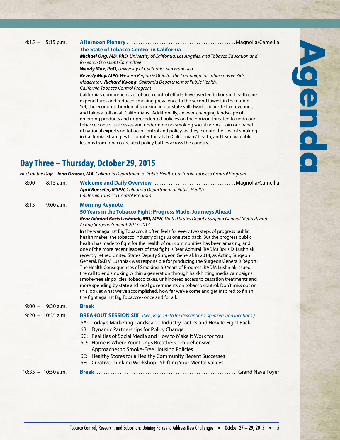#### 4:15 – 5:15 p.m. **Afternoon Plenary**. Magnolia/Camellia **The State of Tobacco Control in California**

*Michael Ong, MD*, *PhD, University of California, Los Angeles, and Tobacco Education and Research Oversight Committee*

*Wendy Max, PhD*, *University of California, San Francisco*

*Beverly May, MPA, Western Region & Ohio for the Campaign for Tobacco-Free Kids Moderator: Richard Kwong, California Department of Public Health, California Tobacco Control Program*

California's comprehensive tobacco control efforts have averted billions in health care expenditures and reduced smoking prevalence to the second lowest in the nation. Yet, the economic burden of smoking in our state still dwarfs cigarette tax revenues, and takes a toll on all Californians. Additionally, an ever-changing landscape of emerging products and unprecedented policies on the horizon threaten to undo our tobacco control successes and undermine no-smoking social norms. Join our panel of national experts on tobacco control and policy, as they explore the cost of smoking in California, strategies to counter threats to Californians' health, and learn valuable lessons from tobacco-related policy battles across the country.

### **Day Three – Thursday, October 29, 2015**

*Host for the Day: Jena Grosser, MA, California Department of Public Health, California Tobacco Control Program*

| $8:00 - 8:15$ a.m.    | April Roeseler, MSPH, California Department of Public Health,<br>California Tobacco Control Program                                                                                                                                                                                                                                                                                                                                                                                                                                                                                                                                                                                                                                                                                                                                                                                                                                                                                                                                                                                                                                                                                                                                                               |
|-----------------------|-------------------------------------------------------------------------------------------------------------------------------------------------------------------------------------------------------------------------------------------------------------------------------------------------------------------------------------------------------------------------------------------------------------------------------------------------------------------------------------------------------------------------------------------------------------------------------------------------------------------------------------------------------------------------------------------------------------------------------------------------------------------------------------------------------------------------------------------------------------------------------------------------------------------------------------------------------------------------------------------------------------------------------------------------------------------------------------------------------------------------------------------------------------------------------------------------------------------------------------------------------------------|
| $8:15 -$<br>9:00 a.m. | <b>Morning Keynote</b><br>50 Years in the Tobacco Fight: Progress Made, Journeys Ahead<br>Rear Admiral Boris Lushniak, MD, MPH, United States Deputy Surgeon General (Retired) and<br>Acting Surgeon General, 2013-2014<br>In the war against Big Tobacco, it often feels for every two steps of progress public<br>health makes, the tobacco industry drags us one step back. But the progress public<br>health has made to fight for the health of our communities has been amazing, and<br>one of the more recent leaders of that fight is Rear Admiral (RADM) Boris D. Lushniak,<br>recently retired United States Deputy Surgeon General. In 2014, as Acting Surgeon<br>General, RADM Lushniak was responsible for producing the Surgeon General's Report:<br>The Health Consequences of Smoking, 50 Years of Progress. RADM Lushniak issued<br>the call to end smoking within a generation through hard-hitting media campaigns,<br>smoke-free air policies, tobacco taxes, unhindered access to cessation treatments and<br>more spending by state and local governments on tobacco control. Don't miss out on<br>this look at what we've accomplished, how far we've come and get inspired to finish<br>the fight against Big Tobacco-- once and for all. |
| $9:00 - 9:20$ a.m.    | <b>Break</b>                                                                                                                                                                                                                                                                                                                                                                                                                                                                                                                                                                                                                                                                                                                                                                                                                                                                                                                                                                                                                                                                                                                                                                                                                                                      |
| $9:20 - 10:35$ a.m.   | <b>BREAKOUT SESSION SIX</b> (See page 14-16 for descriptions, speakers and locations.)<br>6A: Today's Marketing Landscape: Industry Tactics and How to Fight Back<br>6B: Dynamic Partnerships for Policy Change<br>6C: Realities of Social Media and How to Make It Work for You<br>6D: Home is Where Your Lungs Breathe: Comprehensive<br>Approaches to Smoke-Free Housing Policies<br>6E: Healthy Stores for a Healthy Community Recent Successes<br>6F: Creative Thinking Workshop: Shifting Your Mental Valleys                                                                                                                                                                                                                                                                                                                                                                                                                                                                                                                                                                                                                                                                                                                                               |
| $10:35 - 10:50$ a.m.  |                                                                                                                                                                                                                                                                                                                                                                                                                                                                                                                                                                                                                                                                                                                                                                                                                                                                                                                                                                                                                                                                                                                                                                                                                                                                   |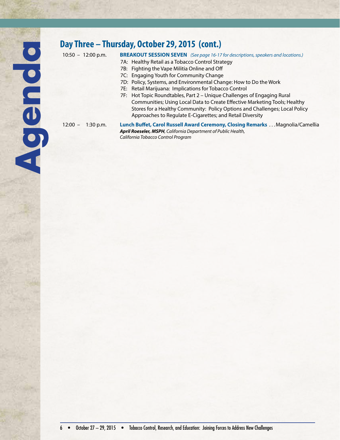## **Day Three – Thursday, October 29, 2015 (cont.)**

#### 10:50 – 12:00 p.m. **BREAKOUT SESSION SEVEN** *(See page 16-17 for descriptions, speakers and locations.)*

- 7A: Healthy Retail as a Tobacco Control Strategy
- 7B: Fighting the Vape Militia Online and Off
- 7C: Engaging Youth for Community Change
- 7D: Policy, Systems, and Environmental Change: How to Do the Work
- 7E: Retail Marijuana: Implications for Tobacco Control
- 7F: Hot Topic Roundtables, Part 2 Unique Challenges of Engaging Rural Communities; Using Local Data to Create Effective Marketing Tools; Healthy Stores for a Healthy Community: Policy Options and Challenges; Local Policy Approaches to Regulate E-Cigarettes; and Retail Diversity

12:00 - 1:30 p.m. **Lunch Buffet, Carol Russell Award Ceremony, Closing Remarks**... Magnolia/Camellia *April Roeseler, MSPH, California Department of Public Health, California Tobacco Control Program*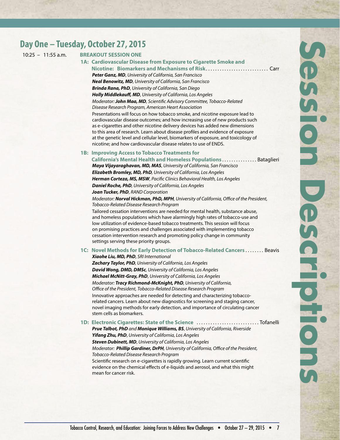### **Day One – Tuesday, October 27, 2015**

#### 10:25 – 11:55 a.m. **BREAKOUT SESSION ONE**

**1A: Cardiovascular Disease from Exposure to Cigarette Smoke and Nicotine: Biomarkers and Mechanisms of Risk**. . Carr *Peter Ganz, MD*, *University of California, San Francisco Neal Benowitz, MD*, *University of California, San Francisco Brinda Rana, PhD*, *University of California, San Diego Holly Middlekauff, MD*, *University of California, Los Angeles Moderator: John Maa, MD, Scientific Advisory Committee, Tobacco-Related Disease Research Program, American Heart Association* Presentations will focus on how tobacco smoke, and nicotine exposure lead to cardiovascular disease outcomes; and how increasing use of new products such as e-cigarettes and other nicotine delivery devices has added new dimensions to this area of research. Learn about disease profiles and evidence of exposure at the genetic level and cellular level, biomarkers of exposure, and toxicology of nicotine; and how cardiovascular disease relates to use of ENDS.

#### **1B: Improving Access to Tobacco Treatments for California's Mental Health and Homeless Populations................ Bataglieri**

*Maya Vijayaraghavan, MD, MAS*, *University of California, San Francisco Elizabeth Bromley, MD, PhD, University of California, Los Angeles Herman Corteza, MS, MSW*, *Pacific Clinics Behavioral Health, Los Angeles Daniel Roche, PhD, University of California, Los Angeles Joan Tucker, PhD*, *RAND Corporation*

*Moderator: Norval Hickman, PhD, MPH, University of California, Office of the President, Tobacco-Related Disease Research Program*

Tailored cessation interventions are needed for mental health, substance abuse, and homeless populations which have alarmingly high rates of tobacco-use and low utilization of evidence-based tobacco treatments. This session will focus on promising practices and challenges associated with implementing tobacco cessation intervention research and promoting policy change in community settings serving these priority groups.

#### **1C: Novel Methods for Early Detection of Tobacco-Related Cancers........ Beavis**

*Xiaohe Liu, MD, PhD*, *SRI International Zachary Taylor, PhD, University of California, Los Angeles David Wong, DMD, DMSc, University of California, Los Angeles Michael McNitt-Gray, PhD*, *University of California, Los Angeles Moderator: Tracy Richmond-McKnight, PhD, University of California, Office of the President, Tobacco-Related Disease Research Program* Innovative approaches are needed for detecting and characterizing tobaccorelated cancers. Learn about new diagnostics for screening and staging cancer, novel imaging methods for early detection, and importance of circulating cancer stem cells as biomarkers.

#### **1D: Electronic Cigarettes: State of the Science ................................Tofanelli**

*Prue Talbot, PhD and Monique Williams, BS*, *University of California, Riverside Yifang Zhu, PhD*, *University of California, Los Angeles*

*Steven Dubinett, MD*, *University of California, Los Angeles*

*Moderator: Phillip Gardiner, DrPH, University of California, Office of the President, Tobacco-Related Disease Research Program*

Scientific research on e-cigarettes is rapidly growing. Learn current scientific evidence on the chemical effects of e-liquids and aerosol, and what this might mean for cancer risk.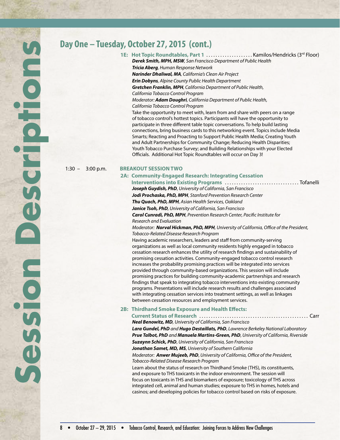### **Day One – Tuesday, October 27, 2015 (cont.)**

1E: Hot Topic Roundtables, Part 1 ........................... Kamilos/Hendricks (3<sup>rd</sup> Floor) *Derek Smith, MPH, MSW, San Francisco Department of Public Health Tricia Aberg, Human Response Network Narinder Dhaliwal, MA, California's Clean Air Project Erin Dobyns, Alpine County Public Health Department Gretchen Franklin, MPH, California Department of Public Health, California Tobacco Control Program Moderator: Adam Doughri, California Department of Public Health, California Tobacco Control Program* Take the opportunity to meet with, learn from and share with peers on a range of tobacco control's hottest topics. Participants will have the opportunity to participate in three different table topic conversations. To help build lasting

connections, bring business cards to this networking event. Topics include Media Smarts; Reacting and Proacting to Support Public Health Media; Creating Youth and Adult Partnerships for Community Change; Reducing Health Disparities; Youth Tobacco Purchase Survey; and Building Relationships with your Elected Officials. Additional Hot Topic Roundtables will occur on Day 3!

#### 1:30 – 3:00 p.m. **BREAKOUT SESSION TWO**

#### **2A: Community-Engaged Research: Integrating Cessation**

**Interventions into Existing Programs**. . Tofanelli *Joseph Guydish, PhD*, *University of California, San Francisco Jodi Prochaska, PhD, MPH*, *Stanford Prevention Research Center Thu Quach, PhD, MPH, Asian Health Services, Oakland Janice Tsoh, PhD, University of California, San Francisco*

*Carol Cunradi, PhD, MPH*, *Prevention Research Center, Pacific Institute for Research and Evaluation*

*Moderator: Norval Hickman, PhD, MPH, University of California, Office of the President, Tobacco-Related Disease Research Program*

Having academic researchers, leaders and staff from community-serving organizations as well as local community residents highly engaged in tobacco cessation research enhances the utility of research findings and sustainability of promising cessation activities. Community-engaged tobacco control research increases the probability promising practices will be integrated into services provided through community-based organizations. This session will include promising practices for building community-academic partnerships and research findings that speak to integrating tobacco interventions into existing community programs. Presentations will include research results and challenges associated with integrating cessation services into treatment settings, as well as linkages between cessation resources and employment services.

#### **2B: Thirdhand Smoke Exposure and Health Effects:**

**Current Status of Research** . . Carr *Neal Benowitz, MD, University of California, San Francisco Lara Gundel, PhD and Hugo Destaillats, PhD*, *Lawrence Berkeley National Laboratory Prue Talbot, PhD and Manuela Martins-Green, PhD*, *University of California, Riverside Suzaynn Schick, PhD*, *University of California, San Francisco Jonathan Samet, MD, MS*, *University of Southern California Moderator: Anwer Mujeeb, PhD*, *University of California, Office of the President, Tobacco-Related Disease Research Program* Learn about the status of research on Thirdhand Smoke (THS), its constituents,

and exposure to THS toxicants in the indoor environment. The session will focus on toxicants in THS and biomarkers of exposure; toxicology of THS across integrated cell, animal and human studies; exposure to THS in homes, hotels and casinos; and developing policies for tobacco control based on risks of exposure.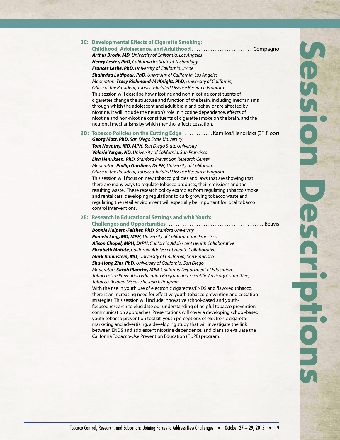| 2C: Developmental Effects of Cigarette Smoking:<br>Childhood, Adolescence, and Adulthood  Compagno<br>Arthur Brody, MD, University of California, Los Angeles<br>Henry Lester, PhD, California Institute of Technology<br>Frances Leslie, PhD, University of California, Irvine<br>Shahrdad Lotfipour, PhD, University of California, Los Angeles<br>Moderator: Tracy Richmond-McKnight, PhD, University of California,<br>Office of the President, Tobacco-Related Disease Research Program<br>This session will describe how nicotine and non-nicotine constituents of<br>cigarettes change the structure and function of the brain, including mechanisms<br>through which the adolescent and adult brain and behavior are affected by<br>nicotine. It will include the neuron's role in nicotine dependence, effects of<br>nicotine and non-nicotine constituents of cigarette smoke on the brain, and the<br>neuronal mechanisms by which menthol affects cessation. |  |
|--------------------------------------------------------------------------------------------------------------------------------------------------------------------------------------------------------------------------------------------------------------------------------------------------------------------------------------------------------------------------------------------------------------------------------------------------------------------------------------------------------------------------------------------------------------------------------------------------------------------------------------------------------------------------------------------------------------------------------------------------------------------------------------------------------------------------------------------------------------------------------------------------------------------------------------------------------------------------|--|
| 2D: Tobacco Policies on the Cutting Edge  Kamilos/Hendricks (3rd Floor)<br>Georg Matt, PhD, San Diego State University                                                                                                                                                                                                                                                                                                                                                                                                                                                                                                                                                                                                                                                                                                                                                                                                                                                   |  |
| Tom Novotny, MD, MPH, San Diego State University                                                                                                                                                                                                                                                                                                                                                                                                                                                                                                                                                                                                                                                                                                                                                                                                                                                                                                                         |  |
| Valerie Yerger, ND, University of California, San Francisco                                                                                                                                                                                                                                                                                                                                                                                                                                                                                                                                                                                                                                                                                                                                                                                                                                                                                                              |  |
| Lisa Henriksen, PhD, Stanford Prevention Research Center                                                                                                                                                                                                                                                                                                                                                                                                                                                                                                                                                                                                                                                                                                                                                                                                                                                                                                                 |  |
| Moderator: Phillip Gardiner, Dr PH, University of California,<br>Office of the President, Tobacco-Related Disease Research Program                                                                                                                                                                                                                                                                                                                                                                                                                                                                                                                                                                                                                                                                                                                                                                                                                                       |  |
| This session will focus on new tobacco policies and laws that are showing that                                                                                                                                                                                                                                                                                                                                                                                                                                                                                                                                                                                                                                                                                                                                                                                                                                                                                           |  |
| there are many ways to regulate tobacco products, their emissions and the<br>resulting waste. These research policy examples from regulating tobacco smoke<br>and rental cars, developing regulations to curb growing tobacco waste and                                                                                                                                                                                                                                                                                                                                                                                                                                                                                                                                                                                                                                                                                                                                  |  |
| regulating the retail environment will especially be important for local tobacco<br>control interventions.                                                                                                                                                                                                                                                                                                                                                                                                                                                                                                                                                                                                                                                                                                                                                                                                                                                               |  |
| 2E: Research in Educational Settings and with Youth:                                                                                                                                                                                                                                                                                                                                                                                                                                                                                                                                                                                                                                                                                                                                                                                                                                                                                                                     |  |
| <b>Bonnie Halpern-Felsher, PhD</b> , Stanford University                                                                                                                                                                                                                                                                                                                                                                                                                                                                                                                                                                                                                                                                                                                                                                                                                                                                                                                 |  |
| Pamela Ling, MD, MPH, University of California, San Francisco                                                                                                                                                                                                                                                                                                                                                                                                                                                                                                                                                                                                                                                                                                                                                                                                                                                                                                            |  |
| Alison Chopel, MPH, DrPH, California Adolescent Health Collaborative                                                                                                                                                                                                                                                                                                                                                                                                                                                                                                                                                                                                                                                                                                                                                                                                                                                                                                     |  |
| Elizabeth Matute, California Adolescent Health Collaborative                                                                                                                                                                                                                                                                                                                                                                                                                                                                                                                                                                                                                                                                                                                                                                                                                                                                                                             |  |
| Mark Rubinstein, MD, University of California, San Francisco                                                                                                                                                                                                                                                                                                                                                                                                                                                                                                                                                                                                                                                                                                                                                                                                                                                                                                             |  |
| Shu-Hong Zhu, PhD, University of California, San Diego                                                                                                                                                                                                                                                                                                                                                                                                                                                                                                                                                                                                                                                                                                                                                                                                                                                                                                                   |  |
| Moderator: Sarah Planche, MEd, California Department of Education,                                                                                                                                                                                                                                                                                                                                                                                                                                                                                                                                                                                                                                                                                                                                                                                                                                                                                                       |  |
| Tobacco-Use Prevention Education Program and Scientific Advisory Committee,                                                                                                                                                                                                                                                                                                                                                                                                                                                                                                                                                                                                                                                                                                                                                                                                                                                                                              |  |
| Tobacco-Related Disease Research Program                                                                                                                                                                                                                                                                                                                                                                                                                                                                                                                                                                                                                                                                                                                                                                                                                                                                                                                                 |  |
| With the rise in youth use of electronic cigarettes/ENDS and flavored tobacco,<br>there is an increasing need for effective youth tobacco prevention and cessation                                                                                                                                                                                                                                                                                                                                                                                                                                                                                                                                                                                                                                                                                                                                                                                                       |  |
| strategies. This session will include innovative school-based and youth-                                                                                                                                                                                                                                                                                                                                                                                                                                                                                                                                                                                                                                                                                                                                                                                                                                                                                                 |  |
| focused research to elucidate our understanding of helpful tobacco prevention                                                                                                                                                                                                                                                                                                                                                                                                                                                                                                                                                                                                                                                                                                                                                                                                                                                                                            |  |
| communication approaches. Presentations will cover a developing school-based                                                                                                                                                                                                                                                                                                                                                                                                                                                                                                                                                                                                                                                                                                                                                                                                                                                                                             |  |
| youth tobacco prevention toolkit, youth perceptions of electronic cigarette                                                                                                                                                                                                                                                                                                                                                                                                                                                                                                                                                                                                                                                                                                                                                                                                                                                                                              |  |
| marketing and advertising, a developing study that will investigate the link                                                                                                                                                                                                                                                                                                                                                                                                                                                                                                                                                                                                                                                                                                                                                                                                                                                                                             |  |
| between ENDS and adolescent nicotine dependence, and plans to evaluate the                                                                                                                                                                                                                                                                                                                                                                                                                                                                                                                                                                                                                                                                                                                                                                                                                                                                                               |  |
| California Tobacco-Use Prevention Education (TUPE) program.                                                                                                                                                                                                                                                                                                                                                                                                                                                                                                                                                                                                                                                                                                                                                                                                                                                                                                              |  |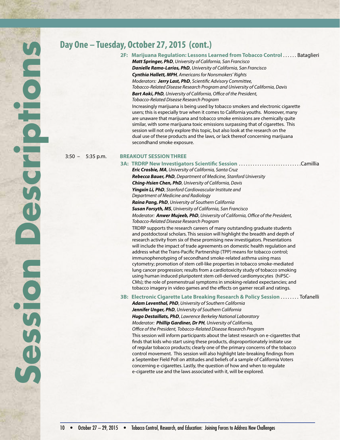### **Day One – Tuesday, October 27, 2015 (cont.)**

2F: Marijuana Regulation: Lessons Learned from Tobacco Control . . . . . Bataglieri *Matt Springer, PhD*, *University of California, San Francisco Danielle Ramo-Larios, PhD*, *University of California, San Francisco Cynthia Hallett, MPH, Americans for Nonsmokers' Rights Moderators: Jerry Last, PhD*, *Scientific Advisory Committee, Tobacco-Related Disease Research Program and University of California, Davis Bart Aoki***,** *PhD, University of California, Office of the President, Tobacco-Related Disease Research Program* Increasingly marijuana is being used by tobacco smokers and electronic cigarette users; this is especially true when it comes to California youths. Moreover, many are unaware that marijuana and tobacco smoke emissions are chemically quite

similar, with some marijuana toxic emissions surpassing that of cigarettes. This session will not only explore this topic, but also look at the research on the dual use of these products and the laws, or lack thereof concerning marijuana

#### 3:50 – 5:35 p.m. **BREAKOUT SESSION THREE**

secondhand smoke exposure.

**3A: TRDRP New Investigators Scientific Session .............................Camillia** *Eric Crosbie, MA*, *University of California, Santa Cruz Rebecca Bauer, PhD*, *Department of Medicine, Stanford University Ching-Hsien Chen, PhD*, *University of California, Davis Yingxin Li, PhD*, *Stanford Cardiovascular Institute and Department of Medicine and Radiology Raina Pang, PhD*, *University of Southern California Susan Forsyth, MS*, *University of California, San Francisco Moderator: Anwer Mujeeb, PhD*, *University of California, Office of the President, Tobacco-Related Disease Research Program* TRDRP supports the research careers of many outstanding graduate students and postdoctoral scholars. This session will highlight the breadth and depth of research activity from six of these promising new investigators. Presentations will include the impact of trade agreements on domestic health regulation and address what the Trans-Pacific Partnership (TPP) means for tobacco control; immunophenotyping of secondhand smoke-related asthma using mass cytometry; promotion of stem cell-like properties in tobacco smoke-mediated lung cancer progression; results from a cardiotoxicity study of tobacco smoking using human induced pluripotent stem cell-derived cardiomyocytes (hiPSC-CMs); the role of premenstrual symptoms in smoking-related expectancies; and tobacco imagery in video games and the effects on gamer recall and ratings.

**3B: Electronic Cigarette Late Breaking Research & Policy Session** . . Tofanelli

*Adam Leventhal, PhD*, *University of Southern California Jennifer Unger, PhD*, *University of Southern California Hugo Destaillats, PhD*, *Lawrence Berkeley National Laboratory Moderator: Phillip Gardiner, Dr PH, University of California, Office of the President, Tobacco-Related Disease Research Program* This session will inform participants about the latest research on e-cigarettes that finds that kids who start using these products, disproportionately initiate use of regular tobacco products; clearly one of the primary concerns of the tobacco control movement. This session will also highlight late-breaking findings from a September Field Poll on attitudes and beliefs of a sample of California Voters concerning e-cigarettes. Lastly, the question of how and when to regulate e-cigarette use and the laws associated with it, will be explored.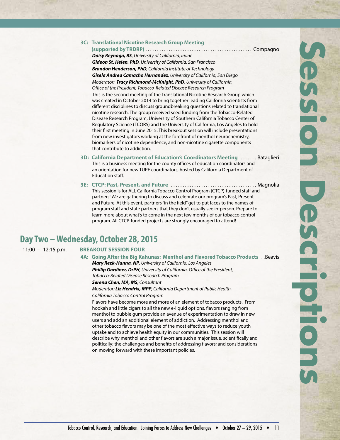| <b>3C: Translational Nicotine Research Group Meeting</b>                                                                                                                                                                                                                                                                                                                                                                                                                                                                                                                                                                                                                        |
|---------------------------------------------------------------------------------------------------------------------------------------------------------------------------------------------------------------------------------------------------------------------------------------------------------------------------------------------------------------------------------------------------------------------------------------------------------------------------------------------------------------------------------------------------------------------------------------------------------------------------------------------------------------------------------|
| Daisy Reynaga, BS, University of California, Irvine                                                                                                                                                                                                                                                                                                                                                                                                                                                                                                                                                                                                                             |
| Gideon St. Helen, PhD, University of California, San Francisco                                                                                                                                                                                                                                                                                                                                                                                                                                                                                                                                                                                                                  |
| <b>Brandon Henderson, PhD</b> , California Institute of Technology                                                                                                                                                                                                                                                                                                                                                                                                                                                                                                                                                                                                              |
| Gisela Andrea Camacho Hernandez, University of California, San Diego                                                                                                                                                                                                                                                                                                                                                                                                                                                                                                                                                                                                            |
| Moderator: Tracy Richmond-McKnight, PhD, University of California,                                                                                                                                                                                                                                                                                                                                                                                                                                                                                                                                                                                                              |
| Office of the President, Tobacco-Related Disease Research Program                                                                                                                                                                                                                                                                                                                                                                                                                                                                                                                                                                                                               |
| This is the second meeting of the Translational Nicotine Research Group which<br>was created in October 2014 to bring together leading California scientists from<br>different disciplines to discuss groundbreaking questions related to translational<br>nicotine research. The group received seed funding from the Tobacco-Related<br>Disease Research Program, University of Southern California Tobacco Center of<br>Regulatory Science (TCORS) and the University of California, Los Angeles to hold<br>their first meeting in June 2015. This breakout session will include presentations<br>from new investigators working at the forefront of menthol neurochemistry, |
| biomarkers of nicotine dependence, and non-nicotine cigarette components<br>that contribute to addiction.                                                                                                                                                                                                                                                                                                                                                                                                                                                                                                                                                                       |
| 3D: California Department of Education's Coordinators Meeting  Bataglieri<br>This is a business meeting for the county offices of education coordinators and<br>an orientation for new TUPE coordinators, hosted by California Department of<br>Education staff.                                                                                                                                                                                                                                                                                                                                                                                                                |
| This session is for ALL California Tobacco Control Program (CTCP)-funded staff and<br>partners! We are gathering to discuss and celebrate our program's Past, Present<br>and Future. At this event, partners "in the field" get to put faces to the names of                                                                                                                                                                                                                                                                                                                                                                                                                    |
| program staff and state partners that they don't usually see in-person. Prepare to<br>learn more about what's to come in the next few months of our tobacco control<br>program. All CTCP-funded projects are strongly encouraged to attend!                                                                                                                                                                                                                                                                                                                                                                                                                                     |
|                                                                                                                                                                                                                                                                                                                                                                                                                                                                                                                                                                                                                                                                                 |
| Day Two - Wednesday, October 28, 2015                                                                                                                                                                                                                                                                                                                                                                                                                                                                                                                                                                                                                                           |

11:00 – 12:15 p.m. **BREAKOUT SESSION FOUR**

**4A: Going After the Big Kahunas: Menthol and Flavored Tobacco Products**. Beavis *Mary Rezk-Hanna, NP, University of California, Los Angeles*

*Phillip Gardiner, DrPH, University of California, Office of the President, Tobacco-Related Disease Research Program*

*Serena Chen, MA, MS, Consultant*

*Moderator: Liz Hendrix, MPP, California Department of Public Health, California Tobacco Control Program*

Flavors have become more and more of an element of tobacco products. From hookah and little cigars to all the new e-liquid options, flavors ranging from menthol to bubble gum provide an avenue of experimentation to draw in new users and add an additional element of addiction. Addressing menthol and other tobacco flavors may be one of the most effective ways to reduce youth uptake and to achieve health equity in our communities. This session will describe why menthol and other flavors are such a major issue, scientifically and politically; the challenges and benefits of addressing flavors; and considerations on moving forward with these important policies.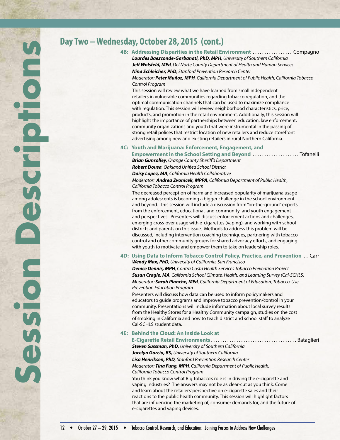### **Day Two – Wednesday, October 28, 2015 (cont.)**

#### **4B: Addressing Disparities in the Retail Environment .................. Compagno**

*Lourdes Baezconde-Garbanati, PhD, MPH, University of Southern California Jeff Wolsfeld, MEd, Del Norte County Department of Health and Human Services Nina Schleicher, PhD, Stanford Prevention Research Center*

*Moderator: Peter Muñoz, MPH, California Department of Public Health, California Tobacco Control Program*

This session will review what we have learned from small independent retailers in vulnerable communities regarding tobacco regulation, and the optimal communication channels that can be used to maximize compliance with regulation. This session will review neighborhood characteristics, price, products, and promotion in the retail environment. Additionally, this session will highlight the importance of partnerships between education, law enforcement, community organizations and youth that were instrumental in the passing of strong retail polices that restrict location of new retailers and reduce storefront advertising among new and existing retailers in rural Northern California.

#### **4C: Youth and Marijuana: Enforcement, Engagement, and**

**Empowerment in the School Setting and Beyond ...................... Tofanelli** *Brian Gunsolley, Orange County Sheriff's Department*

*Robert Dousa, Oakland Unified School District*

*Daisy Lopez, MA, California Health Collaborative*

*Moderator: Andrea Zvonicek, MPPA, California Department of Public Health, California Tobacco Control Program*

The decreased perception of harm and increased popularity of marijuana usage among adolescents is becoming a bigger challenge in the school environment and beyond. This session will include a discussion from "on-the-ground" experts from the enforcement, educational, and community and youth engagement and perspectives. Presenters will discuss enforcement actions and challenges, emerging cross-over usage with e-cigarettes (vaping), and working with school districts and parents on this issue. Methods to address this problem will be discussed, including intervention coaching techniques, partnering with tobacco control and other community groups for shared advocacy efforts, and engaging with youth to motivate and empower them to take on leadership roles.

**4D: Using Data to Inform Tobacco Control Policy, Practice, and Prevention** . . Carr

*Wendy Max, PhD, University of California, San Francisco Denice Dennis, MPH, Contra Costa Health Services Tobacco Prevention Project Susan Cragle, MA, California School Climate, Health, and Learning Survey (Cal-SCHLS) Moderator: Sarah Planche, MEd, California Department of Education, Tobacco-Use Prevention Education Program*

Presenters will discuss how data can be used to inform policymakers and educators to guide programs and improve tobacco prevention/control in your community. Presentations will include information about local survey results from the Healthy Stores for a Healthy Community campaign, studies on the cost of smoking in California and how to teach district and school staff to analyze Cal-SCHLS student data.

#### **4E: Behind the Cloud: An Inside Look at**

**E-Cigarette Retail Environments**. . Bataglieri *Steven Sussman, PhD, University of Southern California*

*Jocelyn Garcia, BS, University of Southern California Lisa Henriksen, PhD, Stanford Prevention Research Center*

*Moderator: Tina Fung, MPH, California Department of Public Health, California Tobacco Control Program*

You think you know what Big Tobacco's role is in driving the e-cigarette and vaping industries? The answers may not be as clear-cut as you think. Come and learn about the retailers' perspective on e-cigarette sales and their reactions to the public health community. This session will highlight factors that are influencing the marketing of, consumer demands for, and the future of e-cigarettes and vaping devices.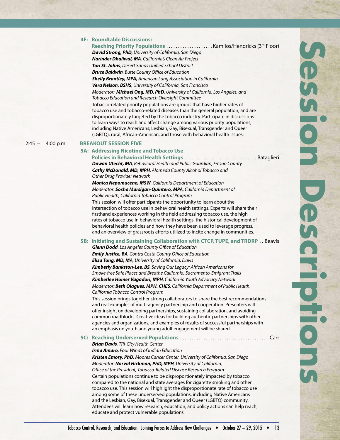|                    |  | <b>4F: Roundtable Discussions:</b>                                                  |  |
|--------------------|--|-------------------------------------------------------------------------------------|--|
|                    |  | Reaching Priority Populations  Kamilos/Hendricks (3rd Floor)                        |  |
|                    |  | David Strong, PhD, University of California, San Diego                              |  |
|                    |  | Narinder Dhaliwal, MA, California's Clean Air Project                               |  |
|                    |  | Tori St. Johns, Desert Sands Unified School District                                |  |
|                    |  | <b>Bruce Baldwin</b> , Butte County Office of Education                             |  |
|                    |  | <b>Shelly Brantley, MPA, American Lung Association in California</b>                |  |
|                    |  | Vera Nelson, BSHS, University of California, San Francisco                          |  |
|                    |  | Moderator: Michael Ong, MD, PhD, University of California, Los Angeles, and         |  |
|                    |  | Tobacco Education and Research Oversight Committee                                  |  |
|                    |  | Tobacco-related priority populations are groups that have higher rates of           |  |
|                    |  | tobacco use and tobacco-related diseases than the general population, and are       |  |
|                    |  | disproportionately targeted by the tobacco industry. Participate in discussions     |  |
|                    |  | to learn ways to reach and affect change among various priority populations,        |  |
|                    |  | including Native Americans; Lesbian, Gay, Bisexual, Transgender and Queer           |  |
|                    |  | (LGBTQ); rural; African-American; and those with behavioral health issues.          |  |
| $2:45 - 4:00$ p.m. |  | <b>BREAKOUT SESSION FIVE</b>                                                        |  |
|                    |  | <b>5A: Addressing Nicotine and Tobacco Use</b>                                      |  |
|                    |  |                                                                                     |  |
|                    |  | Dawan Utecht, MA, Behavioral Health and Public Guardian, Fresno County              |  |
|                    |  | Cathy McDonald, MD, MPH, Alameda County Alcohol Tobacco and                         |  |
|                    |  | Other Drug Provider Network                                                         |  |
|                    |  | <b>Monica Nepomuceno, MSW</b> , California Department of Education                  |  |
|                    |  | Moderator: Sosha Marsigan-Quintero, MPA, California Department of                   |  |
|                    |  | Public Health, California Tobacco Control Program                                   |  |
|                    |  | This session will offer participants the opportunity to learn about the             |  |
|                    |  | intersection of tobacco use in behavioral health settings. Experts will share their |  |
|                    |  | firsthand experiences working in the field addressing tobacco use, the high         |  |
|                    |  | rates of tobacco use in behavioral health settings, the historical development of   |  |
|                    |  | behavioral health policies and how they have been used to leverage progress,        |  |
|                    |  | and an overview of grassroots efforts utilized to incite change in communities.     |  |
|                    |  | 5B: Initiating and Sustaining Collaboration with CTCP, TUPE, and TRDRP . Beavis     |  |
|                    |  | Glenn Dodd, Los Angeles County Office of Education                                  |  |
|                    |  | <b>Emily Justice, BA</b> , Contra Costa County Office of Education                  |  |
|                    |  | Elisa Tong, MD, MA, University of California, Davis                                 |  |
|                    |  | Kimberly Bankston-Lee, BS, Saving Our Legacy: African Americans for                 |  |
|                    |  | Smoke-free Safe Places and Breathe California, Sacramento-Emigrant Trails           |  |
|                    |  | Kimberlee Homer Vagadori, MPH, California Youth Advocacy Network                    |  |
|                    |  | Moderator: Beth Olagues, MPH, CHES, California Department of Public Health,         |  |
|                    |  | California Tobacco Control Program                                                  |  |
|                    |  | This session brings together strong collaborators to share the best recommendations |  |
|                    |  | and real examples of multi-agency partnership and cooperation. Presenters will      |  |
|                    |  | offer insight on developing partnerships, sustaining collaboration, and avoiding    |  |
|                    |  | common roadblocks. Creative ideas for building authentic partnerships with other    |  |
|                    |  | agencies and organizations, and examples of results of successful partnerships with |  |
|                    |  | an emphasis on youth and young adult engagement will be shared.                     |  |
|                    |  |                                                                                     |  |
|                    |  | <b>Brian Davis</b> , TRI-City Health Center                                         |  |
|                    |  | Irma Amaro, Four Winds of Indian Education                                          |  |
|                    |  | Kristen Emory, PhD, Moores Cancer Center, University of California, San Diego       |  |
|                    |  | Moderator: Norval Hickman, PhD, MPH, University of California,                      |  |
|                    |  | Office of the President, Tobacco-Related Disease Research Program                   |  |
|                    |  | Certain populations continue to be disproportionately impacted by tobacco           |  |
|                    |  | compared to the national and state averages for cigarette smoking and other         |  |
|                    |  | tobacco use. This session will highlight the disproportionate rate of tobacco use   |  |
|                    |  | among some of these underserved populations, including Native Americans             |  |
|                    |  | and the Lesbian, Gay, Bisexual, Transgender and Queer (LGBTQ) community.            |  |
|                    |  | Attendees will learn how research, education, and policy actions can help reach,    |  |
|                    |  | educate and protect vulnerable populations.                                         |  |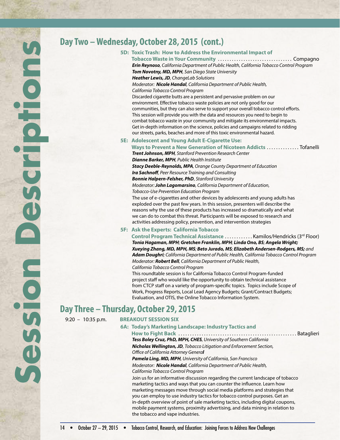### **Day Two – Wednesday, October 28, 2015 (cont.)**

#### **5D: Toxic Trash: How to Address the Environmental Impact of**

**Tobacco Waste in Your Community** . . Compagno *Erin Reynoso, California Department of Public Health, California Tobacco Control Program Tom Novotny, MD, MPH, San Diego State University Heather Lewis, JD, ChangeLab Solutions*

*Moderator: Nicole Handal, California Department of Public Health, California Tobacco Control Program*

Discarded cigarette butts are a persistent and pervasive problem on our environment. Effective tobacco waste policies are not only good for our communities, but they can also serve to support your overall tobacco control efforts. This session will provide you with the data and resources you need to begin to combat tobacco waste in your community and mitigate its environmental impacts. Get in-depth information on the science, policies and campaigns related to ridding our streets, parks, beaches and more of this toxic environmental hazard.

#### **5E: Adolescent and Young Adult E-Cigarette Use:**

**Ways to Prevent a New Generation of Nicoteen Addicts . . . . . . . . . . . . . . Tofanelli** *Trent Johnson, MPH, Stanford Prevention Research Center*

*Dianne Barker, MPH, Public Health Institute*

*Stacy Deeble-Reynolds, MPA, Orange County Department of Education Ira Sachnoff, Peer Resource Training and Consulting*

*Bonnie Halpern-Felsher, PhD*, *Stanford University*

*Moderator: John Lagomarsino, California Department of Education, Tobacco-Use Prevention Education Program*

**6A: Today's Marketing Landscape: Industry Tactics and** 

The use of e-cigarettes and other devices by adolescents and young adults has exploded over the past few years. In this session, presenters will describe the reasons why the use of these products has increased so dramatically and what we can do to combat this threat. Participants will be exposed to research and activities addressing policy, prevention, and intervention strategies

#### **5F: Ask the Experts: California Tobacco**

**Control Program Technical Assistance............. Kamilos/Hendricks (3<sup>rd</sup> Floor)** *Tonia Hagaman, MPH; Gretchen Franklin, MPH; Linda Ono, BS; Angela Wright; Xueying Zhang, MD, MPH, MS; Beto Jurado, MS; Elizabeth Andersen-Rodgers, MS; and Adam Doughri; California Department of Public Health, California Tobacco Control Program Moderator: Robert Bell, California Department of Public Health, California Tobacco Control Program*

This roundtable session is for California Tobacco Control Program-funded project staff who would like the opportunity to obtain technical assistance from CTCP staff on a variety of program-specific topics. Topics include Scope of Work, Progress Reports, Local Lead Agency Budgets; Grant/Contract Budgets; Evaluation, and OTIS, the Online Tobacco Information System.

### **Day Three – Thursday, October 29, 2015**

#### 9:20 – 10:35 p.m. **BREAKOUT SESSION SIX**

| Tess Boley Cruz, PhD, MPH, CHES, University of Southern California                                                                                                |  |
|-------------------------------------------------------------------------------------------------------------------------------------------------------------------|--|
| Nicholas Wellington, JD, Tobacco Litigation and Enforcement Section,                                                                                              |  |
| Office of California Attorney General                                                                                                                             |  |
| Pamela Ling, MD, MPH, University of California, San Francisco                                                                                                     |  |
| Moderator: Nicole Handal, California Department of Public Health,                                                                                                 |  |
| California Tobacco Control Program                                                                                                                                |  |
| Join us for an informative discussion regarding the current landscape of tobacco<br>marketing tactics and ways that you can counter the influence. Learn how      |  |
| marketing messages move through social media platforms and strategies that<br>you can employ to use industry tactics for tobacco control purposes. Get an         |  |
| in-depth overview of point of sale marketing tactics, including digital coupons,<br>mobile payment systems, proximity advertising, and data mining in relation to |  |
| the tobacco and vape industries.                                                                                                                                  |  |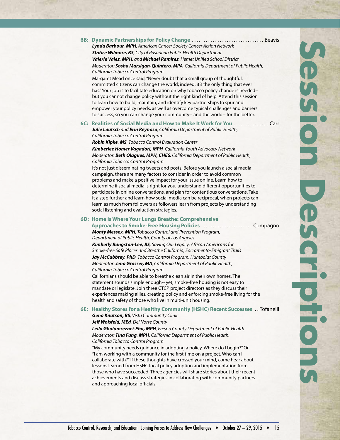|     | Lynda Barbour, MPH, American Cancer Society Cancer Action Network<br><b>Statice Wilmore, BS</b> , City of Pasadena Public Health Department<br>Valerie Valez, MPH, and Michael Ramirez, Hemet Unified School District<br>Moderator: Sosha Marsigan-Quintero, MPA, California Department of Public Health,<br>California Tobacco Control Program<br>Margaret Mead once said, "Never doubt that a small group of thoughtful,<br>committed citizens can change the world; indeed, it's the only thing that ever<br>has." Your job is to facilitate education on why tobacco policy change is needed--<br>but you cannot change policy without the right kind of help. Attend this session<br>to learn how to build, maintain, and identify key partnerships to spur and<br>empower your policy needs, as well as overcome typical challenges and barriers<br>to success, so you can change your community-- and the world-- for the better.                                                                                                                              |
|-----|-----------------------------------------------------------------------------------------------------------------------------------------------------------------------------------------------------------------------------------------------------------------------------------------------------------------------------------------------------------------------------------------------------------------------------------------------------------------------------------------------------------------------------------------------------------------------------------------------------------------------------------------------------------------------------------------------------------------------------------------------------------------------------------------------------------------------------------------------------------------------------------------------------------------------------------------------------------------------------------------------------------------------------------------------------------------------|
| 6C: | Realities of Social Media and How to Make It Work for You  Carr<br>Julie Lautsch and Erin Reynoso, California Department of Public Health,<br>California Tobacco Control Program<br>Robin Kipke, MS, Tobacco Control Evaluation Center<br>Kimberlee Homer Vagadori, MPH, California Youth Advocacy Network<br>Moderator: Beth Olagues, MPH, CHES, California Department of Public Health,<br>California Tobacco Control Program<br>It's not just disseminating tweets and posts. Before you launch a social media<br>campaign, there are many factors to consider in order to avoid common<br>problems and make a positive impact for your issue online. Learn how to<br>determine if social media is right for you, understand different opportunities to<br>participate in online conversations, and plan for contentious conversations. Take<br>it a step further and learn how social media can be reciprocal, when projects can<br>learn as much from followers as followers learn from projects by understanding<br>social listening and evaluation strategies. |
|     | 6D: Home is Where Your Lungs Breathe: Comprehensive<br>Approaches to Smoke-Free Housing Policies  Compagno<br>Monty Messex, MPH, Tobacco Control and Prevention Program,<br>Department of Public Health, County of Los Angeles<br>Kimberly Bangston-Lee, BS, Saving Our Legacy: African Americans for<br>Smoke-free Safe Places and Breathe California, Sacramento-Emigrant Trails<br>Jay McCubbrey, PhD, Tobacco Control Program, Humboldt County<br>Moderator: Jena Grosser, MA, California Department of Public Health,<br>California Tobacco Control Program<br>Californians should be able to breathe clean air in their own homes. The<br>statement sounds simple enough-- yet, smoke-free housing is not easy to                                                                                                                                                                                                                                                                                                                                               |

mandate or legislate. Join three CTCP project directors as they discuss their experiences making allies, creating policy and enforcing smoke-free living for the health and safety of those who live in multi-unit housing.

#### **6E: Healthy Stores for a Healthy Community (HSHC) Recent Successes** . . Tofanelli

*Gena Knutson, BS, Vista Community Clinic*

*Jeff Wolsfeld, MEd, Del Norte County*

#### *Leila Gholamrezaei-Eha, MPH, Fresno County Department of Public Health Moderator: Tina Fung, MPH, California Department of Public Health, California Tobacco Control Program*

"My community needs guidance in adopting a policy. Where do I begin?" Or "I am working with a community for the first time on a project. Who can I collaborate with?" If these thoughts have crossed your mind, come hear about lessons learned from HSHC local policy adoption and implementation from those who have succeeded. Three agencies will share stories about their recent achievements and discuss strategies in collaborating with community partners and approaching local officials.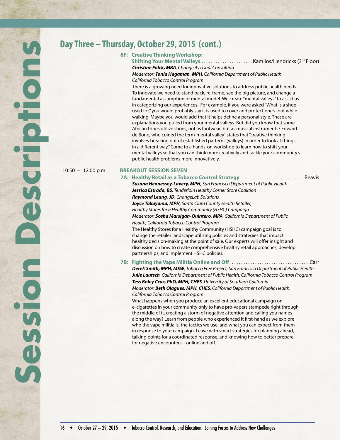### **Day Three – Thursday, October 29, 2015 (cont.)**

#### **6F: Creative Thinking Workshop:**

**Shifting Your Mental Valleys ............................ Kamilos/Hendricks (3<sup>rd</sup> Floor)** *Christine Folck, MBA, Change As Usual Consulting*

*Moderator: Tonia Hagaman, MPH, California Department of Public Health, California Tobacco Control Program*

There is a growing need for innovative solutions to address public health needs. To innovate we need to stand back, re-frame, see the big picture, and change a fundamental assumption or mental model. We create "mental valleys" to assist us in categorizing our experiences. For example, if you were asked "What is a shoe used for," you would probably say it is used to cover and protect one's foot while walking. Maybe you would add that it helps define a personal style. These are explanations you pulled from your mental valleys. But did you know that some African tribes utilize shoes, not as footwear, but as musical instruments? Edward de Bono, who coined the term 'mental valley', states that "creative thinking involves breaking out of established patterns (valleys) in order to look at things in a different way." Come to a hands-on workshop to learn how to shift your mental valleys so that you can think more creatively and tackle your community's public health problems more innovatively.

#### 10:50 – 12:00 p.m. **BREAKOUT SESSION SEVEN**

7A: Healthy Retail as a Tobacco Control Strategy .............................. Beavis *Susana Hennessey-Lavery, MPH, San Francisco Department of Public Health Jessica Estrada, BS, Tenderloin Healthy Corner Store Coalition Raymond Leung, JD, ChangeLab Solutions Joyce Takayama, MPH, Santa Clara County Health Retailer, Healthy Stores for a Healthy Community (HSHC) Campaign Moderator: Sosha Marsigan-Quintero, MPA, California Department of Public Health, California Tobacco Control Program*

The Healthy Stores for a Healthy Community (HSHC) campaign goal is to change the retailer landscape utilizing policies and strategies that impact healthy decision-making at the point of sale. Our experts will offer insight and discussion on how to create comprehensive healthy retail approaches, develop partnerships, and implement HSHC policies.

**7B: Fighting the Vape Militia Online and Off** . . Carr

*Derek Smith, MPH, MSW, Tobacco Free Project, San Francisco Department of Public Health Julie Lautsch, California Department of Public Health, California Tobacco Control Program Tess Boley Cruz, PhD, MPH, CHES, University of Southern California* 

*Moderator: Beth Olagues, MPH, CHES, California Department of Public Health, California Tobacco Control Program*

What happens when you produce an excellent educational campaign on e-cigarettes in your community only to have pro-vapers stampede right through the middle of it, creating a storm of negative attention and calling you names along the way? Learn from people who experienced it first-hand as we explore who the vape militia is, the tactics we use, and what you can expect from them in response to your campaign. Leave with smart strategies for planning ahead, talking points for a coordinated response, and knowing how to better prepare for negative encounters – online and off.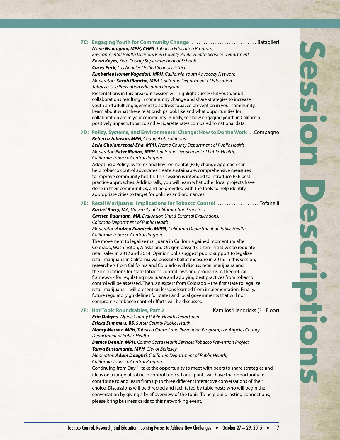|     | 7C: Engaging Youth for Community Change Bataglieri<br>Nsele Nsuangani, MPH, CHES, Tobacco Education Program,<br>Environmental Health Division, Kern County Public Health Services Department |
|-----|----------------------------------------------------------------------------------------------------------------------------------------------------------------------------------------------|
|     | Kevin Keyes, Kern County Superintendent of Schools                                                                                                                                           |
|     | <b>Carey Peck</b> , Los Angeles Unified School District                                                                                                                                      |
|     | Kimberlee Homer Vagadori, MPH, California Youth Advocacy Network                                                                                                                             |
|     | Moderator: Sarah Planche, MEd, California Department of Education,                                                                                                                           |
|     | Tobacco-Use Prevention Education Program                                                                                                                                                     |
|     | Presentations in this breakout session will highlight successful youth/adult                                                                                                                 |
|     | collaborations resulting in community change and share strategies to increase                                                                                                                |
|     | youth and adult engagement to address tobacco prevention in your community.                                                                                                                  |
|     | Learn about what these relationships look like and what opportunities for                                                                                                                    |
|     | collaboration are in your community. Finally, see how engaging youth in California<br>positively impacts tobacco and e-cigarette rates compared to national data.                            |
|     |                                                                                                                                                                                              |
|     | 7D: Policy, Systems, and Environmental Change: How to Do the WorkCompagno                                                                                                                    |
|     | Rebecca Johnson, MPH, ChangeLab Solutions                                                                                                                                                    |
|     | Leila Gholamrezaei-Eha, MPH, Fresno County Department of Public Health                                                                                                                       |
|     | Moderator: Peter Muñoz, MPH, California Department of Public Health,                                                                                                                         |
|     | California Tobacco Control Program<br>Adopting a Policy, Systems and Environmental (PSE) change approach can                                                                                 |
|     | help tobacco control advocates create sustainable, comprehensive measures                                                                                                                    |
|     | to improve community health. This session is intended to introduce PSE best                                                                                                                  |
|     | practice approaches. Additionally, you will learn what other local projects have                                                                                                             |
|     | done in their communities, and be provided with the tools to help identify                                                                                                                   |
|     | appropriate cities to target for policies and ordinances.                                                                                                                                    |
| 7E: | Retail Marijuana: Implications for Tobacco Control  Tofanelli                                                                                                                                |
|     | Rachel Barry, MA, University of California, San Francisco                                                                                                                                    |
|     | <b>Carsten Baumann, MA, Evaluation Unit &amp; External Evaluations,</b>                                                                                                                      |
|     | Colorado Department of Public Health                                                                                                                                                         |
|     | Moderator: Andrea Zvonicek, MPPA, California Department of Public Health,                                                                                                                    |
|     | California Tobacco Control Program                                                                                                                                                           |
|     | The movement to legalize marijuana in California gained momentum after                                                                                                                       |
|     | Colorado, Washington, Alaska and Oregon passed citizen-initiatives to regulate<br>retail sales in 2012 and 2014. Opinion polls suggest public support to legalize                            |
|     | retail marijuana in California via possible ballot measure in 2016. In this session,                                                                                                         |
|     | researchers from California and Colorado will discuss retail marijuana and                                                                                                                   |
|     | the implications for state tobacco control laws and programs. A theoretical                                                                                                                  |
|     | framework for regulating marijuana and applying best practices from tobacco                                                                                                                  |
|     | control will be assessed. Then, an expert from Colorado - the first state to legalize                                                                                                        |
|     | retail marijuana - will present on lessons learned from implementation. Finally,                                                                                                             |
|     | future regulatory guidelines for states and local governments that will not                                                                                                                  |
|     | compromise tobacco control efforts will be discussed.                                                                                                                                        |
|     | 7F: Hot Topic Roundtables, Part 2 Kamilos/Hendricks (3rd Floor)                                                                                                                              |
|     | Erin Dobyns, Alpine County Public Health Department                                                                                                                                          |
|     | Ericka Summers, BS, Sutter County Public Health                                                                                                                                              |
|     | Monty Messex, MPH, Tobacco Control and Prevention Program, Los Angeles County                                                                                                                |
|     | Department of Public Health                                                                                                                                                                  |
|     | Denice Dennis, MPH, Contra Costa Health Services Tobacco Prevention Project<br>Tanya Bustamante, MPH, City of Berkeley                                                                       |
|     | Moderator: Adam Doughri, California Department of Public Health,                                                                                                                             |
|     | California Tobacco Control Program                                                                                                                                                           |
|     | Continuing from Day 1, take the opportunity to meet with peers to share strategies and                                                                                                       |
|     | ideas on a range of tobacco control topics. Participants will have the opportunity to                                                                                                        |
|     | contribute to and learn from up to three different interactive conversations of their                                                                                                        |
|     | choice. Discussions will be directed and facilitated by table hosts who will begin the                                                                                                       |
|     | conversation by giving a brief overview of the topic. To help build lasting connections,                                                                                                     |
|     | please bring business cards to this networking event.                                                                                                                                        |
|     |                                                                                                                                                                                              |
|     |                                                                                                                                                                                              |
|     |                                                                                                                                                                                              |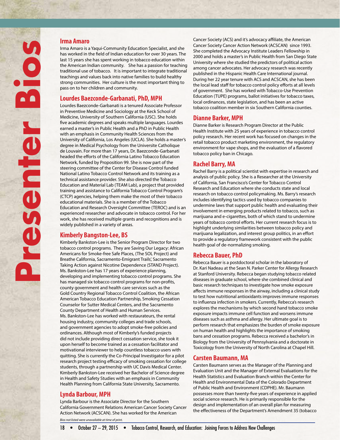**Presenter Bios**

CONCI

Irma Amaro is a Yaqui-Community Education Specialist, and she has worked in the field of Indian education for over 30 years. The last 15 years she has spent working in tobacco education within the American Indian community. She has a passion for teaching traditional use of tobacco. It is important to integrate traditional teachings and values back into native families to build healthy strong communities. Her culture is the most important thing to pass on to her children and community.

#### **Lourdes Baezconde-Garbanati, PhD, MPH**

Lourdes Baezconde-Garbanati is a tenured Associate Professor in Preventive Medicine and Sociology at the Keck School of Medicine, University of Southern California (USC). She holds five academic degrees and speaks multiple languages. Lourdes earned a master's in Public Health and a PhD in Public Health with an emphasis in Community Health Sciences from the University of California, Los Angeles (UCLA). She holds a master's degree in Medical Psychology from the Universite Catholique de Louvain. For more than 17 years, Dr. Baezconde-Garbanati headed the efforts of the California Latino Tobacco Education Network, funded by Proposition 99. She is now part of the steering committee of the Center for Disease Control funded National Latino Tobacco Control Network and its training as a technical assistance provider. She also directed the Tobacco Education and Material Lab (TEAM Lab), a project that provided training and assistance to California Tobacco Control Program's (CTCP) agencies, helping them make the most of their tobacco educational materials. She is a member of the Tobacco Education and Research Oversight Committee (TEROC) and is an experienced researcher and advocate in tobacco control. For her work, she has received multiple grants and recognitions and is widely published in a variety of areas.

#### **Kimberly Bangston-Lee, BS**

Kimberly Bankston-Lee is the Senior Program Director for two tobacco control programs. They are Saving Our Legacy: African Americans for Smoke-free Safe Places, (The SOL Project) and Breathe California, Sacramento-Emigrant Trails', Sacramento Taking Action against Nicotine Dependence (STAND Project). Ms. Bankston-Lee has 17 years of experience planning, developing and implementing tobacco control programs. She has managed six tobacco control programs for non-profits, county government and health care services such as the Gold Country Regional Tobacco Control Coalition, the African American Tobacco Education Partnership, Smoking Cessation Counselor for Sutter Medical Centers, and the Sacramento County Department of Health and Human Services. Ms. Bankston-Lee has worked with restaurateurs, the rental housing industry, community colleges and trade schools, and government agencies to adopt smoke-free policies and ordinances. Although most of Kimberly's funded projects did not include providing direct cessation service, she took it upon herself to become trained as a cessation facilitator and motivational interviewer to help countless tobacco users with quitting. She is currently the Co-Principal Investigator for a pilot research project testing efficacy of smoking cessation for college students, through a partnership with UC Davis Medical Center. Kimberly Bankston-Lee received her Bachelor of Science degree in Health and Safety Studies with an emphasis in Community Health Planning from California State University, Sacramento.

#### **Lynda Barbour, MPH**

Lynda Barbour is the Associate Director for the Southern California Government Relations American Cancer Society Cancer Action Network (ACSCAN). She has worked for the American

Cancer Society (ACS) and it's advocacy affiliate, the American Cancer Society Cancer Action Network (ACSCAN) since 1993. She completed the Advocacy Institute Leaders Fellowship in 2000 and holds a master's in Public Health from San Diego State University where she studied the predictors of political action among cancer advocates. Her advocacy research was recently published in the Hispanic Health Care International journal. During her 22 year tenure with ACS and ACSCAN, she has been the local lead staff for tobacco control policy efforts at all levels of government. She has worked with Tobacco-Use Prevention Education (TUPE) programs, ballot initiatives for tobacco taxes, local ordinances, state legislation, and has been an active tobacco coalition member in six Southern California counties.

#### **Dianne Barker, MPH**

Dianne Barker is Research Program Director at the Public Health Institute with 25 years of experience in tobacco control policy research. Her recent work has focused on changes in the retail tobacco product marketing environment, the regulatory environment for vape shops, and the evaluation of a flavored tobacco policy ban in Chicago.

#### **Rachel Barry, MA**

Rachel Barry is a political scientist with expertise in research and analysis of public policy. She is a Researcher at the University of California, San Francisco's Center for Tobacco Control Research and Education where she conducts state and local research on tobacco control policymaking. Ms. Barry's research includes identifying tactics used by tobacco companies to undermine laws that support public health and evaluating their involvement in emerging products related to tobacco, such as marijuana and e-cigarettes, both of which stand to undermine years of tobacco control efforts. Her current research focus is to highlight underlying similarities between tobacco policy and marijuana legalization, and interest group politics, in an effort to provide a regulatory framework consistent with the public health goal of de-normalizing smoking.

#### **Rebecca Bauer, PhD**

Rebecca Bauer is a postdoctoral scholar in the laboratory of Dr. Kari Nadeau at the Sean N. Parker Center for Allergy Research at Stanford University. Rebecca began studying tobacco related diseases in graduate school, where she combined clinical and basic research techniques to investigate how smoke exposure affects immune responses in the airway, including a clinical study to test how nutritional antioxidants improves immune responses to influenza infection in smokers. Currently, Rebecca's research explores the mechanisms by which second hand tobacco smoke exposure impacts immune cell function and worsens immune diseases such as asthma and allergy. Her ultimate goal is to perform research that emphasizes the burden of smoke exposure on human health and highlights the importance of smoking bans and cessation programs. Rebecca received a bachelor's in Biology from the University of Pennsylvania and a doctorate in Toxicology from the University of North Carolina at Chapel Hill.

#### **Carsten Baumann, MA**

Carsten Baumann serves as the Manager of the Planning and Evaluation Unit and the Manager of External Evaluations for the Health Statistics and Evaluation Branch within the Center for Health and Environmental Data of the Colorado Department of Public Health and Environment (CDPHE). Mr. Baumann possesses more than twenty-five years of experience in applied social science research. He is primarily responsible for the design and implementation of an overall plan for measuring the effectiveness of the Department's Amendment 35 (tobacco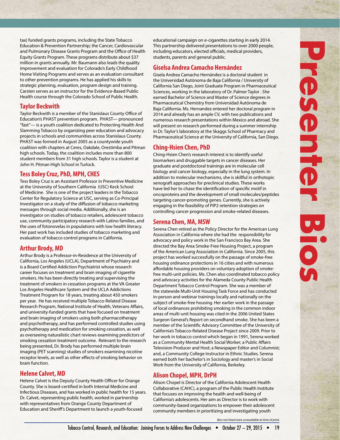tax) funded grants programs, including the State Tobacco Education & Prevention Partnership; the Cancer, Cardiovascular and Pulmonary Disease Grants Program and the Office of Health Equity Grants Program. These programs distribute about \$37 million in grants annually. Mr. Baumann also leads the quality improvement and evaluation for Colorado's Early Childhood Home Visiting Programs and serves as an evaluation consultant to other prevention programs. He has applied his skills to strategic planning, evaluation, program design and training. Carsten serves as an instructor for the Evidence-Based Public Health course through the Colorado School of Public Health.

#### **Taylor Beckwith**

Taylor Beckwith is a member of the Stanislaus County Office of Education's PHAST prevention program. PHAST— pronounced "fast"— is a youth coalition dedicated to Protecting Health And Slamming Tobacco by organizing peer education and advocacy projects in schools and communities across Stanislaus County. PHAST was formed in August 2005 as a countywide youth coalition with chapters at Ceres, Oakdale, Orestimba and Pitman high schools. Today, the coalition includes more than 800 student members from 31 high schools. Taylor is a student at John H. Pitman High School in Turlock.

#### **Tess Boley Cruz, PhD, MPH, CHES**

Tess Boley Cruz is an Assistant Professor in Preventive Medicine at the University of Southern California (USC) Keck School of Medicine. She is one of the project leaders in the Tobacco Center for Regulatory Science at USC, serving as Co-Principal Investigator on a study of the diffusion of tobacco marketing messages through social media. Additionally, she is an investigator on studies of tobacco retailers, adolescent tobacco use, community participatory research with Latino families, and the uses of fotonovelas in populations with low health literacy. Her past work has included studies of tobacco marketing and evaluation of tobacco control programs in California.

#### **Arthur Brody, MD**

Arthur Brody is a Professor-in-Residence at the University of California, Los Angeles (UCLA), Department of Psychiatry and is a Board Certified Addiction Psychiatrist whose research career focuses on treatment and brain imaging of cigarette smokers. He has been directly treating and supervising the treatment of smokers in cessation programs at the VA Greater Los Angeles Healthcare System and the UCLA Addictions Treatment Program for 18 years, treating about 450 smokers per year. He has received multiple Tobacco-Related Disease Research Program, National Institute of Health, Veterans Affairs, and university-funded grants that have focused on treatment and brain imaging of smokers using both pharmacotherapy and psychotherapy, and has performed controlled studies using psychotherapy and medication for smoking cessation, as well as overseeing naturalistic chart reviews examining predictors of smoking cessation treatment outcome. Relevant to the research being presented, Dr. Brody has performed multiple brain imaging (PET scanning) studies of smokers examining nicotine receptor levels, as well as other effects of smoking behavior on brain function.

#### **Helene Calvet, MD**

Helene Calvet is the Deputy County Health Officer for Orange County. She is board-certified in both Internal Medicine and Infectious Diseases, and has worked in public health for 15 years. Dr. Calvet, representing public health, worked in partnership with representatives from Orange County Department of Education and Sheriff's Department to launch a youth-focused

educational campaign on e-cigarettes starting in early 2014. This partnership delivered presentations to over 2000 people, including educators, elected officials, medical providers, students, parents and general public.

#### **Giselsa Andrea Camacho Hernández**

Gisela Andrea Camacho Hernández is a doctoral student in the Universidad Autónoma de Baja California / University of California San Diego, Joint Graduate Program in Pharmaceutical Sciences, working in the laboratory of Dr. Palmer Taylor . She earned Bachelor of Science and Master of Science degrees in Pharmaceutical Chemistry from Universidad Autónoma de Baja California. Ms. Hernandez entered her doctoral program in 2014 and already has an ample CV, with two publications and numerous research presentations within Mexico and abroad. She will present on research performed during a summer internship in Dr. Taylor's laboratory at the Skaggs School of Pharmacy and Pharmaceutical Science at the University of California, San Diego.

#### **Ching-Hsien Chen, PhD**

Ching-Hsien Chen's research interest is to identify useful biomarkers and druggable targets in cancer diseases. Her graduate and postdoctoral trainings are in molecular cell biology and cancer biology, especially in the lung system. In addition to molecular mechanisms, she is skillful in orthotopic xenograft approaches for preclinical studies. These works have led her to chase the identification of specific motif in oncoproteins and the development of small molecules/peptides targeting cancer-promoting genes. Currently, she is actively engaging in the feasibility of PIP2 retention strategies on controlling cancer progression and smoke-related diseases.

#### **Serena Chen, MA, MSW**

Serena Chen retired as the Policy Director for the American Lung Association in California where she had the responsibility for advocacy and policy work in the San Francisco Bay Area. She directed the Bay Area Smoke-Free Housing Project, a program of the American Lung Association in California. Since 2005, this project has worked successfully on the passage of smoke-free housing ordinance protections in 16 cities and with numerous affordable housing providers on voluntary adoption of smokefree multi-unit policies. Ms. Chen also coordinated tobacco policy and advocacy activities for the Alameda County Public Health Department Tobacco Control Program. She was a member of the statewide Multi-Unit Housing Task Force and has conducted in-person and webinar trainings locally and nationally on the subject of smoke-free housing. Her earlier work in the passage of local ordinances prohibiting smoking in the common indoor areas of multi-unit housing was cited in the 2006 United States Surgeon General's Report on secondhand smoke. She has been a member of the Scientific Advisory Committee of the University of California's Tobacco-Related Disease Project since 2009. Prior to her work in tobacco control which began in 1991, Serena worked as a Community Mental Health Social Worker; a Public Affairs Television Producer and Host; a Newspaper Editor and Columnist; and, a Community College Instructor in Ethnic Studies. Serena earned both her bachelor's in Sociology and master's in Social Work from the University of California, Berkeley.

### **Alison Chopel, MPH, DrPH**

Alison Chopel is Director of the California Adolescent Health Collaborative (CAHC), a program of the Public Health Institute that focuses on improving the health and well-being of California's adolescents. Her aim as Director is to work with community-based organizations to empower their adolescent community members in prioritizing and investigating youth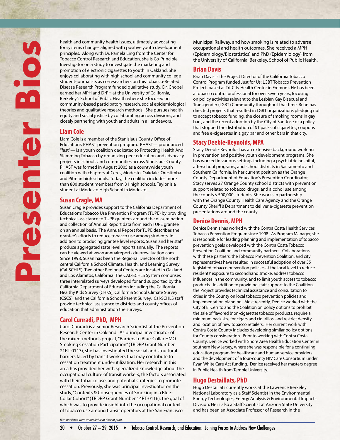health and community health issues, ultimately advocating for systems changes aligned with positive youth development principles. Along with Dr. Pamela Ling from the Center for Tobacco Control Research and Education, she is Co-Principle Investigator on a study to investigate the marketing and promotion of electronic cigarettes to youth in Oakland. She enjoys collaborating with high school and community college student-journalists as co-researchers on this Tobacco-Related Disease Research Program funded qualitative study. Dr. Chopel earned her MPH and DrPH at the University of California, Berkeley's School of Public Health where she focused on community-based participatory research, social epidemiological theories and qualitative research methods. She pursues health equity and social justice by collaborating across divisions, and closely partnering with youth and adults in all endeavors.

#### **Liam Cole**

Liam Cole is a member of the Stanislaus County Office of Education's PHAST prevention program. PHAST— pronounced "fast"— is a youth coalition dedicated to Protecting Health And Slamming Tobacco by organizing peer education and advocacy projects in schools and communities across Stanislaus County. PHAST was formed in August 2005 as a countywide youth coalition with chapters at Ceres, Modesto, Oakdale, Orestimba and Pitman high schools. Today, the coalition includes more than 800 student members from 31 high schools. Taylor is a student at Modesto High School in Modesto.

#### **Susan Cragle, MA**

Susan Cragle provides support to the California Department of Education's Tobacco Use Prevention Program (TUPE) by providing technical assistance to TUPE grantees around the dissemination and collection of Annual Report data from each TUPE grantee on an annual basis. The Annual Report for TUPE describes the grantee's efforts to reduce tobacco use among students. In addition to producing grantee level reports, Susan and her staff produce aggregated state level reports annually. The reports can be viewed at www.annualreports.duerrevaluation.com. Since 1998, Susan has been the Regional Director of the north central California School Climate, Health, and Learning Survey (Cal-SCHLS). Two other Regional Centers are located in Oakland and Los Alamitos, California. The CAL-SCHLS System comprises three interrelated surveys developed for and supported by the California Department of Education including the California Healthy Kids Survey (CHKS), California School Climate Survey (CSCS), and the California School Parent Survey. Cal-SCHLS staff provide technical assistance to districts and county offices of education that administration the surveys.

#### **Carol Cunradi, PhD, MPH**

Carol Cunradi is a Senior Research Scientist at the Prevention Research Center in Oakland. As principal investigator of the mixed-methods project, "Barriers to Blue-Collar HMO Smoking Cessation Participation" (TRDRP Grant Number 21RT-0113), she has investigated the social and structural barriers faced by transit workers that may contribute to cessation treatment underutilization. Her research in this area has provided her with specialized knowledge about the occupational culture of transit workers, the factors associated with their tobacco use, and potential strategies to promote cessation. Previously, she was principal investigator on the study, "Contexts & Consequences of Smoking in a Blue-Collar Cohort" (TRDRP Grant Number 14RT-0116), the goal of which was to provide insight into the occupational context of tobacco use among transit operators at the San Francisco

Municipal Railway, and how smoking is related to adverse occupational and health outcomes. She received a MPH (Epidemiology/Biostatistics) and PhD (Epidemiology) from the University of California, Berkeley, School of Public Health.

#### **Brian Davis**

Brian Davis is the Project Director of the California Tobacco Control Program funded Just for Us: LGBT Tobacco Prevention Project, based at Tri-City Health Center in Fremont. He has been a tobacco control professional for over seven years, focusing on policy activities relevant to the Lesbian Gay Bisexual and Transgender (LGBT) Community throughout that time. Brian has directed projects that resulted in LGBT organizations pledging not to accept tobacco funding, the closure of smoking rooms in gay bars, and the recent adoption by the City of San Jose of a policy that stopped the distribution of \$1 packs of cigarettes, coupons and free e-cigarettes in a gay bar and other bars in that city.

#### **Stacy Deeble-Reynolds, MPA**

Stacy Deeble-Reynolds has an extensive background working in prevention and positive youth development programs. She has worked in various settings including a psychiatric hospital, afterschool programs, and school districts in Sacramento and Southern California. In her current position as the Orange County Department of Education's Prevention Coordinator, Stacy serves 27 Orange County school districts with prevention support related to tobacco, drugs, and alcohol use among the county's 500,000 students. She works in partnership with the Orange County Health Care Agency and the Orange County Sheriff's Department to deliver e-cigarette prevention presentations around the county.

#### **Denice Dennis, MPH**

Denice Dennis has worked with the Contra Costa Health Services Tobacco Prevention Program since 1998. As Program Manager, she is responsible for leading planning and implementation of tobacco prevention goals developed with the Contra Costa Tobacco Prevention Coalition and community partners. Collaborations with these partners, the Tobacco Prevention Coalition, and city representatives have resulted in successful adoption of over 35 legislated tobacco prevention policies at the local level to reduce residents' exposure to secondhand smoke, address tobacco influences in the community, and to limit youth access to tobacco products. In addition to providing staff support to the Coalition, the Project provides technical assistance and consultation to cities in the County on local tobacco prevention policies and implementation planning. Most recently, Denice worked with the City of El Cerrito and the Coalition on policy options to prohibit the sale of flavored (non-cigarette) tobacco products, require a minimum pack size for cigars and cigarillos, and restrict density and location of new tobacco retailers. Her current work with Contra Costa County includes developing similar policy options for County consideration. Prior to working with Contra Costa County, Denice worked with Shore Area Health Education Center in southern New Jersey, where she was responsible for a continuing education program for healthcare and human service providers and the development of a four-county HIV Care Consortium under Ryan White Care Act funding. Denice received her masters degree in Public Health from Temple University.

#### **Hugo Destaillats, PhD**

Hugo Destaillats currently works at the Lawrence Berkeley National Laboratory as a Staff Scientist in the Environmental Energy Technologies, Energy Analysis & Environmental Impacts Division. He is also a Staff Scientist at Arizona State University and has been an Associate Professor of Research in the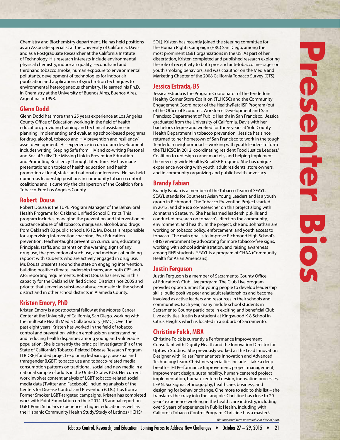Chemistry and Biochemistry department. He has held positions as an Associate Specialist at the University of California, Davis and as a Postgraduate Researcher at the California Institute of Technology. His research interests include environmental physical chemistry, indoor air quality, secondhand and thirdhand tobacco smoke, human exposure to environmental pollutants, development of technologies for indoor air purification and applications of synchrotron techniques to environmental heterogeneous chemistry. He earned his Ph.D. in Chemistry at the University of Buenos Aires, Buenos Aires, Argentina in 1998.

#### **Glenn Dodd**

Glenn Dodd has more than 25 years experience at Los Angeles County Office of Education working in the field of health education, providing training and technical assistance in planning, implementing and evaluating school-based programs for drug, alcohol, tobacco and HIV prevention and resiliency/ asset development. His experience in curriculum development includes writing Keeping Safe from HIV and co-writing Personal and Social Skills: The Missing Link in Prevention Education and Promoting Resiliency Through Literature. He has made presentations on topics of health education and health promotion at local, state, and national conferences. He has held numerous leadership positions in community tobacco control coalitions and is currently the chairperson of the Coalition for a Tobacco-Free Los Angeles County.

#### **Robert Dousa**

Robert Dousa is the TUPE Program Manager of the Behavioral Health Programs for Oakland Unified School District. This program includes managing the prevention and intervention of substance abuse of all tobacco, marijuana, alcohol, and drugs from Oakland's 82 public schools, K-12. Mr. Dousa is responsible for supervising intervention coaching, Peer Education prevention, Teacher-taught prevention curriculum, educating Principals, staffs, and parents on the warning signs of any drug use, the prevention of such use, and methods of building rapport with students who are actively engaged in drug use. Mr. Dousa presents around the state on engaging intervention, building positive climate leadership teams, and both CPS and APS reporting requirements. Robert Dousa has served in this capacity for the Oakland Unified School District since 2005 and prior to that served as substance abuse counselor in the school district and in other school districts in Alameda County.

#### **Kristen Emory, PhD**

Kristen Emory is a postdoctoral fellow at the Moores Cancer Center at the University of California, San Diego, working with the multi-site Health Media Collaboratory (HMC). Over the past eight years, Kristen has worked in the field of tobacco control and prevention, with an emphasis on understanding and reducing health disparities among young and vulnerable population. She is currently the principal investigator (PI) of the State of California's Tobacco-Related Disease Research Program (TRDRP)-funded project exploring lesbian, gay, bisexual and transgender (LGBT) tobacco use and tobacco-related media consumption patterns on traditional, social and new media in a national sample of adults in the United States (US). Her current work involves content analysis of LGBT tobacco-related social media data (Twitter and Facebook), including analysis of the Centers for Disease Control and Prevention (CDC) Tips from a Former Smoker LGBT-targeted campaigns. Kristen has completed work with Point Foundation on their 2014-15 annual report on LGBT Point Scholar's experience in higher education as well as the Hispanic Community Health Study/Study of Latinos (HCHS/

SOL). Kristen has recently joined the steering committee for the Human Rights Campaign (HRC) San Diego, among the most prominent LGBT organizations in the US. As part of her dissertation, Kristen completed and published research exploring the role of receptivity to both pro- and anti-tobacco messages on youth smoking behaviors, and was coauthor on the Media and Marketing Chapter of the 2008 California Tobacco Survey (CTS).

#### **Jessica Estrada, BS**

Jessica Estrada is the Program Coordinator of the Tenderloin Healthy Corner Store Coalition (TLHCSC) and the Community Engagement Coordinator of the HealthyRetailSF Program (out of the Office of Economic Workforce Development and San Francisco Department of Public Health) in San Francisco. Jessica graduated from the University of California, Davis with her bachelor's degree and worked for three years at Yolo County Health Department in tobacco prevention. Jessica has since returned to her hometown of San Francisco to work in the tough Tenderloin neighborhood -- working with youth leaders to form the TLHCSC in 2012, coordinating resident Food Justice Leaders/ Coalition to redesign corner markets, and helping implement the new city-wide HealthyRetailSF Program. She has unique experience working with youth, adult residents, store owners, and in community organizing and public health advocacy.

#### **Brandy Fabian**

Brandy Fabian is a member of the Tobacco Team of SEAYL. SEAYL stands for Southeast Asian Young Leaders and is a youth group in Richmond. The Tobacco Prevention Project started in 2012, and she is a co-researcher on this project along with Johnathan Saeteurn. She has learned leadership skills and conducted research on tobacco's effect on the community, environment, and health. In the project, she and Johnathan are working on tobacco policy, enforcement, and youth access to tobacco. The main goal is to improve Richmond High School's (RHS) environment by advocating for more tobacco-free signs, working with school administration, and raising awareness among RHS students. SEAYL is a program of CHAA (Community Health for Asian Americans).

#### **Justin Ferguson**

Justin Ferguson is a member of Sacramento County Office of Education's Club Live program. The Club Live program provides opportunities for young people to develop leadership skills, build positive peer and adult relationships and become involved as active leaders and resources in their schools and communities. Each year, many middle school students in Sacramento County participate in exciting and beneficial Club Live activities. Justin is a student at Kingswood K-8 School in Citrus Heights which is located in a suburb of Sacramento.

#### **Christine Folck, MBA**

Christine Folck is currently a Performance Improvement Consultant with Dignity Health and the Innovation Director for Uptown Studios. She previously worked as the Lead Innovation Designer with Kaiser Permanente's Innovation and Advanced Technology team. Christine's specialties include – take a deep breath – IHI Performance Improvement, project management, improvement design, sustainability, human-centered project implementation, human-centered design, innovation processes, LEAN, Six Sigma, ethnography, healthcare, business, and designing for behavior change. One more to add to this list – she translates the crazy into the tangible. Christine has close to 20 years' experience working in the health care industry, including over 5 years of experience in Public Health, including with California Tobacco Control Program. Christine has a master's

**Presenter Bios**

E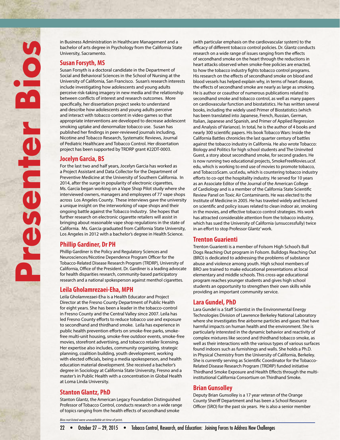in Business Administration in Healthcare Management and a bachelor of arts degree in Psychology from the California State University, Sacramento.

#### **Susan Forsyth, MS**

Susan Forsyth is a doctoral candidate in the Department of Social and Behavioral Sciences in the School of Nursing at the University of California, San Francisco. Susan's research interests include investigating how adolescents and young adults perceive risk-taking imagery in new media and the relationship between conflicts of interest and research outcomes. More specifically, her dissertation project seeks to understand and describe how adolescents and young adults perceive and interact with tobacco content in video games so that appropriate interventions are developed to decrease adolescent smoking uptake and denormalize tobacco use. Susan has published her findings in peer-reviewed journals including, Nicotine and Tobacco Research, Systematic Reviews, Journal of Pediatric Healthcare and Tobacco Control. Her dissertation project has been supported by TRDRP grant #22DT-0003.

#### **Jocelyn Garcia, BS**

For the last two and half years, Jocelyn Garcia has worked as a Project Assistant and Data Collector for the Department of Preventive Medicine at the University of Southern California. In 2014, after the surge in popularity of electronic cigarettes, Ms. Garcia began working on a Vape Shop Pilot study where she interviewed owners, managers and employees of 77 vape shops across Los Angeles County. These interviews gave the university a unique insight on the interworking of vape shops and their ongoing battle against the Tobacco Industry. She hopes that further research on electronic cigarette retailers will assist in bringing about reasonable vape shop regulations in the state of California. Ms. Garcia graduated from California State University, Los Angeles in 2012 with a bachelor's degree in Health Science.

#### **Phillip Gardiner, Dr PH**

Phillip Gardiner is the Policy and Regulatory Sciences and Neurosciences/Nicotine Dependence Program Officer for the Tobacco-Related Disease Research Program (TRDRP), University of California, Office of the President. Dr. Gardiner is a leading advocate for health disparities research, community-based participatory research and a national spokesperson against menthol cigarettes.

#### **Leila Gholamrezaei-Eha, MPH**

Leila Gholamrezaei-Eha is a Health Educator and Project Director at the Fresno County Department of Public Health for eight years. She has been a leader in the tobacco-control in Fresno County and the Central Valley since 2007. Leila has led Fresno County efforts to reduce tobacco use and exposure to secondhand and thirdhand smoke. Leila has experience in public health prevention efforts on smoke-free parks, smokefree multi-unit housing, smoke-free outdoor events, smoke-free movies, storefront advertising, and tobacco retailer licensing. Her expertise also includes, community organizing, strategic planning, coalition building, youth development, working with elected officials, being a media spokesperson, and health education material development. She received a bachelor's degree in Sociology at California State University, Fresno and a master's in Public Health with a concentration in Global Health at Loma Linda University.

#### **Stanton Glantz, PhD**

Stanton Glantz, the American Legacy Foundation Distinguished Professor of Tobacco Control, conducts research on a wide range of topics ranging from the health effects of secondhand smoke

(with particular emphasis on the cardiovascular system) to the efficacy of different tobacco control policies. Dr. Glantz conducts research on a wide range of issues ranging from the effects of secondhand smoke on the heart through the reductions in heart attacks observed when smoke-free policies are enacted, to how the tobacco industry fights tobacco control programs. His research on the effects of secondhand smoke on blood and blood vessels has helped explain why, in terms of heart disease, the effects of secondhand smoke are nearly as large as smoking. He is author or coauthor of numerous publications related to secondhand smoke and tobacco control, as well as many papers on cardiovascular function and biostatistics. He has written several books, including the widely used Primer of Biostatistics (which has been translated into Japanese, French, Russian, German, Italian, Japanese and Spanish, and Primer of Applied Regression and Analysis of Variance). In total, he is the author of 4 books and nearly 300 scientific papers. His book Tobacco Wars: Inside the California Battles chronicles the last quarter century of battles against the tobacco industry in California. He also wrote Tobacco: Biology and Politics for high school students and The Uninvited Guest, a story about secondhand smoke, for second graders. He is now running two educational projects, SmokeFreeMovies.ucsf. edu, which is working to end use of movies to promote tobacco, and TobaccoScam. ucsf.edu, which is countering tobacco industry efforts to co-opt the hospitality industry. He served for 10 years as an Associate Editor of the Journal of the American College of Cardiology and is a member of the California State Scientific Review Panel on Toxic Air Contaminants. He was elected to the Institute of Medicine in 2005. He has traveled widely and lectured on scientific and policy issues related to clean indoor air, smoking in the movies, and effective tobacco control strategies. His work has attracted considerable attention from the tobacco industry, which has sued the University of California (unsuccessfully) twice in an effort to stop Professor Glantz' work.

#### **Trenton Guarienti**

Trenton Guarienti is a member of Folsom High School's Bull Dogs Reaching Out program in Folsom. Bulldogs Reaching Out (BRO) is dedicated to addressing the problems of substance abuse and violence among youth. High school members of BRO are trained to make educational presentations at local elementary and middle schools. This cross-age educational program reaches younger students and gives high school students an opportunity to strengthen their own skills while providing an important community service.

#### **Lara Gundel, PhD**

Lara Gundel is a Staff Scientist in the Environmental Energy Technologies Division of Lawrence Berkeley National Laboratory where she investigates fine airborne particles and gases that have harmful impacts on human health and the environment. She is particularly interested in the dynamic behavior and reactivity of complex mixtures like second and thirdhand tobacco smoke, as well as their interactions with the various types of various surfaces found indoors such as furnishings and walls. She holds a Ph.D. in Physical Chemistry from the University of California, Berkeley. She is currently serving as Scientific Coordinator for the Tobacco-Related Disease Research Program (TRDRP) funded initiative Thirdhand Smoke Exposure and Health Effects through the multiinstitutional California Consortium on Thirdhand Smoke.

#### **Brian Gunsolley**

Deputy Brian Gunsolley is a 17 year veteran of the Orange County Sheriff Department and has been a School Resource Officer (SRO) for the past six years. He is also a senior member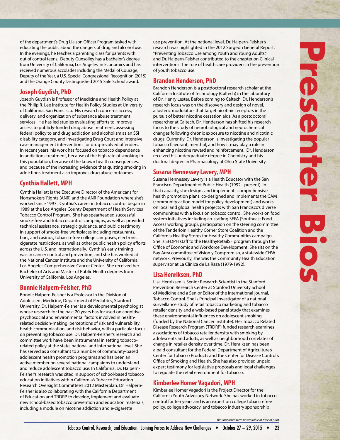of the department's Drug Liaison Officer Program tasked with educating the public about the dangers of drug and alcohol use. In the evenings, he teaches a parenting class for parents with out of control teens. Deputy Gunsolley has a bachelor's degree from University of California, Los Angeles in Economics and has received numerous accolades including the Medal of Courage, Deputy of the Year, a U.S. Special Congressional Recognition (2015) and the Orange County Distinguished 2015 Safe School award.

#### **Joseph Guydish, PhD**

Joseph Guydish is Professor of Medicine and Health Policy at the Philip R. Lee Institute for Health Policy Studies at University of California, San Francisco. His research concerns access, delivery, and organization of substance abuse treatment services. He has led studies evaluating efforts to improve access to publicly-funded drug abuse treatment, assessing federal policy to end drug addiction and alcoholism as an SSI disability category, and investigating Drug Court and intensive case management interventions for drug-involved offenders. In recent years, his work has focused on tobacco dependence in addictions treatment, because of the high rate of smoking in this population, because of the known health consequences, and because of the increasing evidence that quitting smoking in addictions treatment also improves drug abuse outcomes.

### **Cynthia Hallett, MPH**

Cynthia Hallett is the Executive Director of the Americans for Nonsmokers' Rights (ANR) and the ANR Foundation where she's worked since 1997. Cynthia's career in tobacco control began in 1989 at the Los Angeles County Department of Health Services Tobacco Control Program. She has spearheaded successful smoke-free and tobacco control campaigns, as well as provided technical assistance, strategic guidance, and public testimony in support of smoke-free workplaces including restaurants, bars, and casinos, tobacco-free college campuses, electronic cigarette restrictions, as well as other public health policy efforts across the U.S. and internationally. Cynthia's early training was in cancer control and prevention, and she has worked at the National Cancer Institute and the University of California, Los Angeles Comprehensive Cancer Center. She received her Bachelor of Arts and Master of Public Health degrees from University of California, Los Angeles.

#### **Bonnie Halpern-Felsher, PhD**

Bonnie Halpern-Felsher is a Professor in the Division of Adolescent Medicine, Department of Pediatrics, Stanford University. Dr. Halpern-Felsher is a developmental psychologist whose research for the past 20 years has focused on cognitive, psychosocial and environmental factors involved in healthrelated decision-making, perceptions of risk and vulnerability, health communication, and risk behavior, with a particular focus on preventing tobacco use. Dr. Halpern-Felsher's research and committee work have been instrumental in setting tobaccorelated policy at the state, national and international level. She has served as a consultant to a number of community-based adolescent health promotion programs and has been an active member on several national campaigns to understand and reduce adolescent tobacco use. In California, Dr. Halpern-Felsher's research was cited in support of school-based tobacco education initiatives within California's Tobacco Education Research Oversight Committee's 2012 Masterplan. Dr. Halpern-Felsher is also collaborating with the California Department of Education and TRDRP to develop, implement and evaluate new school-based tobacco prevention and education materials, including a module on nicotine addiction and e-cigarette

use prevention. At the national level, Dr. Halpern-Felsher's research was highlighted in the 2012 Surgeon General Report, "Preventing Tobacco Use among Youth and Young Adults," and Dr. Halpern-Felsher contributed to the chapter on Clinical interventions: The role of health care providers in the prevention of youth tobacco use.

#### **Brandon Henderson, PhD**

Brandon Henderson is a postdoctoral research scholar at the California Institute of Technology (Caltech) in the laboratory of Dr. Henry Lester. Before coming to Caltech, Dr. Henderson's research focus was on the discovery and design of novel, allosteric modulators that target nicotinic receptors in the pursuit of better nicotine cessation aids. As a postdoctoral researcher at Caltech, Dr. Henderson has shifted his research focus to the study of neurobiological and neurochemical changes following chronic exposure to nicotine and nicotinic drugs. Currently, Dr. Henderson is investigating the popular tobacco flavorant, menthol, and how it may play a role in enhancing nicotine reward and reinforcement. Dr. Henderson received his undergraduate degree in Chemistry and his doctoral degree in Pharmacology at Ohio State University.

### **Susana Hennessey Lavery, MPH**

Susana Hennessey Lavery is a Health Educator with the San Francisco Department of Public Health (1992 - present). In that capacity, she designs and implements comprehensive health promotion plans, co-designed and implements the CAM (community action model for policy development) and works on local and global health projects with San Francisco's diverse communities with a focus on tobacco control. She works on food system initiatives including co-staffing SEFA (Southeast Food Access working group), participation on the steering committee of the Tenderloin Healthy Corner Store Coalition and the California Healthy Stores for Healthy Communities campaign. She is SFDPH staff to the HealthyRetailSF program through the Office of Economic and Workforce Development. She sits on the Bay Area committee of Vision y Compromiso, a statewide CHW network. Previously, she was the Community Health Education supervisor at La Clinica de La Raza (1979-1992).

### **Lisa Henriksen, PhD**

Lisa Henriksen is Senior Research Scientist in the Stanford Prevention Research Center at Stanford University School of Medicine and a Senior Editor of the international journal, Tobacco Control. She is Principal Investigator of a national surveillance study of retail tobacco marketing and tobacco retailer density and a web-based panel study that examines these environmental influences on adolescent smoking (funded by the National Cancer Institute). Her Tobacco Related Disease Research Program (TRDRP) funded research examines associations of tobacco retailer density with smoking by adolescents and adults, as well as neighborhood correlates of change in retailer density over time. Dr. Henriksen has been a paid consultant for the Federal Department of Agriculture's Center for Tobacco Products and the Center for Disease Control's Office of Smoking and Health. She has also provided unpaid expert testimony for legislative proposals and legal challenges to regulate the retail environment for tobacco.

### **Kimberlee Homer Vagadori, MPH**

Kimberlee Homer Vagadori is the Project Director for the California Youth Advocacy Network. She has worked in tobacco control for ten years and is an expert on college tobacco-free policy, college advocacy, and tobacco industry sponsorship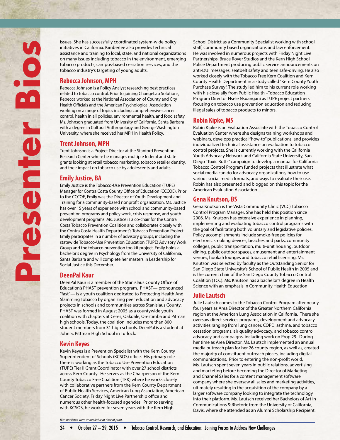issues. She has successfully coordinated system-wide policy initiatives in California. Kimberlee also provides technical assistance and training to local, state, and national organizations on many issues including tobacco in the environment, emerging tobacco products, campus-based cessation services, and the tobacco industry's targeting of young adults.

#### **Rebecca Johnson, MPH**

Rebecca Johnson is a Policy Analyst researching best practices related to tobacco control. Prior to joining ChangeLab Solutions, Rebecca worked at the National Association of County and City Health Officials and the American Psychological Association working on a range of topics including comprehensive cancer control, health in all policies, environmental health, and food safety. Ms. Johnson graduated from University of California, Santa Barbara with a degree in Cultural Anthropology and George Washington University, where she received her MPH in Health Policy.

#### **Trent Johnson, MPH**

Trent Johnson is a Project Director at the Stanford Prevention Research Center where he manages multiple federal and state grants looking at retail tobacco marketing, tobacco retailer density, and their impact on tobacco use by adolescents and adults.

#### **Emily Justice, BA**

Emily Justice is the Tobacco-Use Prevention Education (TUPE) Manager for Contra Costa County Office of Education (CCCOE). Prior to the CCCOE, Emily was the Director of Youth Development and Training for a community-based nonprofit organization. Ms. Justice has over 15 years of experience with school and community-based prevention programs and policy work, crisis response, and youth development programs. Ms. Justice is a co-chair for the Contra Costa Tobacco Prevention Coalition and collaborates closely with the Contra Costa Health Department's Tobacco Prevention Project. Emily participates in a number of advisory groups, including the statewide Tobacco-Use Prevention Education (TUPE) Advisory Work Group and the tobacco prevention toolkit project. Emily holds a bachelor's degree in Psychology from the University of California, Santa Barbara and will complete her masters in Leadership for Social Justice this December.

#### **DeenPal Kaur**

DeenPal Kaur is a member of the Stanislaus County Office of Education's PHAST prevention program. PHAST— pronounced "fast"— is a youth coalition dedicated to Protecting Health And Slamming Tobacco by organizing peer education and advocacy projects in schools and communities across Stanislaus County. PHAST was formed in August 2005 as a countywide youth coalition with chapters at Ceres, Oakdale, Orestimba and Pitman high schools. Today, the coalition includes more than 800 student members from 31 high schools. DeenPal is a student at John S. Pittman High School in Turlock.

#### **Kevin Keyes**

Kevin Keyes is a Prevention Specialist with the Kern County Superintendent of Schools (KCSOS) office. His primary role there is working as the Tobacco Use Prevention Education (TUPE) Tier II Grant Coordinator with over 27 school districts across Kern County. He serves as the Chairperson of the Kern County Tobacco Free Coalition (TFK) where he works closely with collaborative partners from the Kern County Department of Public Health Services, American Lung Association, American Cancer Society, Friday Night Live Partnership office and numerous other health-focused agencies. Prior to serving with KCSOS, he worked for seven years with the Kern High

School District as a Community Specialist working with school staff, community based organizations and law enforcement. He was involved in numerous projects with Friday Night Live Partnerships, Bruce Royer Studios and the Kern High School Police Department producing public service announcements on anti-DUI messages, seatbelt safety and teen safe-driving. He also worked closely with the Tobacco Free Kern Coalition and Kern County Health Department in a study called "Kern County Youth Purchase Survey". The study led him to his current role working with his close ally from Public Health –Tobacco Education Program Director Nsele Nsuangani as TUPE project partners focusing on tobacco use prevention education and reducing illegal sales of tobacco products to minors.

#### **Robin Kipke, MS**

Robin Kipke is an Evaluation Associate with the Tobacco Control Evaluation Center where she designs training workshops and webinars, develops practical "how-to" publications, and provides individualized technical assistance on evaluation to tobacco control projects. She is currently working with the California Youth Advocacy Network and California State University, San Diego "Toxic Butts" campaign to develop a manual for California Tobacco Control Program funded projects that illustrate what social media can do for advocacy organizations, how to use various social media formats, and ways to evaluate their use. Robin has also presented and blogged on this topic for the American Evaluation Association.

#### **Gena Knutson, BS**

Gena Knutson is the Vista Community Clinic (VCC) Tobacco Control Program Manager. She has held this position since 2006. Ms. Knutson has extensive experience in planning, implementing and evaluating tobacco control programs with the goal of facilitating both voluntary and legislative policies. Policy accomplishments include smoke-free policies for electronic smoking devices, beaches and parks, community colleges, public transportation, multi-unit housing, outdoor dining, public outdoor spaces, amusement and entertainment venues, hookah lounges and tobacco retail licensing. Ms. Knutson was selected by faculty as the Outstanding Senior for San Diego State University's School of Public Health in 2005 and is the current chair of the San Diego County Tobacco Control Coalition (TCC). Ms. Knutson has a bachelor's degree in Health Science with an emphasis in Community Health Education

#### **Julie Lautsch**

Julie Lautsch comes to the Tobacco Control Program after nearly four years as Area Director of the Greater Northern California region at the American Lung Association in California. There she oversaw direct services programs, development and advocacy activities ranging from lung cancer, COPD, asthma, and tobacco cessation programs, air quality advocacy, and tobacco control advocacy and campaigns, including work on Prop 29. During her time as Area Director, Ms. Lautsch implemented an annual media outreach plan for her 26 county region, as well as, created the majority of constituent outreach pieces, including digital communications. Prior to entering the non-profit world, Ms. Lautsch spent seven years in public relations, advertising and marketing before becoming the Director of Marketing and Channel Sales for a content management software company where she oversaw all sales and marketing activities, ultimately resulting in the acquisition of the company by a larger software company looking to integrate the technology into their platform. Ms. Lautsch received her Bachelors of Art in Communications & Rhetoric from the University of California, Davis, where she attended as an Alumni Scholarship Recipient.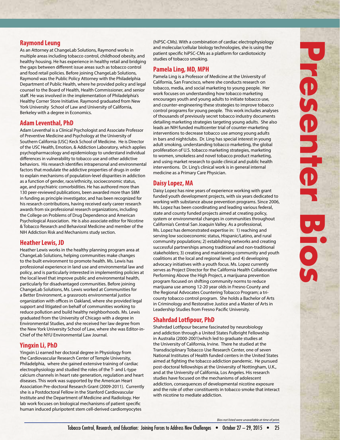#### **Raymond Leung**

As an Attorney at ChangeLab Solutions, Raymond works in multiple areas including tobacco control, childhood obesity, and healthy housing. He has experience in healthy retail and bridging the gaps between different issue areas such as tobacco control and food retail policies. Before joining ChangeLab Solutions, Raymond was the Public Policy Attorney with the Philadelphia Department of Public Health, where he provided policy and legal counsel to the Board of Health, Health Commissioner, and senior staff. He was involved in the implementation of Philadelphia's Healthy Corner Store Initiative. Raymond graduated from New York University School of Law and University of California, Berkeley with a degree in Economics.

#### **Adam Leventhal, PhD**

Adam Leventhal is a Clinical Psychologist and Associate Professor of Preventive Medicine and Psychology at the University of Southern California (USC) Keck School of Medicine. He is Director of the USC Health, Emotion, & Addiction Laboratory, which applies psychopharmacology and epidemiology to understand individual differences in vulnerability to tobacco use and other addictive behaviors. His research identifies intrapersonal and environmental factors that modulate the addictive properties of drugs in order to explain mechanisms of population-level disparities in addiction as a function of gender, race/ethnicity, socioeconomic status, age, and psychiatric comorbidities. He has authored more than 130 peer-reviewed publications, been awarded more than \$8M in funding as principle investigator, and has been recognized for his research contributions, having received early career research awards from six professional research organizations, including the College on Problems of Drug Dependence and American Psychological Association. He is also associate editor for Nicotine & Tobacco Research and Behavioral Medicine and member of the NIH Addiction Risk and Mechanisms study section.

#### **Heather Lewis, JD**

Heather Lewis works in the healthy planning program area at ChangeLab Solutions, helping communities make changes to the built environment to promote health. Ms. Lewis has professional experience in land use and environmental law and policy, and is particularly interested in implementing policies at the local level that improve public and environmental health, particularly for disadvantaged communities. Before joining ChangeLab Solutions, Ms. Lewis worked at Communities for a Better Environment, a grassroots environmental justice organization with offices in Oakland, where she provided legal support and litigated on behalf of communities working to reduce pollution and build healthy neighborhoods. Ms. Lewis graduated from the University of Chicago with a degree in Environmental Studies, and she received her law degree from the New York University School of Law, where she was Editor-in-Chief of the NYU Environmental Law Journal.

#### **Yingxin Li, PhD**

Yingxin Li earned her doctoral degree in Physiology from the Cardiovascular Research Center of Temple University, Philadelphia, where she gained extensive training of cardiac electrophysiology and studied the roles of the T- and L-type calcium channels in heart rate generation, regulation and heart diseases. This work was supported by the American Heart Association Pre-doctoral Research Grant (2009-2011). Currently she is a Postdoctoral Fellow in the Stanford Cardiovascular Institute and the Department of Medicine and Radiology. Her lab work focuses on biological mechanisms of patient specific human induced pluripotent stem cell-derived cardiomyocytes

(hiPSC-CMs). With a combination of cardiac electrophysiology and molecular/cellular biology technologies, she is using the patient specific hiPSC-CMs as a platform for cardiotoxicity studies of tobacco smoking.

#### **Pamela Ling, MD, MPH**

Pamela Ling is a Professor of Medicine at the University of California, San Francisco, where she conducts research on tobacco, media, and social marketing to young people. Her work focuses on understanding how tobacco marketing encourages youth and young adults to initiate tobacco use, and counter-engineering these strategies to improve tobacco control programs for young people. This work includes analyses of thousands of previously secret tobacco industry documents detailing marketing strategies targeting young adults. She also leads an NIH funded multicenter trial of counter-marketing interventions to decrease tobacco use among young adults in bars and nightclubs. Dr. Ling has special interest in young adult smoking, understanding tobacco marketing, the global proliferation of U.S. tobacco marketing strategies, marketing to women, smokeless and novel tobacco product marketing, and using market research to guide clinical and public health interventions. Dr. Ling's clinical work is in general internal medicine as a Primary Care Physician.

#### **Daisy Lopez, MA**

Daisy Lopez has nine years of experience working with grant funded youth development projects, with six years dedicated to working with substance abuse prevention programs. Since 2006, Ms. Lopez has been coordinating and leading various federal, state and county funded projects aimed at creating policy, system or environmental changes in communities throughout California's Central San Joaquin Valley. As a professional, Ms. Lopez has demonstrated expertise in: 1) reaching and serving low socioeconomic status, Hispanic/Latino, and rural community populations; 2) establishing networks and creating successful partnerships among traditional and non-traditional stakeholders; 3) creating and maintaining community and youth coalitions at the local and regional level; and 4) developing advocacy initiatives with a youth focus. Ms. Lopez currently serves as Project Director for the California Health Collaborative Performing Above the High Project, a marijuana prevention program focused on shifting community norms to reduce marijuana use among 12-20 year olds in Fresno County and the Regional Advocates Countering Tobacco Program; a tricounty tobacco control program. She holds a Bachelor of Arts in Criminology and Restorative Justice and a Master of Arts in Leadership Studies from Fresno Pacific University.

#### **Shahrdad Lotfipour, PhD**

Shahrdad Lotfipour became fascinated by neurobiology and addiction through a United States Fulbright Fellowship in Australia (2000-2001)which led to graduate studies at the University of California, Irvine. There he studied at the Transdisciplinary Tobacco Use Research Center, one of seven National Institutes of Health funded centers in the United States aimed at fighting the tobacco addiction pandemic. He pursued post-doctoral fellowships at the University of Nottingham, U.K., and at the University of California, Los Angeles. His research studies have focused on the mechanisms of adolescent addiction, consequences of developmental nicotine exposure and the role of other constituents in tobacco smoke that interact with nicotine to mediate addiction.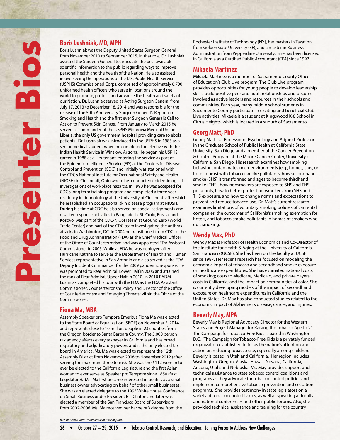#### **Boris Lushniak, MD, MPH**

Boris Lushniak was the Deputy United States Surgeon General from November 2010 to September 2015. In that role, Dr. Lushniak assisted the Surgeon General to articulate the best available scientific information to the public regarding ways to improve personal health and the health of the Nation. He also assisted in overseeing the operations of the U.S. Public Health Service (USPHS) Commissioned Corps, comprised of approximately 6,700 uniformed health officers who serve in locations around the world to promote, protect, and advance the health and safety of our Nation. Dr. Lushniak served as Acting Surgeon General from July 17, 2013 to December 18, 2014 and was responsible for the release of the 50th Anniversary Surgeon General's Report on Smoking and Health and the first ever Surgeon General's Call to Action to Prevent Skin Cancer. From January to March 2015 he served as commander of the USPHS Monrovia Medical Unit in Liberia, the only US government hospital providing care to ebola patients. Dr. Lushniak was introduced to the USPHS in 1983 as a senior medical student when he completed an elective with the Indian Health Service in Winslow, Arizona. He began his USPHS career in 1988 as a Lieutenant, entering the service as part of the Epidemic Intelligence Service (EIS) at the Centers for Disease Control and Prevention (CDC) and initially was stationed with the CDC's National Institute for Occupational Safety and Health (NIOSH) in Cincinnati, Ohio where he conducted epidemiological investigations of workplace hazards. In 1990 he was accepted for CDC's long term training program and completed a three year residency in dermatology at the University of Cincinnati after which he established an occupational skin disease program at NIOSH. During his time at CDC he also served on special assignments and disaster response activities in Bangladesh, St. Croix, Russia, and Kosovo, was part of the CDC/NIOSH team at Ground Zero (World Trade Center) and part of the CDC team investigating the anthrax attacks in Washington, DC. In 2004 he transitioned from CDC to the Food and Drug Administration (FDA) as the Chief Medical Officer of the Office of Counterterrorism and was appointed FDA Assistant Commissioner in 2005. While at FDA he was deployed after Hurricane Katrina to serve as the Department of Health and Human Services representative in San Antonio and also served as the FDA Deputy Incident Commander for the 2009 pandemic response. He was promoted to Rear Admiral, Lower Half in 2006 and attained the rank of Rear Admiral, Upper Half in 2010. In 2010 RADM Lushniak completed his tour with the FDA as the FDA Assistant Commissioner, Counterterrorism Policy and Director of the Office of Counterterrorism and Emerging Threats within the Office of the Commissioner.

#### **Fiona Ma, MBA**

Assembly Speaker pro Tempore Emeritus Fiona Ma was elected to the State Board of Equalization (SBOE) on November 5, 2014 and represents close to 10 million people in 23 counties from the Oregon border to Santa Barbara County. The 5,000 person tax agency affects every taxpayer in California and has broad regulatory and adjudicatory powers and is the only elected tax board in America. Ms. Ma was elected to represent the 12th Assembly District from November 2006 to November 2012 (after serving the maximum three terms). She was the #112 woman to ever be elected to the California Legislature and the first Asian woman to ever serve as Speaker pro Tempore since 1850 (first Legislature). Ms. Ma first became interested in politics as a small business owner advocating on behalf of other small businesses. She was an elected delegate to the 1995 White House Conference on Small Business under President Bill Clinton and later was elected a member of the San Francisco Board of Supervisors from 2002-2006. Ms. Ma received her bachelor's degree from the

Rochester Institute of Technology (NY), her masters in Taxation from Golden Gate University (SF), and a master in Business Administration from Pepperdine University. She has been licensed in California as a Certified Public Accountant (CPA) since 1992.

#### **Mikaela Martinez**

Mikaela Martinez is a member of Sacramento County Office of Education's Club Live program. The Club Live program provides opportunities for young people to develop leadership skills, build positive peer and adult relationships and become involved as active leaders and resources in their schools and communities. Each year, many middle school students in Sacramento County participate in exciting and beneficial Club Live activities. Mikaela is a student at Kingswood K-8 School in Citrus Heights, which is located in a suburb of Sacramento.

#### **Georg Matt, PhD**

Georg Matt is a Professor of Psychology and Adjunct Professor in the Graduate School of Public Health at California State University, San Diego and a member of the Cancer Prevention & Control Program at the Moore Cancer Center, University of California, San Diego. His research examines how smoking behavior contaminates microenvironments (e.g., homes, cars, or hotel rooms) with tobacco smoke pollutants, how secondhand smoke (SHS) is transformed and ages to become thirdhand smoke (THS), how nonsmokers are exposed to SHS and THS pollutants, how to better protect nonsmokers from SHS and THS exposure, and how to change norms and expectations to prevent and reduce tobacco use. Dr. Matt's current research examines limitations of voluntary smoking policies of car rental companies, the outcomes of California's smoking exemption for hotels, and tobacco smoke pollutants in homes of smokers who quit smoking.

#### **Wendy Max, PhD**

Wendy Max is Professor of Health Economics and Co-Director of the Institute for Health & Aging at the University of California, San Francisco (UCSF). She has been on the faculty at UCSF since 1987. Her recent research has focused on modeling the economic impact of tobacco and secondhand smoke exposure on healthcare expenditures. She has estimated national costs of smoking; costs to Medicare, Medicaid, and private payers; costs in California; and the impact on communities of color. She is currently developing models of the impact of secondhand exposure on healthcare expenditures in California and the United States. Dr. Max has also conducted studies related to the economic impact of Alzheimer's disease, cancer, and injuries.

#### **Beverly May, MPA**

Beverly May is Regional Advocacy Director for the Western States and Project Manager for Raising the Tobacco Age to 21. The Campaign for Tobacco-Free Kids is based in Washington D.C. The Campaign for Tobacco-Free Kids is a privately funded organization established to focus the nation's attention and action on reducing tobacco use, especially among children. Beverly is based in Utah and California. Her region includes Washington, Oregon, Alaska, Hawaii, Nevada, California, Arizona, Utah, and Nebraska. Ms. May provides support and technical assistance to state tobacco control coalitions and programs as they advocate for tobacco control policies and implement comprehensive tobacco prevention and cessation programs. She provides testimony in state legislators on a variety of tobacco control issues, as well as speaking at locally and national conferences and other public forums. Also, she provided technical assistance and training for the country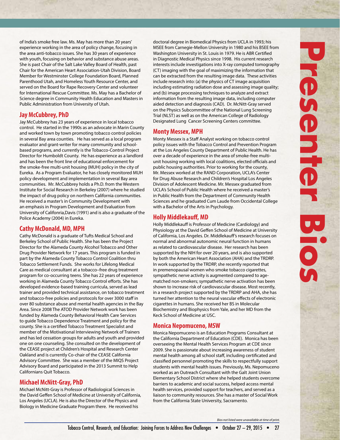of India's smoke free law. Ms. May has more than 20 years' experience working in the area of policy change, focusing in the area anti-tobacco issues. She has 30 years of experience with youth, focusing on behavior and substance abuse areas. She is past Chair of the Salt Lake Valley Board of Health, past Chair for the American Heart Association-Utah Division, Board Member for Westminster College Foundation Board, Planned Parenthood Utah, and Homeless Youth Resource Center, and served on the Board for Rape Recovery Center and volunteer for International Rescue Committee. Ms. May has a Bachelor of Science degree in Community Health Education and Masters in Public Administration from University of Utah.

#### **Jay McCubbrey, PhD**

Jay McCubbrey has 23 years of experience in local tobacco control. He started in the 1990s as an advocate in Marin County and worked town by town promoting tobacco control policies in several Bay area counties. He has served as a local program evaluator and grant-writer for many community and schoolbased programs, and currently is the Tobacco-Control Project Director for Humboldt County. He has experience as a landlord and has been the front line of educational enforcement for the smoke-free multi-unit housing (MUH) policy in the city of Eureka. As a Program Evaluator, he has closely monitored MUH policy development and implementation in several Bay area communities. Mr. McCubbrey holds a Ph.D. from the Western Institute for Social Research in Berkeley (2007) where he studied the impact of drug policy on northern California communities. He received a master's in Community Development with an emphasis in Program Development and Evaluation from University of Califonria,Davis (1991) and is also a graduate of the Police Academy (2004) in Eureka.

#### **Cathy McDonald, MD, MPH**

Cathy McDonald is a graduate of Tufts Medical School and Berkeley School of Public Health. She has been the Project Director for the Alameda County Alcohol Tobacco and Other Drug Provider Network for 17 years. This program is funded in part by the Alameda County Tobacco Control Coalition thru Tobacco Settlement Funds. She works for Lifelong Medical Care as medical consultant at a tobacco–free drug treatment program for co-occurring teens. She has 22 years of experience working in Alameda County Tobacco Control efforts. She has developed evidence-based training curricula, served as lead trainer and provided technical assistance, on tobacco treatment and tobacco-free policies and protocols for over 3000 staff in over 80 substance abuse and mental health agencies in the Bay Area. Since 2008 The ATOD Provider Network work has been funded by Alameda County Behavioral Health Care Services to guide Tobacco Dependence Treatment and policy for the county. She is a certified Tobacco Treatment Specialist and member of the Motivational Interviewing Network of Trainers and has led cessation groups for adults and youth and provided one on one counseling. She consulted on the development of the CEASE project at Children's Hospital and Research Center Oakland and is currently Co-chair of the CEASE California Advisory Committee. She was a member of the MIQS Project Advisory Board and participated in the 2013 Summit to Help Californians Quit Tobacco.

#### **Michael McNitt-Gray, PhD**

Michael McNitt-Gray is Professor of Radiological Sciences in the David Geffen School of Medicine at University of California, Los Angeles (UCLA). He is also the Director of the Physics and Biology in Medicine Graduate Program there. He received his

doctoral degree in Biomedical Physics from UCLA in 1993; his MSEE from Carnegie-Mellon University in 1980 and his BSEE from Washington University in St. Louis in 1979. He is ABR Certified in Diagnostic Medical Physics since 1998. His current research interests include investigations into X-ray computed tomography (CT) imaging with the goal of maximizing the information that can be extracted from the resulting image data. These activities include research into: (a) the physics of CT image acquisition including estimating radiation dose and assessing image quality; and (b) image processing techniques to analyze and extract information from the resulting image data, including computer aided detection and diagnosis (CAD). Dr. McNitt-Gray served on the Physics Subcommittee of the National Lung Screening Trial (NLST) as well as on the American College of Radiology Designated Lung Cancer Screening Centers committee.

#### **Monty Messex, MPH**

Monty Messex is a Staff Analyst working on tobacco control policy issues with the Tobacco Control and Prevention Program at the Los Angeles County Department of Public Health. He has over a decade of experience in the area of smoke-free multiunit housing working with local coalitions, elected officials and public housing authorities. Prior to working for the county, Mr. Messex worked at the RAND Corporation, UCLA's Center for Drug Abuse Research and Children's Hospital Los Angeles Division of Adolescent Medicine. Mr. Messex graduated from UCLA's School of Public Health where he received a master's in Public Health from the Department of Community Health Sciences and he graduated Cum Laude from Occidental College with a Bachelor of the Arts in Psychology.

#### **Holly Middlekauff, MD**

Holly Middlekauff is Professor of Medicine (Cardiology) and Physiology at the David Geffen School of Medicine at University of California, Los Angeles. Dr. Middlekauff's research focuses on normal and abnormal autonomic neural function in humans as related to cardiovascular disease. Her research has been supported by the NIH for over 20 years, and is also supported by both the American Heart Association (AHA) and the TRDRP. In work supported by the TRDRP, she recently reported that in premenopausal women who smoke tobacco cigarettes, sympathetic nerve activity is augmented compared to agematched non-smokers; sympathetic nerve activation has been shown to increase risk of cardiovascular disease. Most recently, in a research project supported by the TRDRP and AHA, she has turned her attention to the neural vascular effects of electronic cigarettes in humans. She received her BS in Molecular Biochemistry and Biophysics from Yale, and her MD from the Keck School of Medicine at USC.

#### **Monica Nepomuceno, MSW**

Monica Nepomuceno is an Education Programs Consultant at the California Department of Education (CDE). Monica has been overseeing the Mental Health Services Program at CDE since 2009. She is passionate about increasing awareness of student mental health among all school staff, including certificated and classified personnel promoting the skills to respectfully support students with mental health issues. Previously, Ms. Nepomuceno worked as an Outreach Consultant with the Galt Joint Union Elementary School District where she helped students overcome barriers to academic and social success, helped access mental health services, provided support for teachers, and served as a liaison to community resources. She has a master of Social Work from the California State University, Sacramento.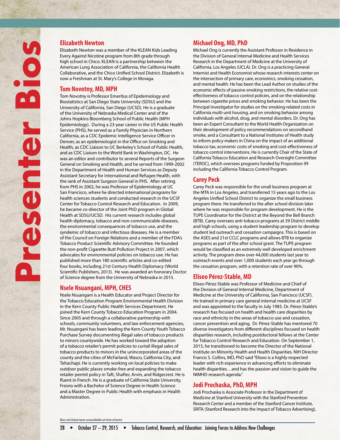Elizabeth Newton was a member of the KLEAN Kids Leading Every Against Nicotine program from 8th grade through high school in Chico. KLEAN is a partnership between the American Lung Association of California, the California Health Collaborative, and the Chico Unified School District. Elizabeth is now a Freshman at St. Mary's College in Moraga.

#### **Tom Novotny, MD, MPH**

**Elizabeth Newton**<br>
Elizabeth Newton was<br>
Every Against Nicotine<br>
high school in Chico. K<br>
American Lung Associa<br>
Collaborative, and the<br>
now a Freshman at St.<br> **Tom Novotrny, MD,**<br>
Tom Novotrny is Professive of the Univer Tom Novotny is Professor Emeritus of Epidemiology and Biostatistics at San Diego State University (SDSU) and the University of California, San Diego (UCSD). He is a graduate of the University of Nebraska Medical Center and of the Johns Hopkins Bloomberg School of Public Health (MPH Epidemiology). During a 23-year career in the US Public Health Service (PHS), he served as a Family Physician in Northern California, as a CDC Epidemic Intelligence Service Officer in Denver, as an epidemiologist in the Office on Smoking and Health, as CDC Liaison to UC Berkeley's School of Public Health, and as CDC Liaison to the World Bank in Washington, DC. He was an editor and contributor to several Reports of the Surgeon General on Smoking and Health, and he served from 1999-2002 in the Department of Health and Human Services as Deputy Assistant Secretary for International and Refugee Health, with the rank of Assistant Surgeon General in PHS. After retiring from PHS in 2002, he was Professor of Epidemiology at UC San Francisco, where he directed international programs for health sciences students and conducted research in the UCSF Center for Tobacco Control Research and Education. In 2009, he became co-director of the Joint PhD program in Global Health at SDSU/UCSD. His current research includes global health diplomacy, tobacco and non-communicable diseases, the environmental consequences of tobacco use, and the syndemic of tobacco and infectious diseases. He is a member of the Council on Foreign Relations and a member of the FDA's Tobacco Product Scientific Advisory Committee. He founded the non-profit Cigarette Butt Pollution Project in 2007, which advocates for environmental policies on tobacco use. He has published more than 180 scientific articles and co-edited four books, including 21st Century Health Diplomacy (World Scientific Publishers, 2013). He was awarded an honorary Doctor of Science degree from the University of Nebraska in 2015.

#### **Nsele Nsuangani, MPH, CHES**

Nsele Nsuangani is a Health Educator and Project Director for the Tobacco Education Program Environmental Health Division in the Kern County Public Health Services Department. He joined the Kern County Tobacco Education Program in 2004. Since 2005 and through a collaborative partnership with schools, community volunteers, and law enforcement agencies, Mr. Nsuangani has been leading the Kern County Youth Tobacco Purchase Survey documenting illegal sales of tobacco products to minors countywide. He has worked toward the adoption of a tobacco retailer's permit policies to curtail illegal sales of tobacco products to minors in the unincorporated areas of the county and the cities of McFarland, Wasco, California City, and Tehachapi. He is currently working on local policies to make outdoor public places smoke-free and expanding the tobacco retailer permit policy in Taft, Shafter, Arvin, and Ridgecrest. He is fluent in French. He is a graduate of California State University, Fresno with a Bachelor of Science Degree in Health Science and a Master Degree in Public Health with emphasis in Health Administration.

#### **Michael Ong, MD, PhD**

Michael Ong is currently the Assistant Professor in Residence in the Division of General Internal Medicine and Health Services Research in the Department of Medicine at the University of California, Los Angeles (UCLA). Dr. Ong is a practicing General Internist and Health Economist whose research interests center on the intersection of primary care, economics, smoking cessation, and mental health. He has been the Lead Author on studies of the economic effects of passive smoking restrictions, the relative costeffectiveness of tobacco control policies, and on the relationship between cigarette prices and smoking behavior. He has been the Principal Investigator for studies on the smoking-related costs in California multi-unit housing, and on smoking behavior among individuals with alcohol, drug, and mental disorders. Dr. Ong has been an Expert Consultant to the World Health Organization on their development of policy recommendations on secondhand smoke, and a Consultant to a National Institutes of Health study to inform policy makers in China on the impact of an additional tobacco tax, economic costs of smoking and cost-effectiveness of tobacco control interventions. He is currently Chair of the State of California Tobacco Education and Research Oversight Committee (TEROC), which oversees programs funded by Proposition 99 including the California Tobacco Control Program.

#### **Carey Peck**

Carey Peck was responsible for the small business program at the MTA in Los Angeles, and transferred 15 years ago to the Los Angeles Unified School District to organize the small business program there. He transferred to the after school division later where he was responsible for program development. He is the TUPE Coordinator for the District at the Beyond the Bell Branch (BTB). Carey oversees anti-tobacco programs at 39 District middle and high schools, using a student leadership program to develop student led outreach and cessation campaigns. This is based on the ASES and 21st CCLC programs and allows BTB to organize programs as part of the after school grant. The TUPE program would be classified as an extremely well developed enrichment activity. The program drew over 44,000 students last year to outreach events and over 1,000 students each year go through the cessation program, with a retention rate of over 90%.

#### **Eliseo Pérez-Stable, MD**

Eliseo Pérez-Stable was Professor of Medicine and Chief of the Division of General Internal Medicine, Department of Medicine at the University of California, San Francisco (UCSF). He trained in primary care general internal medicine at UCSF and was appointed to the faculty in July 1983. Dr. Pérez-Stable's research has focused on health and health care disparities by race and ethnicity in the areas of tobacco use and cessation, cancer prevention and aging. Dr. Pérez-Stable has mentored 70 diverse investigators from different disciplines focused on health disparities research, including postdoctoral fellows at the Center for Tobacco Control Research and Education. On September 1, 2015, he transitioned to become the Director of the National Institute on Minority Health and Health Disparities. NIH Director Francis S. Collins, MD, PhD said "Eliseo is a highly respected leader with rich experience in advancing efforts to eliminate health disparities…and has the passion and vision to guide the NIMHD research agenda."

#### **Jodi Prochaska, PhD, MPH**

Jodi Prochaska is Associate Professor in the Department of Medicine at Stanford University with the Stanford Prevention Research Center and a member of the Stanford Cancer Institute, SRITA (Stanford Research into the Impact of Tobacco Advertising),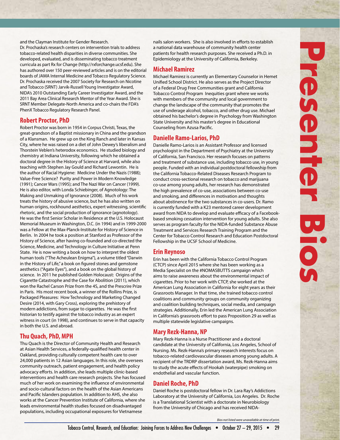and the Clayman Institute for Gender Research. Dr. Prochaska's research centers on intervention trials to address tobacco-related health disparities in diverse communities. She developed, evaluated, and is disseminating tobacco treatment curricula as part Rx for Change (http://rxforchange.ucsf.edu). She has authored over 150 peer-reviewed articles and is on the editorial boards of JAMA Internal Medicine and Tobacco Regulatory Science. Dr. Prochaska received the 2007 Society for Research on Nicotine and Tobacco (SRNT) Jarvik-Russell Young Investigator Award, NIDA's 2010 Outstanding Early Career Investigator Award, and the 2011 Bay Area Clinical Research Mentor of the Year Award. She is SRNT Member Delegate-North America and co-chairs the FDA's PhenX Tobacco Regulatory Research Panel.

#### **Robert Proctor, PhD**

Robert Proctor was born in 1954 in Corpus Christi, Texas, the great-grandson of a Baptist missionary in China and the grandson of a Klansman. He grew up on the King Ranch and later in Kansas City, where he was raised on a diet of John Dewey's liberalism and Thorstein Veblen's heterodox economics. He studied biology and chemistry at Indiana University, following which he obtained a doctoral degree in the History of Science at Harvard, while also teaching with Stephen Jay Gould and Richard Lewontin. He is the author of Racial Hygiene: Medicine Under the Nazis (1988); Value-Free Science? Purity and Power in Modern Knowledge (1991); Cancer Wars (1995); and The Nazi War on Cancer (1999). He is also editor, with Londa Schiebinger, of Agnotology: The Making and Unmaking of Ignorance (2008). Much of his work treats the history of abusive science, but he has also written on human origins, rockhound aesthetics, expert witnessing, scientific rhetoric, and the social production of ignorance (agnotology). He was the first Senior Scholar in Residence at the U.S. Holocaust Memorial Museum in Washington, D.C. (in 1994) and in 1999-2000 was a Fellow at the Max-Planck-Institute for History of Science in Berlin. In 2004 he took a position at Stanford as Professor of the History of Science, after having co-founded and co-directed the Science, Medicine, and Technology in Culture Initiative at Penn State. He is now writing a book on how to interpret the oldest human tools ("The Acheulean Enigma"), a volume titled "Darwin in the History of Life," a book on figured stones and gemstone aesthetics ("Agate Eyes"), and a book on the global history of science. In 2011 he published Golden Holocaust: Origins of the Cigarette Catastrophe and the Case for Abolition (2011), which won the Rachel Carson Prize from the 4S, and the Prescrire Prize in Paris. His most recent book, a winner of the Rollins Prize, is Packaged Pleasures: How Technology and Marketing Changed Desire (2014, with Gary Cross), exploring the prehistory of modern addictions, from sugar to cigarettes. He was the first historian to testify against the tobacco industry as an expert witness in court (in 1998), and continues to serve in that capacity in both the U.S. and abroad.

#### **Thu Quach, PhD, MPH**

Thu Quach is the Director of Community Health and Research at Asian Health Services, a federally-qualified health center in Oakland, providing culturally competent health care to over 24,000 patients in 12 Asian languages. In this role, she oversees community outreach, patient engagement, and health policy advocacy efforts. In addition, she leads multiple clinic-based interventions and health care research projects. She has focused much of her work on examining the influence of environmental and socio-cultural factors on the health of the Asian Americans and Pacific Islanders population. In addition to AHS, she also works at the Cancer Prevention Institute of California, where she leads environmental health studies focused on disadvantaged populations, including occupational exposures for Vietnamese

nails salon workers. She is also involved in efforts to establish a national data warehouse of community health center patients for health research purposes. She received a Ph.D. in Epidemiology at the University of California, Berkeley.

#### **Michael Ramirez**

Michael Ramirez is currently an Elementary Counselor in Hemet Unified School District. He also serves as the Project Director of a Federal Drug Free Communities grant and California Tobacco Control Program Inequities grant where we works with members of the community and local government to change the landscape of the community that promotes the use of underage alcohol, tobacco, and other drug use. Michael obtained his bachelor's degree in Psychology from Washington State University and his master's degree in Educational Counseling from Azusa Pacific.

#### **Danielle Ramo-Larios, PhD**

Danielle Ramo-Larios is an Assistant Professor and licensed psychologist in the Department of Psychiatry at the University of California, San Francisco. Her research focuses on patterns and treatment of substance use, including tobacco use, in young people. Funded with an individual postdoctoral fellowship from the California Tobacco-Related Diseases Research Program to conduct cross-sectional research on tobacco and marijuana co-use among young adults, her research has demonstrated the high prevalence of co-use, associations between co-use and smoking, and differences in motivation and thoughts about abstinence for the two substances in co-users. Dr. Ramo is currently funded with a K23 mentored career development award from NIDA to develop and evaluate efficacy of a Facebookbased smoking cessation intervention for young adults. She also serves as program faculty for the NIDA-funded Substance Abuse Treatment and Services Research Training Program and the Center for Tobacco Control Research and Education Postdoctoral Fellowship in the UCSF School of Medicine.

#### **Erin Reynoso**

Erin has been with the California Tobacco Control Program (CTCP) since April 2015 where she has been working as a Media Specialist on the #NOMASBUTTS campaign which aims to raise awareness about the environmental impact of cigarettes. Prior to her work with CTCP, she worked at the American Lung Association in California for eight years as their Grassroots Manager. In that time, she trained tobacco control coalitions and community groups on community organizing and coalition building techniques, social media, and campaign strategies. Additionally, Erin led the American Lung Association in California's grassroots effort to pass Proposition 29 as well as multiple statewide legislative campaigns.

#### **Mary Rezk-Hanna, NP**

Mary Rezk-Hanna is a Nurse Practitioner and a doctoral candidate at the University of California, Los Angeles, School of Nursing. Ms. Rezk-Hanna's primary research interests focus on tobacco-related cardiovascular diseases among young adults. A recipient of the TRDRP dissertation award, Ms. Rezk-Hanna aims to study the acute effects of Hookah (waterpipe) smoking on endothelial and vascular function.

#### **Daniel Roche, PhD**

Daniel Roche is postdoctoral fellow in Dr. Lara Ray's Addictions Laboratory at the University of California, Los Angeles. Dr. Roche is a Translational Scientist with a doctorate in Neurobiology from the University of Chicago and has received NIDA-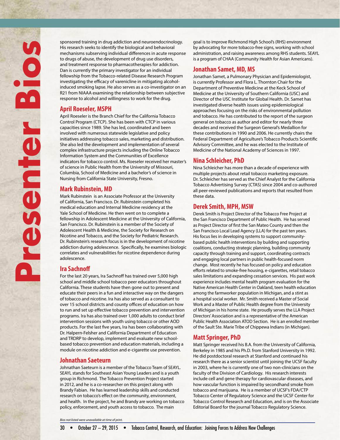sponsored training in drug addiction and neuroendocrinology. His research seeks to identify the biological and behavioral mechanisms subserving individual differences in acute response to drugs of abuse, the development of drug use disorders, and treatment response to pharmacotherapies for addiction. Dan is currently the primary investigator for an individual fellowship from the Tobacco-related Disease Research Program investigating the efficacy of varenicline in mitigating alcoholinduced smoking lapse. He also serves as a co-investigator on an R21 from NIAAA examining the relationship between subjective response to alcohol and willingness to work for the drug.

#### **April Roeseler, MSPH**

April Roeseler is the Branch Chief for the California Tobacco Control Program (CTCP). She has been with CTCP in various capacities since 1989. She has led, coordinated and been involved with numerous statewide legislative and policy initiatives addressing tobacco sales, marketing and distribution. She also led the development and implementation of several complex infrastructure projects including the Online Tobacco Information System and the Communities of Excellence indicators for tobacco control. Ms. Roeseler received her master's of science in Public Health from the University of Missouri, Columbia, School of Medicine and a bachelor's of science in Nursing from California State University, Fresno.

#### **Mark Rubinstein, MD**

Mark Rubinstein is an Associate Professor at the University of California, San Francisco. Dr. Rubinstein completed his medical education and Internal Medicine residency at the Yale School of Medicine. He then went on to complete a fellowship in Adolescent Medicine at the University of California, San Francisco. Dr. Rubinstein is a member of the Society of Adolescent Health & Medicine, the Society for Research on Nicotine and Tobacco, and the Society for Pediatric Research. Dr. Rubinstein's research focus is in the development of nicotine addiction during adolescence. Specifically, he examines biologic correlates and vulnerabilities for nicotine dependence during adolescence.

#### **Ira Sachnoff**

For the last 20 years, Ira Sachnoff has trained over 5,000 high school and middle school tobacco peer educators throughout California. These students have then gone out to present and educate their peers in a fun and interactive way on the dangers of tobacco and nicotine. Ira has also served as a consultant to over 15 school districts and county offices of education on how to run and set up effective tobacco prevention and intervention programs. Ira has also trained over 1,000 adults to conduct brief intervention sessions with youth using tobacco or other AOD products. For the last five years, Ira has been collaborating with Dr. Halpern-Felsher and California Department of Education and TRDRP to develop, implement and evaluate new schoolbased tobacco prevention and education materials, including a module on nicotine addiction and e-cigarette use prevention.

#### **Johnathan Saeteurn**

Johnathan Saeteurn is a member of the Tobacco Team of SEAYL. SEAYL stands for Southeast Asian Young Leaders and is a youth group in Richmond. The Tobacco Prevention Project started in 2012, and he is a co-researcher on this project along with Brandy Fabian. He has learned leadership skills and conducted research on tobacco's effect on the community, environment, and health. In the project, he and Brandy are working on tobacco policy, enforcement, and youth access to tobacco. The main

goal is to improve Richmond High School's (RHS) environment by advocating for more tobacco-free signs, working with school administration, and raising awareness among RHS students. SEAYL is a program of CHAA (Community Health for Asian Americans).

#### **Jonathan Samet, MD, MS**

Jonathan Samet, a Pulmonary Physician and Epidemiologist, is currently Professor and Flora L. Thornton Chair for the Department of Preventive Medicine at the Keck School of Medicine at the University of Southern California (USC) and Director of the USC Institute for Global Health. Dr. Samet has investigated diverse health issues using epidemiological approaches focusing on the risks of environmental pollution and tobacco. He has contributed to the report of the surgeon general on tobacco as author and editor for nearly three decades and received the Surgeon General's Medallion for these contributions in 1990 and 2006. He currently chairs the Federal Department of Agriculture's Tobacco Products Scientific Advisory Committee, and he was elected to the Institute of Medicine of the National Academy of Sciences in 1997.

#### **Nina Schleicher, PhD**

Nina Schleicher has more than a decade of experience with multiple projects about retail tobacco marketing exposure. Dr. Schleicher has served as the Chief Analyst for the California Tobacco Advertising Survey (CTAS) since 2004 and co-authored all peer-reviewed publications and reports that resulted from these data.

#### **Derek Smith, MPH, MSW**

Derek Smith is Project Director of the Tobacco Free Project at the San Francisco Department of Public Health. He has served as Project Director of first the San Mateo County and then the San Francisco Local Lead Agency (LLA) for the past ten years. His focus lies in developing systems to support communitybased public health interventions by building and supporting coalitions, conducting strategic planning, building community capacity through training and support, coordinating contracts and engaging local partners in public health-focused norm change. Most recently he has focused on policy and education efforts related to smoke-free housing, e-cigarettes, retail tobacco sales limitations and expanding cessation services. His past work experience includes mental health program evaluation for the Native American Health Center in Oakland, teen health education among the farmworker population in Michigan, and a stint as a hospital social worker. Mr. Smith received a Master of Social Work and a Master of Public Health degree from the University of Michigan in his home state. He proudly serves the LLA Project Directors' Association and is a representative of the American Public Health Association ATOD Section. He is an enrolled member of the Sault Ste. Marie Tribe of Chippewa Indians (in Michigan).

#### **Matt Springer, PhD**

Matt Springer received his B.A. from the University of California, Berkeley in 1985 and his Ph.D. from Stanford University in 1992. He did postdoctoral research at Stanford and continued his research there as a senior scientist until joining the UCSF faculty in 2003, where he is currently one of two non-clinicians on the faculty of the Division of Cardiology. His research interests include cell and gene therapy for cardiovascular diseases, and how vascular function is impaired by secondhand smoke from tobacco and marijuana. He is a member of UCSF's FDA/CTP Tobacco Center of Regulatory Science and the UCSF Center for Tobacco Control Research and Education, and is on the Associate Editorial Board for the journal Tobacco Regulatory Science.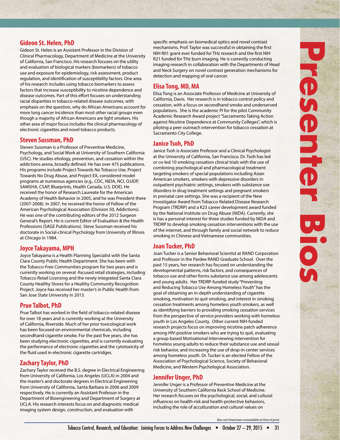#### **Gideon St. Helen, PhD**

Gideon St. Helen is an Assistant Professor in the Division of Clinical Pharmacology, Department of Medicine at the University of California, San Francisco. His research focuses on the utility and evaluation of biological markers (biomarkers) of tobacco use and exposure for epidemiology, risk assessment, product regulation, and identification of susceptibility factors. One area of his research includes using tobacco biomarkers to assess factors that increase susceptibility to nicotine dependence and disease outcomes. Part of this effort focuses on understanding racial disparities in tobacco-related disease outcomes, with emphasis on the question, why do African Americans account for more lung cancer incidence than most other racial groups even though a majority of African Americans are light smokers. His other area of major focus includes the clinical pharmacology of electronic cigarettes and novel tobacco products.

#### **Steven Sussman, PhD**

Steven Sussman is a Professor of Preventive Medicine, Psychology, and Social Work at University of Southern California (USC). He studies etiology, prevention, and cessation within the addictions arena, broadly defined. He has over 475 publications. His programs include Project Towards No Tobacco Use, Project Towards No Drug Abuse, and Project EX, considered model programs at numerous agencies (e.g., CDC, NIDA, NCI, OJJDP, SAMSHA, CSAP, Blueprints, Health Canada, U.S. DOE). He received the honor of Research Laureate for the American Academy of Health Behavior in 2005, and he was President there (2007-2008). In 2007, he received the honor of Fellow of the American Psychological Association (Division 50, Addictions). He was one of the contributing editors of the 2012 Surgeon General's Report. He is current Editor of Evaluation & the Health Professions (SAGE Publications). Steve Sussman received his doctorate in Social-clinical Psychology from University of Illinois at Chicago in 1984.

#### **Joyce Takayama, MPH**

Joyce Takayama is a Health Planning Specialist with the Santa Clara County Public Health Department. She has been with the Tobacco-Free Communities program for two years and is currently working on several -focused retail strategies, including Tobacco Retail Licensing and the newly integrated Santa Clara County Healthy Stores for a Healthy Community Recognition Project. Joyce has received her master's in Public Health from San Jose State University in 2013.

#### **Prue Talbot, PhD**

Prue Talbot has worked in the field of tobacco-related disease for over 18 years and is currently working at the University of California, Riverside. Much of her prior toxicological work has been focused on environmental chemicals, including secondhand cigarette smoke. For the past five years, she has been studying electronic cigarettes, and is currently evaluating the performance of electronic cigarettes and the cytotoxicity of the fluid used in electronic cigarette cartridges.

#### **Zachary Taylor, PhD**

Zachary Taylor received the B.S. degree in Electrical Engineering from University of California, Los Angeles (UCLA) in 2004 and the master's and doctorate degrees in Electrical Engineering from University of California, Santa Barbara in 2006 and 2009 respectively. He is currently an Assistant Professor in the Department of Bioengineering and Department of Surgery at UCLA. His research interests focus on and diagnostic medical imaging system design, construction, and evaluation with

specific emphasis on biomedical optics and novel contrast mechanisms. Prof. Taylor was successful in obtaining the first NIH R01 grant ever funded for THz research and the first NIH R21 funded for THz burn imaging. He is currently conducting imaging research in collaboration with the Departments of Head and Neck Surgery on novel contrast generation mechanisms for detection and mapping of oral cancer.

#### **Elisa Tong, MD, MA**

Elisa Tong is an Associate Professor of Medicine at University of California, Davis. Her research is in tobacco control policy and cessation, with a focus on secondhand smoke and underserved populations. She is the academic PI for the pilot Community Academic Research Award project "Sacramento Taking Action against Nicotine Dependence at Community Colleges", which is piloting a peer outreach intervention for tobacco cessation at Sacramento City College.

#### **Janice Tsoh, PhD**

Janice Tsoh is Associate Professor and a Clinical Psychologist at the University of California, San Francisco. Dr. Tsoh has led or co-led 10 smoking cessation clinical trials with the use of combining psychological and pharmacological treatment targeting smokers of special populations including Asian American smokers, smokers with depressive disorders in outpatient psychiatric settings, smokers with substance use disorders in drug treatment settings and pregnant smokers in prenatal care settings. She was a recipient of the New Investigator Award from Tobacco-Related Disease Research Program (TRDRP) and a K23 career development award funded by the National Institute on Drug Abuse (NIDA). Currently, she is has a personal interest for three studies funded by NIDA and TRDRP to develop smoking cessation interventions with the use of the internet, and through family and social network to reduce smoking in Chinese and Vietnamese communities.

#### **Joan Tucker, PhD**

Joan Tucker is a Senior Behavioral Scientist at RAND Corporation and Professor in the Pardee RAND Graduate School. Over the past 15 years, her research has focused on understanding the developmental patterns, risk factors, and consequences of tobacco use and other forms substance use among adolescents and young adults. Her TRDRP-funded study "Preventing and Reducing Tobacco Use Among Homeless Youth" has the goal of obtaining an in-depth understanding of cigarette smoking, motivation to quit smoking, and interest in smoking cessation treatments among homeless youth smokers, as well as identifying barriers to providing smoking cessation services from the perspective of service providers working with homeless youth in Los Angeles County. Other current NIH-funded research projects focus on improving nicotine patch adherence among HIV-positive smokers who are trying to quit, evaluating a group-based Motivational Interviewing intervention for homeless young adults to reduce their substance use and sexual risk behavior, and increasing the use of drop-in center services among homeless youth. Dr. Tucker is an elected Fellow of the Association of Psychological Science, Society of Behavioral Medicine, and Western Psychological Association.

#### **Jennifer Unger, PhD**

Jennifer Unger is a Professor of Preventive Medicine at the University of Southern California Keck School of Medicine. Her research focuses on the psychological, social, and cultural influences on health-risk and health-protective behaviors, including the role of acculturation and cultural values on

**Presenter Bios**

E

 $\blacksquare$ 

Les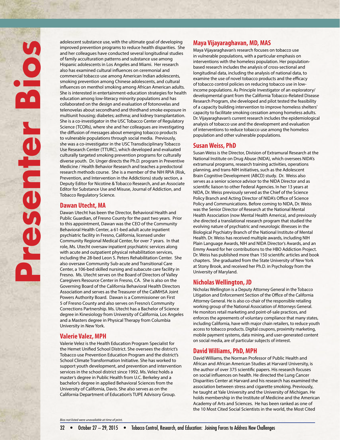adolescent substance use, with the ultimate goal of developing improved prevention programs to reduce health disparities. She and her colleagues have conducted several longitudinal studies of family acculturation patterns and substance use among Hispanic adolescents in Los Angeles and Miami. Her research also has examined cultural influences on ceremonial and commercial tobacco use among American Indian adolescents, smoking prevention among Chinese adolescents, and cultural influences on menthol smoking among African American adults. She is interested in entertainment-education strategies for health education among low-literacy minority populations and has collaborated on the design and evaluation of fotonovelas and telenovelas about secondhand and thirdhand smoke exposure in multiunit housing; diabetes; asthma; and kidney transplantation. She is a co-investigator in the USC Tobacco Center of Regulatory Science (TCORs), where she and her colleagues are investigating the diffusion of messages about emerging tobacco products to vulnerable populations through social media. Previously, she was a co-investigator in the USC Transdisciplinary Tobacco Use Research Center (TTURC), which developed and evaluated culturally targeted smoking prevention programs for culturally diverse youth. Dr. Unger directs the Ph.D. program in Preventive Medicine / Health Behavior Research and teaches a predoctoral research methods course. She is a member of the NIH RPIA (Risk, Prevention, and Intervention in the Addictions) study section, a Deputy Editor for Nicotine & Tobacco Research, and an Associate Editor for Substance Use and Misuse, Journal of Addiction, and Tobacco Regulatory Science.

#### **Dawan Utecht, MA**

Dawan Utecht has been the Director, Behavioral Health and Public Guardian, of Fresno County for the past two years. Prior to this appointment, Dawan was the CEO of the Community Behavioral Health Center, a 61-bed adult acute inpatient psychiatric facility in Fresno, California, licensed under Community Regional Medical Center, for over 7 years. In that role, Ms. Utecht oversaw inpatient psychiatric services along with acute and outpatient physical rehabilitation services, including the 28-bed Leon S. Peters Rehabilitation Center. She also oversaw Community Sub-acute and Transitional Care Center, a 106-bed skilled nursing and subacute care facility in Fresno. Ms. Utecht serves on the Board of Directors of Valley Caregivers Resource Center in Fresno, CA. She is also on the Governing Board of the California Behavioral Health Directors Association and serves as the Treasurer of the CalMHSA Joint Powers Authority Board. Dawan is a Commissioner on First 5 of Fresno County and also serves on Fresno's Community Corrections Partnership. Ms. Utecht has a Bachelor of Science degree in Kinesiology from University of California, Los Angeles and a Masters degree in Physical Therapy from Columbia University in New York.

#### **Valerie Valez, MPH**

Valerie Velez is the Health Education Program Specialist for the Hemet Unified School District. She oversees the district's Tobacco use Prevention Education Program and the district's School Climate Transformation Initiative. She has worked to support youth development, and prevention and intervention services in the school district since 1992. Ms. Velez holds a master's degree in Public Health from U.C. Berkeley and a bachelor's degree in applied Behavioral Sciences from the University of California, Davis. She also serves as on the California Department of Education's TUPE Advisory Group.

#### **Maya Vijayaraghavan, MD, MAS**

Maya Vijayaraghavan's research focuses on tobacco use in vulnerable populations, with a particular emphasis on interventions with the homeless population. Her populationbased research includes the analysis of cross-sectional and longitudinal data, including the analysis of national data, to examine the use of novel tobacco products and the efficacy of tobacco control policies on reducing tobacco use in lowincome populations. As Principle Investigator of an exploratory/ developmental grant from the California Tobacco-Related Disease Research Program, she developed and pilot tested the feasibility of a capacity building intervention to improve homeless shelters' capacity to facilitate smoking cessation among homeless adults. Dr. Vijayaraghavan's current research includes the epidemiological analysis of tobacco use and the development and evaluation of interventions to reduce tobacco use among the homeless population and other vulnerable populations.

#### **Susan Weiss, PhD**

Susan Weiss is the Director, Division of Extramural Research at the National Institute on Drug Abuse (NIDA), which oversees NIDA's extramural programs, research training activities, operations planning, and trans-NIH initiatives, such as the Adolescent Brain Cognitive Development (ABCD) study. Dr. Weiss also serves as a senior science advisor to the NIDA Director and as scientific liaison to other Federal Agencies. In her 13 years at NIDA, Dr. Weiss previously served as the Chief of the Science Policy Branch and Acting Director of NIDA's Office of Science Policy and Communications. Before coming to NIDA, Dr. Weiss was the Senior Director of Research at the National Mental Health Association (now Mental Health America), and previously she directed a translational research program that studied the evolving nature of psychiatric and neurologic illnesses in the Biological Psychiatry Branch of the National Institute of Mental Health. Dr. Weiss has received multiple awards, including NIH Plain Language Awards, NIH and NIDA Director's Awards, and an Emmy Award for her contributions to the HBO Addiction Project. Dr. Weiss has published more than 150 scientific articles and book chapters. She graduated from the State University of New York at Stony Brook, and received her Ph.D. in Psychology from the University of Maryland.

#### **Nicholas Wellington, JD**

Nicholas Wellington is a Deputy Attorney General in the Tobacco Litigation and Enforcement Section of the Office of the California Attorney General. He is also co-chair of the responsible retailing working group of the National Association of Attorneys General. He monitors retail marketing and point-of-sale practices, and enforces the agreements of voluntary compliance that many states, including California, have with major chain retailers, to reduce youth access to tobacco products. Digital coupons, proximity marketing, mobile payment systems, data mining, and user-generated content on social media, are of particular subjects of interest.

#### **David Williams, PhD, MPH**

David Williams, the Norman Professor of Public Health and African and African American Studies at Harvard University, is the author of over 375 scientific papers. His research focuses on social influences on health. He directed the Lung Cancer Disparities Center at Harvard and his research has examined the association between stress and cigarette smoking. Previously, he taught at Yale University and the University of Michigan. He holds membership in the Institute of Medicine and the American Academy of Arts and Sciences. He has been ranked as one of the 10 Most Cited Social Scientists in the world, the Most Cited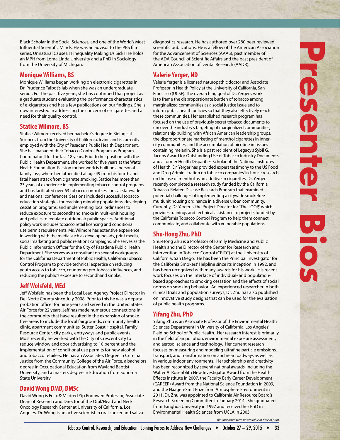Black Scholar in the Social Sciences, and one of the World's Most Influential Scientific Minds. He was an advisor to the PBS film series, Unnatural Causes: Is inequality Making Us Sick? He holds an MPH from Loma Linda University and a PhD in Sociology from the University of Michigan.

#### **Monique Williams, BS**

Monique Williams began working on electronic cigarettes in Dr. Prudence Talbot's lab when she was an undergraduate senior. For the past five years, she has continued that project as a graduate student evaluating the performance characteristics of e-cigarettes and has a few publications on our findings. She is now interested in addressing the concern of e-cigarettes and a need for their quality control.

#### **Statice Wilmore, BS**

Statice Wilmore received her bachelor's degree in Biological Sciences from the University of California, Irvine and is currently employed with the City of Pasadena Public Health Department. She has managed their Tobacco Control Program as Program Coordinator II for the last 18 years. Prior to her position with the Public Health Department, she worked for five years at the Watts Health Foundation. Passion for her work is built on a personal family loss, where her father died at age 49 from his fourth and fatal heart attack from cigarette smoking. Statice has more than 23 years of experience in implementing tobacco control programs and has facilitated over 63 tobacco control sessions at statewide and national conferences. Sessions included successful tobacco education strategies for reaching minority populations, developing cessation programs, and implementing local ordinances to reduce exposure to secondhand smoke in multi-unit housing and policies to regulate outdoor air public spaces. Additional policy work includes tobacco retail licensing and conditional use permit requirements. Ms. Wilmore has extensive experience in working with the media such as developing ads, print media, social marketing and public relations campaigns. She serves as the Public Information Officer for the City of Pasadena Public Health Department. She serves as a consultant on several workgroups for the California Department of Public Health, California Tobacco Control Program to provide technical expertise on reducing youth access to tobacco, countering pro-tobacco influences, and reducing the public's exposure to secondhand smoke.

#### **Jeff Wolsfeld, MEd**

Jeff Wolsfeld has been the Local Lead Agency Project Director in Del Norte County since July 2008. Prior to this he was a deputy probation officer for nine years and served in the United States Air Force for 22 years. Jeff has made numerous connections in the community that have resulted in the expansion of smoke free areas to include the local fairgrounds, community health clinic, apartment communities, Sutter Coast Hospital, Family Resource Center, city parks, entryways and public events. Most recently he worked with the City of Crescent City to reduce window and door advertising to 10 percent and the implementation of conditional use permits for new alcohol and tobacco retailers. He has an Associate's Degree in Criminal Justice from the Community College of the Air Force, a bachelors degree in Occupational Education from Wayland Baptist University, and a masters degree in Education from Sonoma State University.

#### **David Wong DMD, DMSc**

David Wong is Felix & Mildred Yip Endowed Professor, Associate Dean of Research and Director of the Oral/Head and Neck Oncology Research Center at University of California, Los Angeles. Dr. Wong is an active scientist in oral cancer and saliva

diagnostics research. He has authored over 280 peer reviewed scientific publications. He is a fellow of the American Association for the Advancement of Sciences (AAAS), past member of the ADA Council of Scientific Affairs and the past president of American Association of Dental Research (AADR).

#### **Valerie Yerger, ND**

Valerie Yerger is a licensed naturopathic doctor and Associate Professor in Health Policy at the University of California, San Francisco (UCSF). The overarching goal of Dr. Yerger's work is to frame the disproportionate burden of tobacco among marginalized communities as a social justice issue and to inform public health policies so that they also effectively reach these communities. Her established research program has focused on the use of previously secret tobacco documents to uncover the industry's targeting of marginalized communities, relationship building with African American leadership groups, the disproportionate marketing of menthol cigarettes in innercity communities, and the accumulation of nicotine in tissues containing melanin. She is a past recipient of Legacy's Sybil G. Jacobs Award for Outstanding Use of Tobacco Industry Documents and a former Health Disparities Scholar of the National Institutes of Health. Dr. Yerger has provided expert testimony to the US Food and Drug Administration on tobacco companies' in-house research on the use of menthol as an additive in cigarettes. Dr. Yerger recently completed a research study funded by the California Tobacco-Related Disease Research Program that examined potential challenges of implementing a citywide smokefree multiunit housing ordinance in a diverse urban community. Currently, Dr. Yerger is the Project Director for "The LOOP," which provides trainings and technical assistance to projects funded by the California Tobacco Control Program to help them connect, communicate, and collaborate with vulnerable populations.

#### **Shu-Hong Zhu, PhD**

Shu-Hong Zhu is a Professor of Family Medicine and Public Health and the Director of the Center for Research and Intervention in Tobacco Control (CRITC) at the University of California, San Diego. He has been the Principal Investigator for the California Smokers' Helpline since its inception in 1992, and has been recognized with many awards for his work. His recent work focuses on the interface of individual- and populationbased approaches to smoking cessation and the effects of social norms on smoking behavior. An experienced researcher in both clinical trials and population surveys, Dr. Zhu has also published on innovative study designs that can be used for the evaluation of public health programs.

#### **Yifang Zhu, PhD**

Yifang Zhu is an Associate Professor of the Environmental Health Sciences Department in University of California, Los Angeles' Fielding School of Public Health. Her research interest is primarily in the field of air pollution, environmental exposure assessment, and aerosol science and technology. Her current research focuses on measuring and modeling ultrafine particle emissions, transport, and transformation on and near roadways as well as in various indoor environments. Her scholarship and creativity has been recognized by several national awards, including the Walter A. Rosenblith New Investigator Award from the Health Effects Institute in 2007, the Faculty Early Career Development (CAREER) Award from the National Science Foundation in 2009, and the Haagen-Smit Prize from Atmosphere Environment in 2011. Dr. Zhu was appointed to California Air Resource Board's Research Screening Committee in January 2014. She graduated from Tsinghua University in 1997 and received her PhD in Environmental Health Sciences from UCLA in 2003.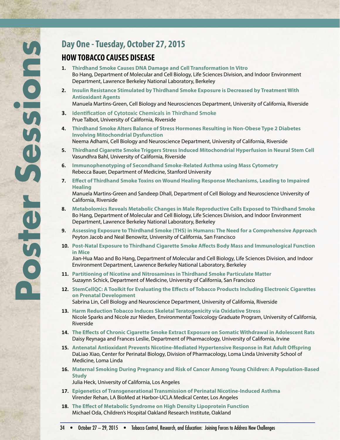### **Day One - Tuesday, October 27, 2015**

### **HOW TOBACCO CAUSES DISEASE**

- **1. Thirdhand Smoke Causes DNA Damage and Cell Transformation In Vitro** Bo Hang, Department of Molecular and Cell Biology, Life Sciences Division, and Indoor Environment Department, Lawrence Berkeley National Laboratory, Berkeley
- **2. Insulin Resistance Stimulated by Thirdhand Smoke Exposure is Decreased by Treatment With Antioxidant Agents**

Manuela Martins-Green, Cell Biology and Neurosciences Department, University of California, Riverside

- **3. Identification of Cytotoxic Chemicals in Thirdhand Smoke** Prue Talbot, University of California, Riverside
- **4. Thirdhand Smoke Alters Balance of Stress Hormones Resulting in Non-Obese Type 2 Diabetes Involving Mitochondrial Dysfunction** Neema Adhami, Cell Biology and Neuroscience Department, University of California, Riverside
- **5. Thirdhand Cigarette Smoke Triggers Stress Induced Mitochondrial Hyperfusion in Neural Stem Cell** Vasundhra Bahl, University of California, Riverside
- **6. Immunophenotyping of Secondhand Smoke-Related Asthma using Mass Cytometry** Rebecca Bauer, Department of Medicine, Stanford University
- **7. Effect of Thirdhand Smoke Toxins on Wound Healing Response Mechanisms, Leading to Impaired Healing**

Manuela Martins-Green and Sandeep Dhall, Department of Cell Biology and Neuroscience University of California, Riverside

- **8. Metabolomics Reveals Metabolic Changes in Male Reproductive Cells Exposed to Thirdhand Smoke** Bo Hang, Department of Molecular and Cell Biology, Life Sciences Division, and Indoor Environment Department, Lawrence Berkeley National Laboratory, Berkeley
- **9. Assessing Exposure to Thirdhand Smoke (THS) in Humans: The Need for a Comprehensive Approach** Peyton Jacob and Neal Benowitz, University of California, San Francisco
- **10. Post-Natal Exposure to Thirdhand Cigarette Smoke Affects Body Mass and Immunological Function in Mice**

Jian-Hua Mao and Bo Hang, Department of Molecular and Cell Biology, Life Sciences Division, and Indoor Environment Department, Lawrence Berkeley National Laboratory, Berkeley

- **11. Partitioning of Nicotine and Nitrosamines in Thirdhand Smoke Particulate Matter** Suzaynn Schick, Department of Medicine, University of California, San Francisco
- **12. StemCellQC: A Toolkit for Evaluating the Effects of Tobacco Products Including Electronic Cigarettes on Prenatal Development**
	- Sabrina Lin, Cell Biology and Neuroscience Department, University of California, Riverside
- **13. Harm Reduction Tobacco Induces Skeletal Teratogenicity via Oxidative Stress** Nicole Sparks and Nicole zur Nieden, Environmental Toxicology Graduate Program, University of California, Riverside
- **14. The Effects of Chronic Cigarette Smoke Extract Exposure on Somatic Withdrawal in Adolescent Rats** Daisy Reynaga and Frances Leslie, Department of Pharmacology, University of California, Irvine
- **15. Antenatal Antioxidant Prevents Nicotine-Mediated Hypertensive Response in Rat Adult Offspring** DaLiao Xiao, Center for Perinatal Biology, Division of Pharmacology, Loma Linda University School of Medicine, Loma Linda
- **16. Maternal Smoking During Pregnancy and Risk of Cancer Among Young Children: A Population-Based Study**

Julia Heck, University of California, Los Angeles

- **17. Epigenetics of Transgenerational Transmission of Perinatal Nicotine-Induced Asthma** Virender Rehan, LA BioMed at Harbor-UCLA Medical Center, Los Angeles
- **18. The Effect of Metabolic Syndrome on High Density Lipoprotein Function** Michael Oda, Children's Hospital Oakland Research Institute, Oakland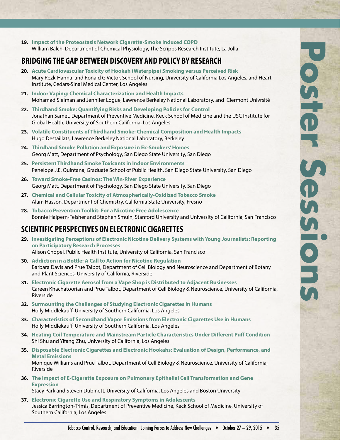**19. Impact of the Proteostasis Network Cigarette-Smoke Induced COPD** William Balch, Department of Chemical Physiology, The Scripps Research Institute, La Jolla

### **BRIDGING THE GAP BETWEEN DISCOVERY AND POLICY BY RESEARCH**

- **20. Acute Cardiovascular Toxicity of Hookah (Waterpipe) Smoking versus Perceived Risk** Mary Rezk-Hanna and Ronald G Victor, School of Nursing, University of California Los Angeles, and Heart Institute, Cedars-Sinai Medical Center, Los Angeles
- **21. Indoor Vaping: Chemical Characterization and Health Impacts** Mohamad Sleiman and Jennifer Logue, Lawrence Berkeley National Laboratory, and Clermont Univrsité
- **22. Thirdhand Smoke: Quantifying Risks and Developing Policies for Control** Jonathan Samet, Department of Preventive Medicine, Keck School of Medicine and the USC Institute for Global Health, University of Southern California, Los Angeles
- **23. Volatile Constituents of Thirdhand Smoke: Chemical Composition and Health Impacts** Hugo Destaillats, Lawrence Berkeley National Laboratory, Berkeley
- **24. Thirdhand Smoke Pollution and Exposure in Ex-Smokers' Homes** Georg Matt, Department of Psychology, San Diego State University, San Diego
- **25. Persistent Thirdhand Smoke Toxicants in Indoor Environments** Penelope J.E. Quintana, Graduate School of Public Health, San Diego State University, San Diego
- **26. Toward Smoke-Free Casinos: The Win-River Experience** Georg Matt, Department of Psychology, San Diego State University, San Diego
- **27. Chemical and Cellular Toxicity of Atmospherically-Oxidized Tobacco Smoke** Alam Hasson, Department of Chemistry, California State University, Fresno
- **28. Tobacco Prevention Toolkit: For a Nicotine Free Adolescence** Bonnie Halpern-Felsher and Stephen Smuin, Stanford University and University of California, San Francisco

### **SCIENTIFIC PERSPECTIVES ON ELECTRONIC CIGARETTES**

- **29. Investigating Perceptions of Electronic Nicotine Delivery Systems with Young Journalists: Reporting on Participatory Research Processes** Alison Chopel, Public Health Institute, University of California, San Francisco
- **30. Addiction in a Bottle: A Call to Action for Nicotine Regulation** Barbara Davis and Prue Talbot, Department of Cell Biology and Neuroscience and Department of Botany and Plant Sciences, University of California, Riverside
- **31. Electronic Cigarette Aerosol from a Vape Shop is Distributed to Adjacent Businesses** Careen Khachatoorian and Prue Talbot, Department of Cell Biology & Neuroscience, University of California, Riverside
- **32. Surmounting the Challenges of Studying Electronic Cigarettes in Humans** Holly Middlekauff, University of Southern California, Los Angeles
- **33. Characteristics of Secondhand Vapor Emissions from Electronic Cigarettes Use in Humans** Holly Middlekauff, University of Southern California, Los Angeles
- **34. Heating Coil Temperature and Mainstream Particle Characteristics Under Different Puff Condition** Shi Shu and Yifang Zhu, University of California, Los Angeles
- **35. Disposable Electronic Cigarettes and Electronic Hookahs: Evaluation of Design, Performance, and Metal Emissions** Monique Williams and Prue Talbot, Department of Cell Biology & Neuroscience, University of California, Riverside
- **36. The Impact of E-Cigarette Exposure on Pulmonary Epithelial Cell Transformation and Gene Expression**

Stacy Park and Steven Dubinett, University of California, Los Angeles and Boston University

**37. Electronic Cigarette Use and Respiratory Symptoms in Adolescents** Jessica Barrington-Trimis, Department of Preventive Medicine, Keck School of Medicine, University of Southern California, Los Angeles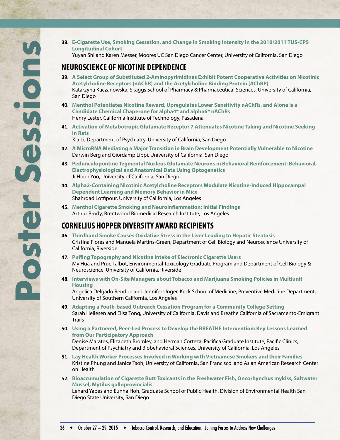**38. E-Cigarette Use, Smoking Cessation, and Change in Smoking Intensity in the 2010/2011 TUS-CPS Longitudinal Cohort**

Yuyan Shi and Karen Messer, Moores UC San Diego Cancer Center, University of California, San Diego

#### **NEUROSCIENCE OF NICOTINE DEPENDENCE**

- **39. A Select Group of Substituted 2-Aminopyrimidines Exhibit Potent Cooperative Activities on Nicotinic Acetylcholine Receptors (nAChR) and the Acetylcholine Binding Protein (AChBP)** Katarzyna Kaczanowska, Skaggs School of Pharmacy & Pharmaceutical Sciences, University of California, San Diego
- **40. Menthol Potentiates Nicotine Reward, Upregulates Lower Sensitivity nAChRs, and Alone is a Candidate Chemical Chaperone for alpha4\* and alpha6\* nAChRs** Henry Lester, California Institute of Technology, Pasadena
- **41. Activation of Metabotropic Glutamate Receptor 7 Attenuates Nicotine Taking and Nicotine Seeking in Rats**

Xia Li, Department of Psychiatry, University of California, San Diego

- **42. A MicroRNA Mediating a Major Transition in Brain Development Potentially Vulnerable to Nicotine** Darwin Berg and Giordamp Lippi, University of California, San Diego
- **43. Pedunculopontine Tegmental Nucleus Glutamate Neurons in Behavioral Reinforcement: Behavioral, Electrophysiological and Anatomical Data Using Optogenetics** Ji Hoon Yoo, University of California, San Diego
- **44. Alpha2-Containing Nicotinic Acetylcholine Receptors Modulate Nicotine-Induced Hippocampal Dependent Learning and Memory Behavior in Mice** Shahrdad Lotfipour, University of California, Los Angeles
- **45. Menthol Cigarette Smoking and Neuroinflammation: Initial Findings** Arthur Brody, Brentwood Biomedical Research Institute, Los Angeles

### **CORNELIUS HOPPER DIVERSITY AWARD RECIPIENTS**

- **46. Thirdhand Smoke Causes Oxidative Stress in the Liver Leading to Hepatic Steatosis** Cristina Flores and Manuela Martins-Green, Department of Cell Biology and Neuroscience University of California, Riverside
- **47. Puffing Topography and Nicotine Intake of Electronic Cigarette Users** My Hua and Prue Talbot, Environmental Toxicology Graduate Program and Department of Cell Biology & Neuroscience, University of California, Riverside
- **48. Interviews with On-Site Managers about Tobacco and Marijuana Smoking Policies in Multiunit Housing**

Angelica Delgado Rendon and Jennifer Unger, Keck School of Medicine, Preventive Medicine Department, University of Southern California, Los Angeles

- **49. Adapting a Youth-based Outreach Cessation Program for a Community College Setting** Sarah Hellesen and Elisa Tong, University of California, Davis and Breathe California of Sacramento-Emigrant **Trails**
- **50. Using a Partnered, Peer-Led Process to Develop the BREATHE Intervention: Key Lessons Learned from Our Participatory Approach** Denise Maratos, Elizabeth Bromley, and Herman Corteza, Pacifica Graduate Institute, Pacific Clinics; Department of Psychiatry and Biobehavioral Sciences, University of California, Los Angeles
- **51. Lay Health Worker Processes Involved in Working with Vietnamese Smokers and their Families** Kristine Phung and Janice Tsoh, University of California, San Francisco and Asian American Research Center on Health
- **52. Bioaccumulation of Cigarette Butt Toxicants in the Freshwater Fish, Oncorhynchus mykiss, Saltwater Mussel, Mytilus galloprovincialis**

Lenard Yabes and Eunha Hoh, Graduate School of Public Health, Division of Environmental Health San Diego State University, San Diego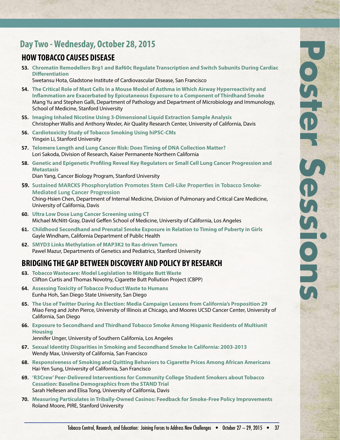### **Day Two - Wednesday, October 28, 2015**

### **HOW TOBACCO CAUSES DISEASE**

**53. Chromatin Remodellers Brg1 and Baf60c Regulate Transcription and Switch Subunits During Cardiac Differentiation**

Swetansu Hota, Gladstone Institute of Cardiovascular Disease, San Francisco

- **54. The Critical Role of Mast Cells in a Mouse Model of Asthma in Which Airway Hyperreactivity and Inflammation are Exacerbated by Epicutaneous Exposure to a Component of Thirdhand Smoke** Mang Yu and Stephen Galli, Department of Pathology and Department of Microbiology and Immunology, School of Medicine, Stanford University
- **55. Imaging Inhaled Nicotine Using 3-Dimensional Liquid Extraction Sample Analysis** Christopher Wallis and Anthony Wexler, Air Quality Research Center, University of California, Davis
- **56. Cardiotoxicity Study of Tobacco Smoking Using hiPSC-CMs** Yingxin Li, Stanford University
- **57. Telomere Length and Lung Cancer Risk: Does Timing of DNA Collection Matter?** Lori Sakoda, Division of Research, Kaiser Permanente Northern California
- **58. Genetic and Epigenetic Profiling Reveal Key Regulators or Small Cell Lung Cancer Progression and Metastasis** Dian Yang, Cancer Biology Program, Stanford University
- **59. Sustained MARCKS Phosphorylation Promotes Stem Cell-Like Properties in Tobacco Smoke-Mediated Lung Cancer Progression** Ching-Hsien Chen, Department of Internal Medicine, Division of Pulmonary and Critical Care Medicine, University of California, Davis
- **60. Ultra Low Dose Lung Cancer Screening using CT** Michael McNitt-Gray, David Geffen School of Medicine, University of California, Los Angeles
- **61. Childhood Secondhand and Prenatal Smoke Exposure in Relation to Timing of Puberty in Girls** Gayle Windham, California Department of Public Health
- **62. SMYD3 Links Methylation of MAP3K2 to Ras-driven Tumors** Pawel Mazur, Departments of Genetics and Pediatrics, Stanford University

### **BRIDGING THE GAP BETWEEN DISCOVERY AND POLICY BY RESEARCH**

- **63. Tobacco Wastecare: Model Legislation to Mitigate Butt Waste** Clifton Curtis and Thomas Novotny, Cigarette Butt Pollution Project (CBPP)
- **64. Assessing Toxicity of Tobacco Product Waste to Humans** Eunha Hoh, San Diego State University, San Diego
- **65. The Use of Twitter During An Election: Media Campaign Lessons from California's Proposition 29** Miao Feng and John Pierce, University of Illinois at Chicago, and Moores UCSD Cancer Center, University of California, San Diego
- **66. Exposure to Secondhand and Thirdhand Tobacco Smoke Among Hispanic Residents of Multiunit Housing**
	- Jennifer Unger, University of Southern California, Los Angeles
- **67. Sexual Identity Disparities in Smoking and Secondhand Smoke In California: 2003-2013** Wendy Max, University of California, San Francisco
- **68. Responsiveness of Smoking and Quitting Behaviors to Cigarette Prices Among African Americans** Hai-Yen Sung, University of California, San Francisco
- **69. 'R3Crew' Peer-Delivered Interventions for Community College Student Smokers about Tobacco Cessation: Baseline Demographics from the STAND Trial** Sarah Hellesen and Elisa Tong, University of California, Davis
- **70. Measuring Particulates in Tribally-Owned Casinos: Feedback for Smoke-Free Policy Improvements** Roland Moore, PIRE, Stanford University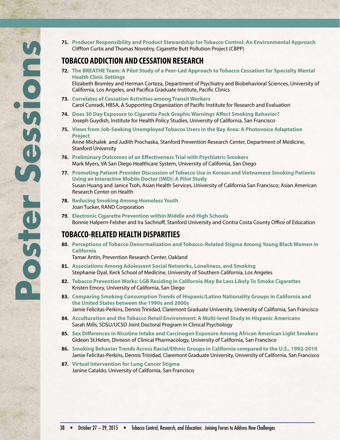**71. Producer Responsibility and Product Stewardship for Tobacco Control: An Environmental Approach** Cliffton Curtis and Thomas Novotny, Cigarette Butt Pollution Project (CBPP)

### **TOBACCO ADDICTION AND CESSATION RESEARCH**

- **72. The BREATHE Team: A Pilot Study of a Peer-Led Approach to Tobacco Cessation for Specialty Mental Health Clinic Settings** Elizabeth Bromley and Herman Corteza, Department of Psychiatry and Biobehavioral Sciences, University of California, Los Angeles, and Pacifica Graduate Institute, Pacific Clinics
- **73. Correlates of Cessation Activities among Transit Workers** Carol Cunradi, HBSA, A Supporting Organization of Pacific Institute for Research and Evaluation
- **74. Does 30 Day Exposure to Cigarette Pack Graphic Warnings Affect Smoking Behavior?** Joseph Guydish, Institute for Health Policy Studies, University of California, San Francisco
- **75. Views from Job-Seeking Unemployed Tobacco Users in the Bay Area: A Photovoice Adaptation Project**

Anne Michalek and Judith Prochaska, Stanford Prevention Research Center, Department of Medicine, Stanford University

- **76. Preliminary Outcomes of an Effectiveness Trial with Psychiatric Smokers** Mark Myers, VA San Diego Healthcare System, University of California, San Diego
- **77. Promoting Patient-Provider Discussion of Tobacco Use in Korean and Vietnamese Smoking Patients Using an Interactive Mobile Doctor (IMD): A Pilot Study** Susan Huang and Janice Tsoh, Asian Health Services, University of California San Francisco; Asian American Research Center on Health
- **78. Reducing Smoking Among Homeless Youth** Joan Tucker, RAND Corporation
- **79. Electronic Cigarette Prevention within Middle and High Schools** Bonnie Halpern-Felsher and Ira Sachnoff, Stanford University and Contra Costa County Office of Education

### **TOBACCO-RELATED HEALTH DISPARITIES**

**80. Perceptions of Tobacco Denormalization and Tobacco-Related Stigma Among Young Black Women in California**

Tamar Antin, Prevention Research Center, Oakland

- **81. Associations Among Adolescent Social Networks, Loneliness, and Smoking** Stephanie Dyal, Keck School of Medicine, University of Southern California, Los Angeles
- **82. Tobacco Prevention Works: LGB Residing in California May Be Less Likely To Smoke Cigarettes** Kristen Emory, University of California, San Diego
- **83. Comparing Smoking Consumption Trends of Hispanic/Latino Nationality Groups in California and the United States between the 1990s and 2000s** Jamie Felicitas-Perkins, Dennis Trinidad, Claremont Graduate University, University of California, San Francisco
- **84. Acculturation and the Tobacco Retail Environment: A Multi-level Study in Hispanic Americans** Sarah Mills, SDSU/UCSD Joint Doctoral Program in Clinical Psychology
- **85. Sex Differences in Nicotine Intake and Carcinogen Exposure Among African American Light Smokers** Gideon St.Helen, Division of Clinical Pharmacology, University of California, San Francisco
- **86. Smoking Behavior Trends Across Racial/Ethnic Groups in California compared to the U.S., 1992-2010** Jamie Felicitas-Perkins, Dennis Trinidad, Claremont Graduate University, University of California, San Francisco
- **87. Virtual Intervention for Lung Cancer Stigma** Janine Cataldo, University of California, San Francisco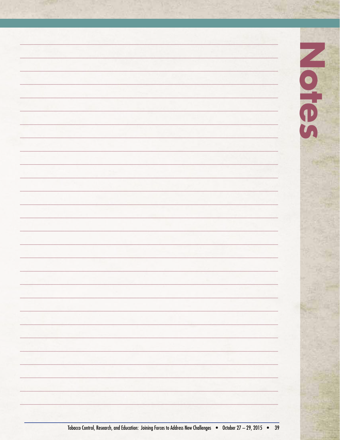|    | ĸ     |
|----|-------|
|    |       |
|    |       |
|    |       |
|    |       |
|    | D     |
|    |       |
|    |       |
|    |       |
|    |       |
|    |       |
|    |       |
|    |       |
|    |       |
|    |       |
|    |       |
|    |       |
|    |       |
|    |       |
|    |       |
|    |       |
|    |       |
|    |       |
|    |       |
|    |       |
|    |       |
|    |       |
|    |       |
| -- |       |
|    |       |
|    |       |
|    |       |
|    |       |
|    |       |
|    | ×<br> |
|    |       |
|    |       |
|    |       |
|    |       |
|    |       |
|    |       |
|    |       |
|    |       |
|    |       |
|    |       |
|    |       |
|    |       |
|    |       |
|    |       |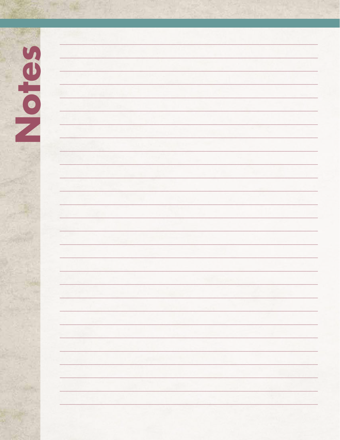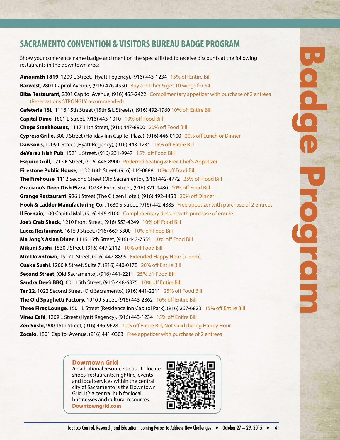### **SACRAMENTO CONVENTION & VISITORS BUREAU BADGE PROGRAM**

Show your conference name badge and mention the special listed to receive discounts at the following restaurants in the downtown area:

**Amourath 1819**, 1209 L Street, (Hyatt Regency), (916) 443-1234 15% off Entire Bill **Barwest**, 2801 Capitol Avenue, (916) 476-4550 Buy a pitcher & get 10 wings for \$4 **Biba Restaurant**, 2801 Capitol Avenue, (916) 455-2422 Complimentary appetizer with purchase of 2 entrées (Reservations STRONGLY recommended) **Cafeteria 15L**, 1116 15th Street (15th & L Streets), (916) 492-1960 10% off Entire Bill **Capital Dime**, 1801 L Street, (916) 443-1010 10% off Food Bill **Chops Steakhouses**, 1117 11th Street, (916) 447-8900 20% off Food Bill **Cypress Grille,** 300 J Street (Holiday Inn Capitol Plaza), (916) 446-0100 20% off Lunch or Dinner **Dawson's**, 1209 L Street (Hyatt Regency), (916) 443-1234 15% off Entire Bill **deVere's Irish Pub**, 1521 L Street, (916) 231-9947 15% off Food Bill **Esquire Grill**, 1213 K Street, (916) 448-8900 Preferred Seating & Free Chef's Appetizer **Firestone Public House**, 1132 16th Street, (916) 446-0888 10% off Food Bill **The Firehouse**, 1112 Second Street (Old Sacramento), (916) 442-4772 25% off Food Bill **Graciano's Deep Dish Pizza**, 1023A Front Street, (916) 321-9480 10% off Food Bill **Grange Restaurant**, 926 J Street (The Citizen Hotel), (916) 492-4450 20% off Dinner **Hook & Ladder Manufacturing Co.**, 1630 S Street, (916) 442-4885 Free appetizer with purchase of 2 entrees **Il Fornaio**, 100 Capitol Mall, (916) 446-4100 Complimentary dessert with purchase of entrée **Joe's Crab Shack**, 1210 Front Street, (916) 553-4249 10% off Food Bill **Lucca Restaurant**, 1615 J Street, (916) 669-5300 10% off Food Bill **Ma Jong's Asian Diner**, 1116 15th Street, (916) 442-7555 10% off Food Bill **Mikuni Sushi**, 1530 J Street, (916) 447-2112 10% off Food Bill **Mix Downtown**, 1517 L Street, (916) 442-8899 Extended Happy Hour (7-9pm) **Osaka Sushi**, 1200 K Street, Suite 7, (916) 440-0178 20% off Entire Bill **Second Street**, (Old Sacramento), (916) 441-2211 25% off Food Bill **Sandra Dee's BBQ**, 601 15th Street, (916) 448-6375 10% off Entire Bill **Ten22**, 1022 Second Street (Old Sacramento), (916) 441-2211 25% off Food Bill **The Old Spaghetti Factory**, 1910 J Street, (916) 443-2862 10% off Entire Bill **Three Fires Lounge**, 1501 L Street (Residence Inn Capitol Park), (916) 267-6823 15% off Entire Bill **Vines Café**, 1209 L Street (Hyatt Regency), (916) 443-1234 15% off Entire Bill **Zen Sushi**, 900 15th Street, (916) 446-9628 10% off Entire Bill, Not valid during Happy Hour **Zocalo**, 1801 Capitol Avenue, (916) 441-0303 Free appetizer with purchase of 2 entrees

#### **Downtown Grid**

An additional resource to use to locate shops, restaurants, nightlife, events and local services within the central city of Sacramento is the Downtown Grid. It's a central hub for local businesses and cultural resources. **Downtowngrid.com**